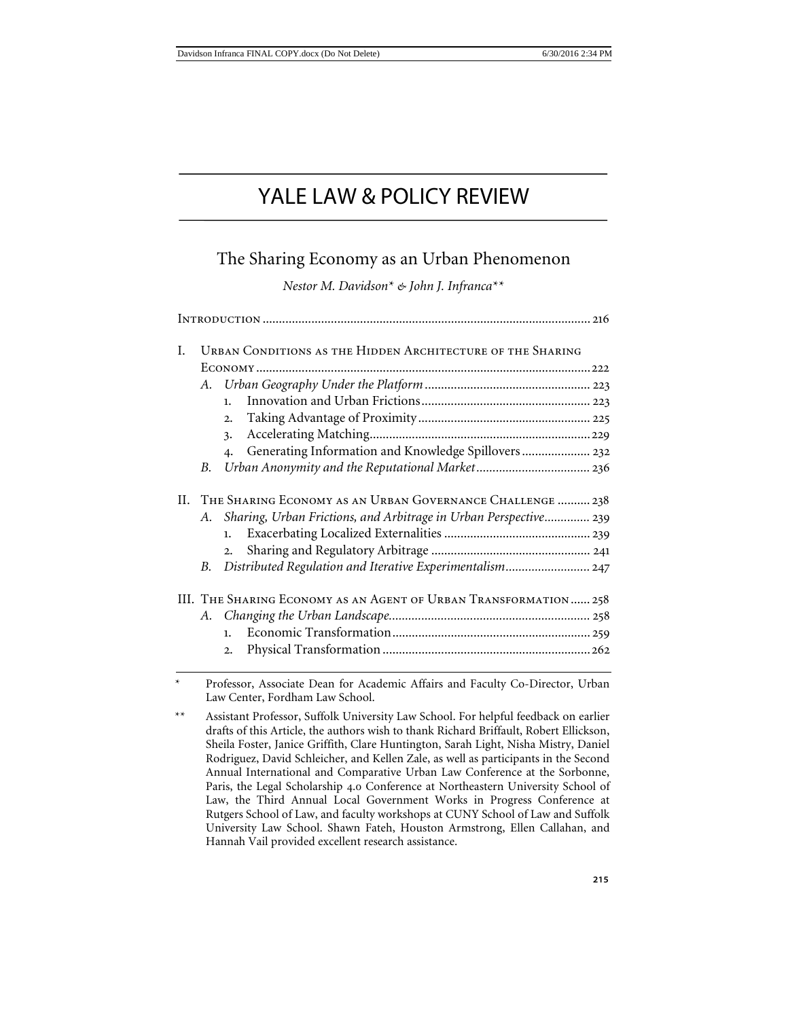# YALE LAW & POLICY REVIEW

# The Sharing Economy as an Urban Phenomenon

*Nestor M. Davidson*[\\*](#page-0-0) *& John J. Infranca*[\\*\\*](#page-0-1)

| L   | URBAN CONDITIONS AS THE HIDDEN ARCHITECTURE OF THE SHARING        |                                                                           |  |  |  |
|-----|-------------------------------------------------------------------|---------------------------------------------------------------------------|--|--|--|
|     |                                                                   |                                                                           |  |  |  |
|     |                                                                   |                                                                           |  |  |  |
|     |                                                                   | 1.                                                                        |  |  |  |
|     |                                                                   | $\overline{2}$ .                                                          |  |  |  |
|     |                                                                   | 3.                                                                        |  |  |  |
|     |                                                                   | Generating Information and Knowledge Spillovers 232<br>$\boldsymbol{4}$ . |  |  |  |
|     | В.                                                                |                                                                           |  |  |  |
| II. | THE SHARING ECONOMY AS AN URBAN GOVERNANCE CHALLENGE  238         |                                                                           |  |  |  |
|     | A.                                                                | Sharing, Urban Frictions, and Arbitrage in Urban Perspective 239          |  |  |  |
|     |                                                                   | 1.                                                                        |  |  |  |
|     |                                                                   | 2.                                                                        |  |  |  |
|     | В.                                                                | Distributed Regulation and Iterative Experimentalism 247                  |  |  |  |
|     | III. THE SHARING ECONOMY AS AN AGENT OF URBAN TRANSFORMATION  258 |                                                                           |  |  |  |
|     |                                                                   |                                                                           |  |  |  |
|     |                                                                   | $\mathbf{1}$ .                                                            |  |  |  |
|     |                                                                   | 2.                                                                        |  |  |  |
|     |                                                                   |                                                                           |  |  |  |

<span id="page-0-0"></span>Professor, Associate Dean for Academic Affairs and Faculty Co-Director, Urban Law Center, Fordham Law School.

<span id="page-0-1"></span>\*\* Assistant Professor, Suffolk University Law School. For helpful feedback on earlier drafts of this Article, the authors wish to thank Richard Briffault, Robert Ellickson, Sheila Foster, Janice Griffith, Clare Huntington, Sarah Light, Nisha Mistry, Daniel Rodriguez, David Schleicher, and Kellen Zale, as well as participants in the Second Annual International and Comparative Urban Law Conference at the Sorbonne, Paris, the Legal Scholarship 4.0 Conference at Northeastern University School of Law, the Third Annual Local Government Works in Progress Conference at Rutgers School of Law, and faculty workshops at CUNY School of Law and Suffolk University Law School. Shawn Fateh, Houston Armstrong, Ellen Callahan, and Hannah Vail provided excellent research assistance.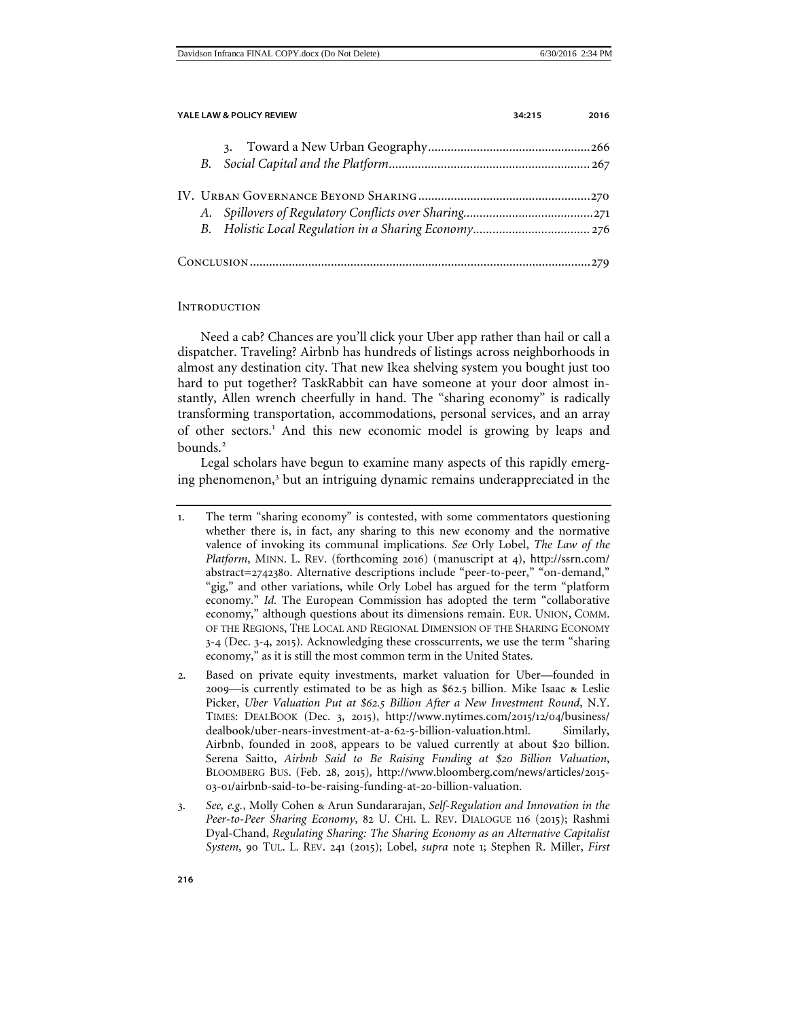| YALE LAW & POLICY REVIEW<br>34:215 |  |  | 2016 |
|------------------------------------|--|--|------|
|                                    |  |  |      |
|                                    |  |  |      |
|                                    |  |  |      |
|                                    |  |  |      |
|                                    |  |  |      |
|                                    |  |  |      |

# <span id="page-1-0"></span>**INTRODUCTION**

Need a cab? Chances are you'll click your Uber app rather than hail or call a dispatcher. Traveling? Airbnb has hundreds of listings across neighborhoods in almost any destination city. That new Ikea shelving system you bought just too hard to put together? TaskRabbit can have someone at your door almost instantly, Allen wrench cheerfully in hand. The "sharing economy" is radically transforming transportation, accommodations, personal services, and an array of other sectors.<sup>[1](#page-1-1)</sup> And this new economic model is growing by leaps and bounds.<sup>[2](#page-1-2)</sup>

<span id="page-1-4"></span>Legal scholars have begun to examine many aspects of this rapidly emerg-ing phenomenon,<sup>[3](#page-1-3)</sup> but an intriguing dynamic remains underappreciated in the

<span id="page-1-1"></span><sup>1</sup>. The term "sharing economy" is contested, with some commentators questioning whether there is, in fact, any sharing to this new economy and the normative valence of invoking its communal implications. *See* Orly Lobel, *The Law of the Platform*, MINN. L. REV. (forthcoming 2016) (manuscript at 4), http://ssrn.com/ abstract=2742380. Alternative descriptions include "peer-to-peer," "on-demand," "gig," and other variations, while Orly Lobel has argued for the term "platform economy." *Id.* The European Commission has adopted the term "collaborative economy," although questions about its dimensions remain. EUR. UNION, COMM. OF THE REGIONS, THE LOCAL AND REGIONAL DIMENSION OF THE SHARING ECONOMY 3-4 (Dec. 3-4, 2015). Acknowledging these crosscurrents, we use the term "sharing economy," as it is still the most common term in the United States.

<span id="page-1-2"></span><sup>2</sup>. Based on private equity investments, market valuation for Uber—founded in 2009—is currently estimated to be as high as \$62.5 billion. Mike Isaac & Leslie Picker, *Uber Valuation Put at \$62.5 Billion After a New Investment Round*, N.Y. TIMES: DEALBOOK (Dec. 3, 2015), http://www.nytimes.com/2015/12/04/business/ dealbook/uber-nears-investment-at-a-62-5-billion-valuation.html. Similarly, Airbnb, founded in 2008, appears to be valued currently at about \$20 billion. Serena Saitto, *Airbnb Said to Be Raising Funding at \$20 Billion Valuation*, BLOOMBERG BUS. (Feb. 28, 2015)*,* http://www.bloomberg.com/news/articles/2015- 03-01/airbnb-said-to-be-raising-funding-at-20-billion-valuation.

<span id="page-1-3"></span><sup>3</sup>. *See, e.g.*, Molly Cohen & Arun Sundararajan, *Self-Regulation and Innovation in the Peer-to-Peer Sharing Economy*, 82 U. CHI. L. REV. DIALOGUE 116 (2015); Rashmi Dyal-Chand, *Regulating Sharing: The Sharing Economy as an Alternative Capitalist System*, 90 TUL. L. REV. 241 (2015); Lobel, *supra* note 1; Stephen R. Miller, *First*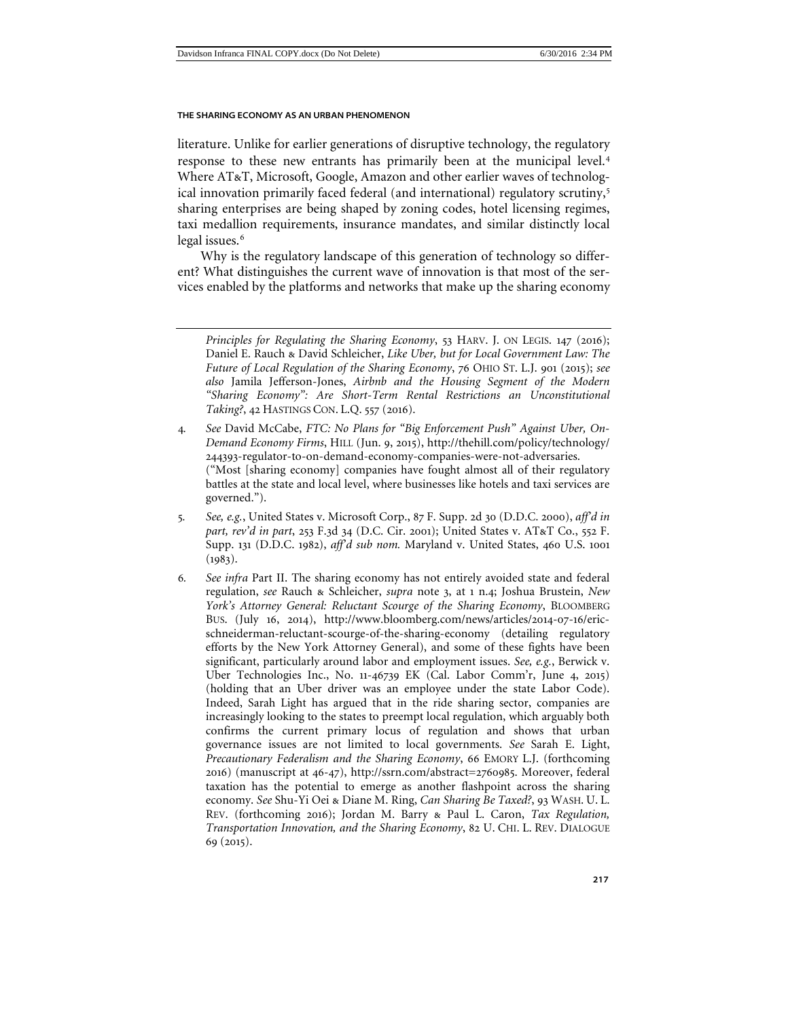literature. Unlike for earlier generations of disruptive technology, the regulatory response to these new entrants has primarily been at the municipal level.<sup>[4](#page-2-0)</sup> Where AT&T, Microsoft, Google, Amazon and other earlier waves of technolog-ical innovation primarily faced federal (and international) regulatory scrutiny,<sup>[5](#page-2-1)</sup> sharing enterprises are being shaped by zoning codes, hotel licensing regimes, taxi medallion requirements, insurance mandates, and similar distinctly local legal issues.<sup>[6](#page-2-2)</sup>

Why is the regulatory landscape of this generation of technology so different? What distinguishes the current wave of innovation is that most of the services enabled by the platforms and networks that make up the sharing economy

- <span id="page-2-1"></span>5*. See, e.g.*, United States v. Microsoft Corp., 87 F. Supp. 2d 30 (D.D.C. 2000), *aff'd in part, rev'd in part*, 253 F.3d 34 (D.C. Cir. 2001); United States v. AT&T Co., 552 F. Supp. 131 (D.D.C. 1982), *aff'd sub nom.* Maryland v. United States, 460 U.S. 1001  $(1983).$
- <span id="page-2-2"></span>6*. See infra* Part II. The sharing economy has not entirely avoided state and federal regulation, *see* Rauch & Schleicher, *supra* note 3, at 1 n.4; Joshua Brustein, *New York's Attorney General: Reluctant Scourge of the Sharing Economy*, BLOOMBERG BUS. (July 16, 2014), http://www.bloomberg.com/news/articles/2014-07-16/ericschneiderman-reluctant-scourge-of-the-sharing-economy (detailing regulatory efforts by the New York Attorney General), and some of these fights have been significant, particularly around labor and employment issues. *See, e.g.*, Berwick v. Uber Technologies Inc., No. 11-46739 EK (Cal. Labor Comm'r, June 4, 2015) (holding that an Uber driver was an employee under the state Labor Code). Indeed, Sarah Light has argued that in the ride sharing sector, companies are increasingly looking to the states to preempt local regulation, which arguably both confirms the current primary locus of regulation and shows that urban governance issues are not limited to local governments. *See* Sarah E. Light, *Precautionary Federalism and the Sharing Economy*, 66 EMORY L.J. (forthcoming 2016) (manuscript at 46-47), http://ssrn.com/abstract=2760985. Moreover, federal taxation has the potential to emerge as another flashpoint across the sharing economy. *See* Shu-Yi Oei & Diane M. Ring, *Can Sharing Be Taxed?*, 93 WASH. U. L. REV. (forthcoming 2016); Jordan M. Barry & Paul L. Caron, *Tax Regulation, Transportation Innovation, and the Sharing Economy*, 82 U. CHI. L. REV. DIALOGUE 69 (2015).

*Principles for Regulating the Sharing Economy*, 53 HARV. J. ON LEGIS. 147 (2016); Daniel E. Rauch & David Schleicher, *Like Uber, but for Local Government Law: The Future of Local Regulation of the Sharing Economy*, 76 OHIO ST. L.J. 901 (2015); *see also* Jamila Jefferson-Jones, *Airbnb and the Housing Segment of the Modern "Sharing Economy": Are Short-Term Rental Restrictions an Unconstitutional Taking?*, 42 HASTINGS CON. L.Q. 557 (2016).

<span id="page-2-0"></span><sup>4</sup>*. See* David McCabe, *FTC: No Plans for "Big Enforcement Push" Against Uber, On-Demand Economy Firms*, HILL (Jun. 9, 2015), http://thehill.com/policy/technology/ 244393-regulator-to-on-demand-economy-companies-were-not-adversaries. ("Most [sharing economy] companies have fought almost all of their regulatory battles at the state and local level, where businesses like hotels and taxi services are governed.").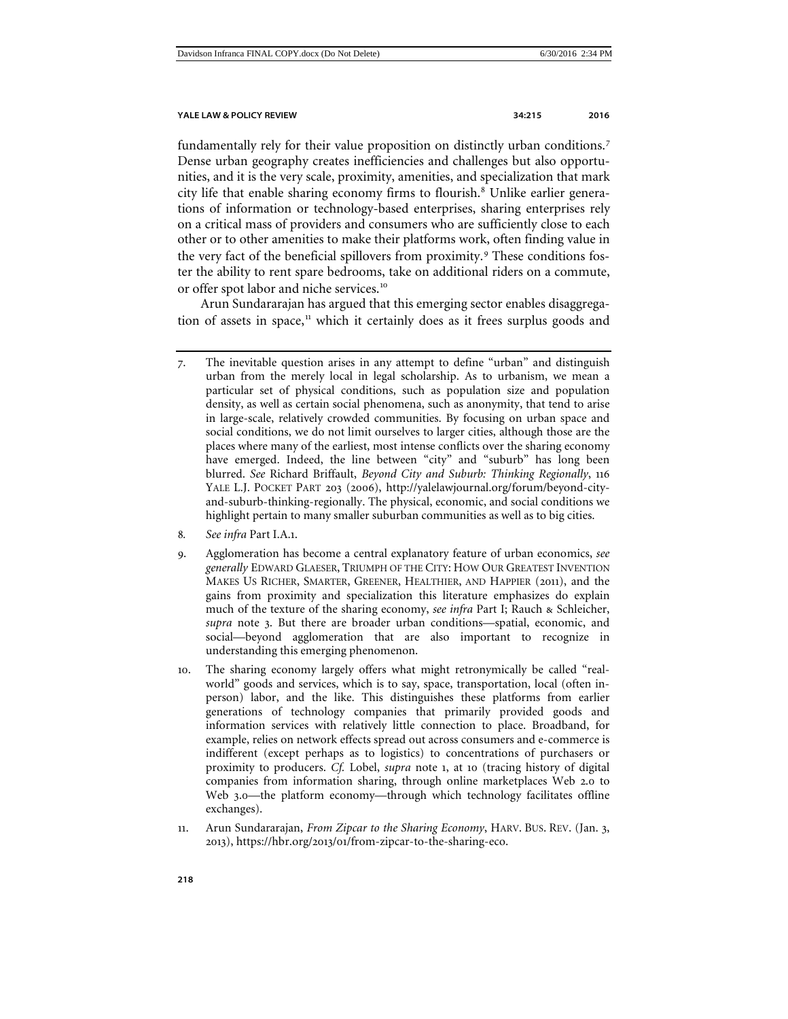fundamentally rely for their value proposition on distinctly urban conditions.[7](#page-3-0) Dense urban geography creates inefficiencies and challenges but also opportunities, and it is the very scale, proximity, amenities, and specialization that mark city life that enable sharing economy firms to flourish.<sup>[8](#page-3-1)</sup> Unlike earlier generations of information or technology-based enterprises, sharing enterprises rely on a critical mass of providers and consumers who are sufficiently close to each other or to other amenities to make their platforms work, often finding value in the very fact of the beneficial spillovers from proximity.<sup>[9](#page-3-2)</sup> These conditions foster the ability to rent spare bedrooms, take on additional riders on a commute, or offer spot labor and niche services.[10](#page-3-3)

Arun Sundararajan has argued that this emerging sector enables disaggregation of assets in space, $11$  which it certainly does as it frees surplus goods and

- <span id="page-3-1"></span>8*. See infra* Part I.A.1.
- <span id="page-3-2"></span>9. Agglomeration has become a central explanatory feature of urban economics, *see generally* EDWARD GLAESER, TRIUMPH OF THE CITY: HOW OUR GREATEST INVENTION MAKES US RICHER, SMARTER, GREENER, HEALTHIER, AND HAPPIER (2011), and the gains from proximity and specialization this literature emphasizes do explain much of the texture of the sharing economy, *see infra* Part I; Rauch & Schleicher, *supra* note 3. But there are broader urban conditions—spatial, economic, and social—beyond agglomeration that are also important to recognize in understanding this emerging phenomenon.
- <span id="page-3-3"></span>10. The sharing economy largely offers what might retronymically be called "realworld" goods and services, which is to say, space, transportation, local (often inperson) labor, and the like. This distinguishes these platforms from earlier generations of technology companies that primarily provided goods and information services with relatively little connection to place. Broadband, for example, relies on network effects spread out across consumers and e-commerce is indifferent (except perhaps as to logistics) to concentrations of purchasers or proximity to producers. *Cf.* Lobel, *supra* note 1, at 10 (tracing history of digital companies from information sharing, through online marketplaces Web 2.0 to Web 3.0—the platform economy—through which technology facilitates offline exchanges).
- <span id="page-3-4"></span>11. Arun Sundararajan, *From Zipcar to the Sharing Economy*, HARV. BUS. REV. (Jan. 3, 2013), https://hbr.org/2013/01/from-zipcar-to-the-sharing-eco.

<span id="page-3-0"></span><sup>7</sup>. The inevitable question arises in any attempt to define "urban" and distinguish urban from the merely local in legal scholarship. As to urbanism, we mean a particular set of physical conditions, such as population size and population density, as well as certain social phenomena, such as anonymity, that tend to arise in large-scale, relatively crowded communities. By focusing on urban space and social conditions, we do not limit ourselves to larger cities, although those are the places where many of the earliest, most intense conflicts over the sharing economy have emerged. Indeed, the line between "city" and "suburb" has long been blurred. *See* Richard Briffault, *Beyond City and Suburb: Thinking Regionally*, 116 YALE L.J. POCKET PART 203 (2006), http://yalelawjournal.org/forum/beyond-cityand-suburb-thinking-regionally. The physical, economic, and social conditions we highlight pertain to many smaller suburban communities as well as to big cities.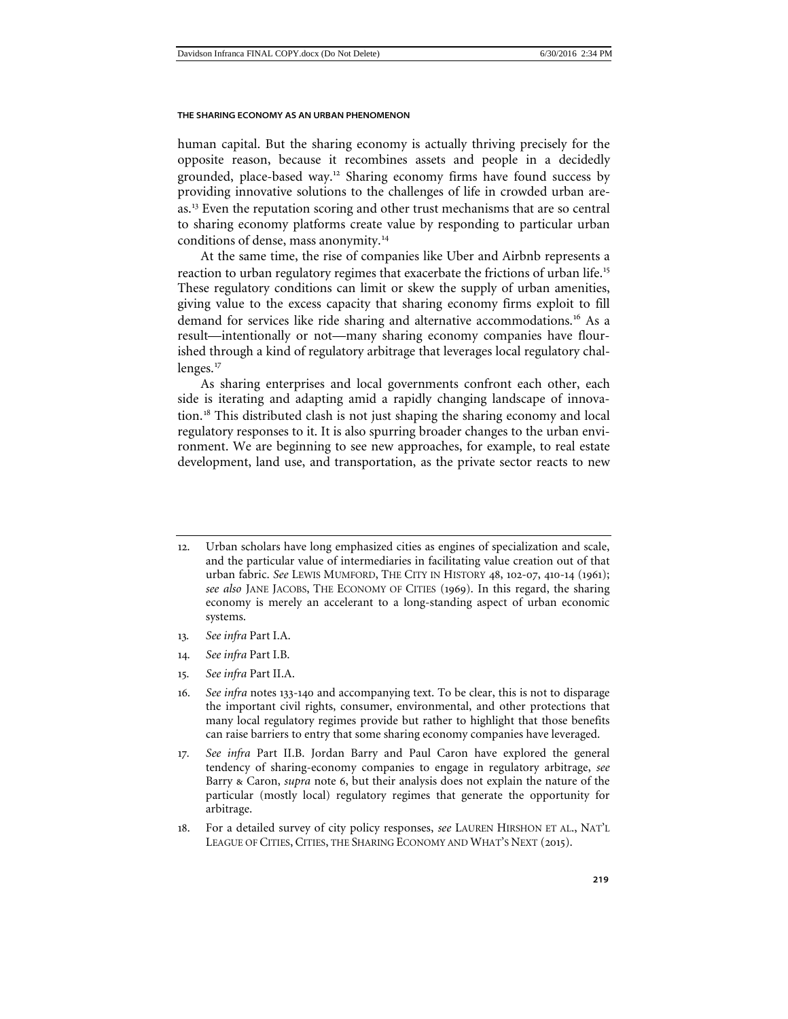<span id="page-4-7"></span>human capital. But the sharing economy is actually thriving precisely for the opposite reason, because it recombines assets and people in a decidedly grounded, place-based way.<sup>[12](#page-4-0)</sup> Sharing economy firms have found success by providing innovative solutions to the challenges of life in crowded urban are-as.<sup>[13](#page-4-1)</sup> Even the reputation scoring and other trust mechanisms that are so central to sharing economy platforms create value by responding to particular urban conditions of dense, mass anonymity.[14](#page-4-2)

At the same time, the rise of companies like Uber and Airbnb represents a reaction to urban regulatory regimes that exacerbate the frictions of urban life.<sup>[15](#page-4-3)</sup> These regulatory conditions can limit or skew the supply of urban amenities, giving value to the excess capacity that sharing economy firms exploit to fill demand for services like ride sharing and alternative accommodations.<sup>[16](#page-4-4)</sup> As a result—intentionally or not—many sharing economy companies have flourished through a kind of regulatory arbitrage that leverages local regulatory chal-lenges.<sup>[17](#page-4-5)</sup>

<span id="page-4-8"></span>As sharing enterprises and local governments confront each other, each side is iterating and adapting amid a rapidly changing landscape of innovation.[18](#page-4-6) This distributed clash is not just shaping the sharing economy and local regulatory responses to it. It is also spurring broader changes to the urban environment. We are beginning to see new approaches, for example, to real estate development, land use, and transportation, as the private sector reacts to new

- <span id="page-4-2"></span><span id="page-4-1"></span>13*. See infra* Part I.A.
- 14*. See infra* Part I.B.
- <span id="page-4-3"></span>15*. See infra* Part II.A.
- <span id="page-4-4"></span>16*. See infra* notes 133-[140](#page-29-0) and accompanying text. To be clear, this is not to disparage the important civil rights, consumer, environmental, and other protections that many local regulatory regimes provide but rather to highlight that those benefits can raise barriers to entry that some sharing economy companies have leveraged.
- <span id="page-4-5"></span>17*. See infra* Part II.B. Jordan Barry and Paul Caron have explored the general tendency of sharing-economy companies to engage in regulatory arbitrage, *see*  Barry & Caron, *supra* note 6, but their analysis does not explain the nature of the particular (mostly local) regulatory regimes that generate the opportunity for arbitrage.
- <span id="page-4-6"></span>18. For a detailed survey of city policy responses, *see* LAUREN HIRSHON ET AL., NAT'L LEAGUE OF CITIES, CITIES, THE SHARING ECONOMY AND WHAT'S NEXT (2015).

<span id="page-4-0"></span><sup>12</sup>. Urban scholars have long emphasized cities as engines of specialization and scale, and the particular value of intermediaries in facilitating value creation out of that urban fabric. *See* LEWIS MUMFORD, THE CITY IN HISTORY 48, 102-07, 410-14 (1961); *see also* JANE JACOBS, THE ECONOMY OF CITIES (1969). In this regard, the sharing economy is merely an accelerant to a long-standing aspect of urban economic systems.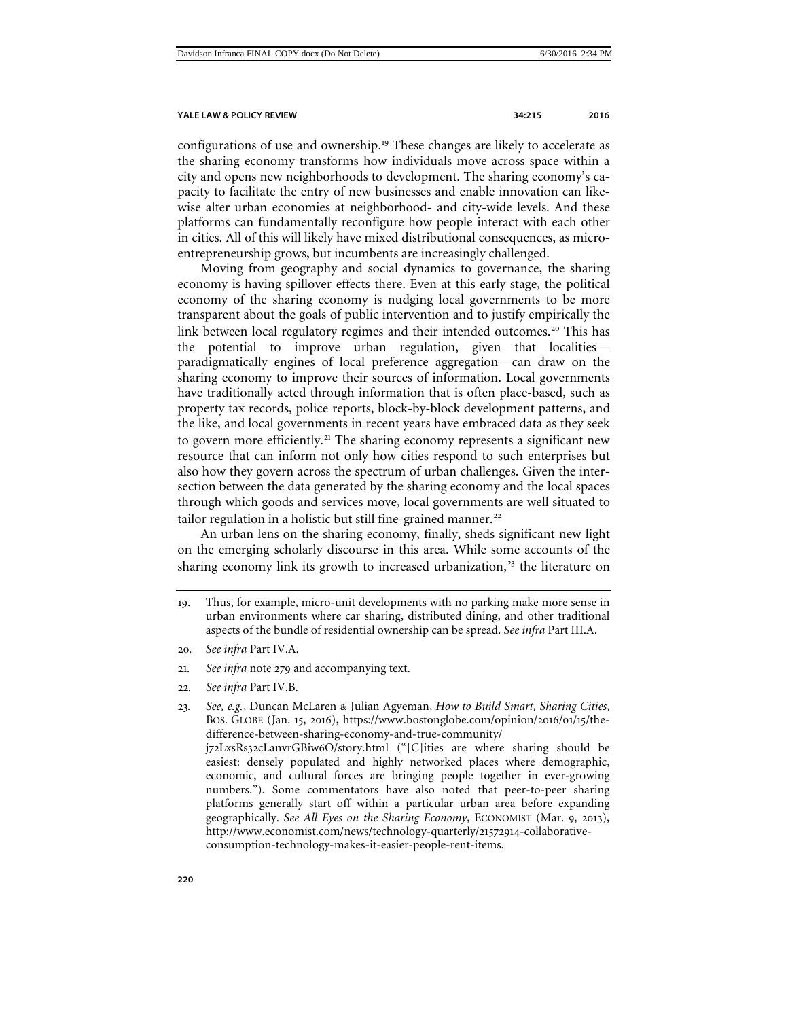configurations of use and ownership.<sup>[19](#page-5-0)</sup> These changes are likely to accelerate as the sharing economy transforms how individuals move across space within a city and opens new neighborhoods to development. The sharing economy's capacity to facilitate the entry of new businesses and enable innovation can likewise alter urban economies at neighborhood- and city-wide levels. And these platforms can fundamentally reconfigure how people interact with each other in cities. All of this will likely have mixed distributional consequences, as microentrepreneurship grows, but incumbents are increasingly challenged.

Moving from geography and social dynamics to governance, the sharing economy is having spillover effects there. Even at this early stage, the political economy of the sharing economy is nudging local governments to be more transparent about the goals of public intervention and to justify empirically the link between local regulatory regimes and their intended outcomes.<sup>[20](#page-5-1)</sup> This has the potential to improve urban regulation, given that localities paradigmatically engines of local preference aggregation—can draw on the sharing economy to improve their sources of information. Local governments have traditionally acted through information that is often place-based, such as property tax records, police reports, block-by-block development patterns, and the like, and local governments in recent years have embraced data as they seek to govern more efficiently.<sup>[21](#page-5-2)</sup> The sharing economy represents a significant new resource that can inform not only how cities respond to such enterprises but also how they govern across the spectrum of urban challenges. Given the intersection between the data generated by the sharing economy and the local spaces through which goods and services move, local governments are well situated to tailor regulation in a holistic but still fine-grained manner.<sup>[22](#page-5-3)</sup>

An urban lens on the sharing economy, finally, sheds significant new light on the emerging scholarly discourse in this area. While some accounts of the sharing economy link its growth to increased urbanization, $23$  the literature on

- <span id="page-5-1"></span>20*. See infra* Part IV.A.
- <span id="page-5-2"></span>21*. See infra* note [279](#page-59-0) and accompanying text.
- <span id="page-5-3"></span>22*. See infra* Part IV.B.
- <span id="page-5-4"></span>23*. See, e.g.*, Duncan McLaren & Julian Agyeman, *How to Build Smart, Sharing Cities*, BOS. GLOBE (Jan. 15, 2016), https://www.bostonglobe.com/opinion/2016/01/15/thedifference-between-sharing-economy-and-true-community/ j72LxsRs32cLanvrGBiw6O/story.html ("[C]ities are where sharing should be easiest: densely populated and highly networked places where demographic, economic, and cultural forces are bringing people together in ever-growing numbers."). Some commentators have also noted that peer-to-peer sharing platforms generally start off within a particular urban area before expanding geographically. *See All Eyes on the Sharing Economy*, ECONOMIST (Mar. 9, 2013), http://www.economist.com/news/technology-quarterly/21572914-collaborativeconsumption-technology-makes-it-easier-people-rent-items.

<span id="page-5-0"></span><sup>19</sup>. Thus, for example, micro-unit developments with no parking make more sense in urban environments where car sharing, distributed dining, and other traditional aspects of the bundle of residential ownership can be spread. *See infra* Part III.A.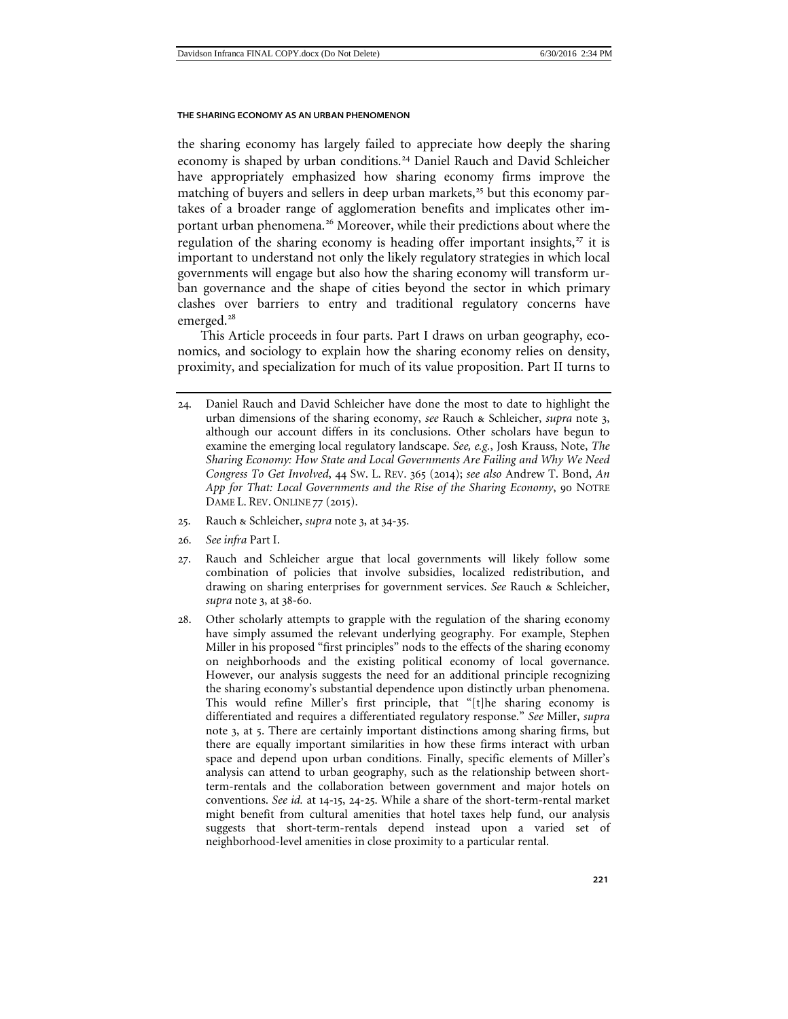the sharing economy has largely failed to appreciate how deeply the sharing economy is shaped by urban conditions.<sup>[24](#page-6-0)</sup> Daniel Rauch and David Schleicher have appropriately emphasized how sharing economy firms improve the matching of buyers and sellers in deep urban markets, $^{25}$  $^{25}$  $^{25}$  but this economy partakes of a broader range of agglomeration benefits and implicates other important urban phenomena.[26](#page-6-2) Moreover, while their predictions about where the regulation of the sharing economy is heading offer important insights, $27$  it is important to understand not only the likely regulatory strategies in which local governments will engage but also how the sharing economy will transform urban governance and the shape of cities beyond the sector in which primary clashes over barriers to entry and traditional regulatory concerns have emerged.<sup>[28](#page-6-4)</sup>

This Article proceeds in four parts. Part I draws on urban geography, economics, and sociology to explain how the sharing economy relies on density, proximity, and specialization for much of its value proposition. Part II turns to

- <span id="page-6-1"></span>25. Rauch & Schleicher, *supra* note 3, at 34-35.
- <span id="page-6-2"></span>26*. See infra* Part I.
- <span id="page-6-3"></span>27. Rauch and Schleicher argue that local governments will likely follow some combination of policies that involve subsidies, localized redistribution, and drawing on sharing enterprises for government services. *See* Rauch & Schleicher, *supra* note 3, at 38-60.
- <span id="page-6-4"></span>28. Other scholarly attempts to grapple with the regulation of the sharing economy have simply assumed the relevant underlying geography. For example, Stephen Miller in his proposed "first principles" nods to the effects of the sharing economy on neighborhoods and the existing political economy of local governance. However, our analysis suggests the need for an additional principle recognizing the sharing economy's substantial dependence upon distinctly urban phenomena. This would refine Miller's first principle, that "[t]he sharing economy is differentiated and requires a differentiated regulatory response." *See* Miller, *supra*  note [3](#page-1-4), at 5. There are certainly important distinctions among sharing firms, but there are equally important similarities in how these firms interact with urban space and depend upon urban conditions. Finally, specific elements of Miller's analysis can attend to urban geography, such as the relationship between shortterm-rentals and the collaboration between government and major hotels on conventions. *See id.* at 14-15, 24-25. While a share of the short-term-rental market might benefit from cultural amenities that hotel taxes help fund, our analysis suggests that short-term-rentals depend instead upon a varied set of neighborhood-level amenities in close proximity to a particular rental.

<span id="page-6-0"></span><sup>24</sup>. Daniel Rauch and David Schleicher have done the most to date to highlight the urban dimensions of the sharing economy, *see* Rauch & Schleicher, *supra* note 3, although our account differs in its conclusions. Other scholars have begun to examine the emerging local regulatory landscape. *See, e.g.*, Josh Krauss, Note, *The Sharing Economy: How State and Local Governments Are Failing and Why We Need Congress To Get Involved*, 44 SW. L. REV. 365 (2014); *see also* Andrew T. Bond, *An App for That: Local Governments and the Rise of the Sharing Economy*, 90 NOTRE DAME L. REV. ONLINE 77 (2015).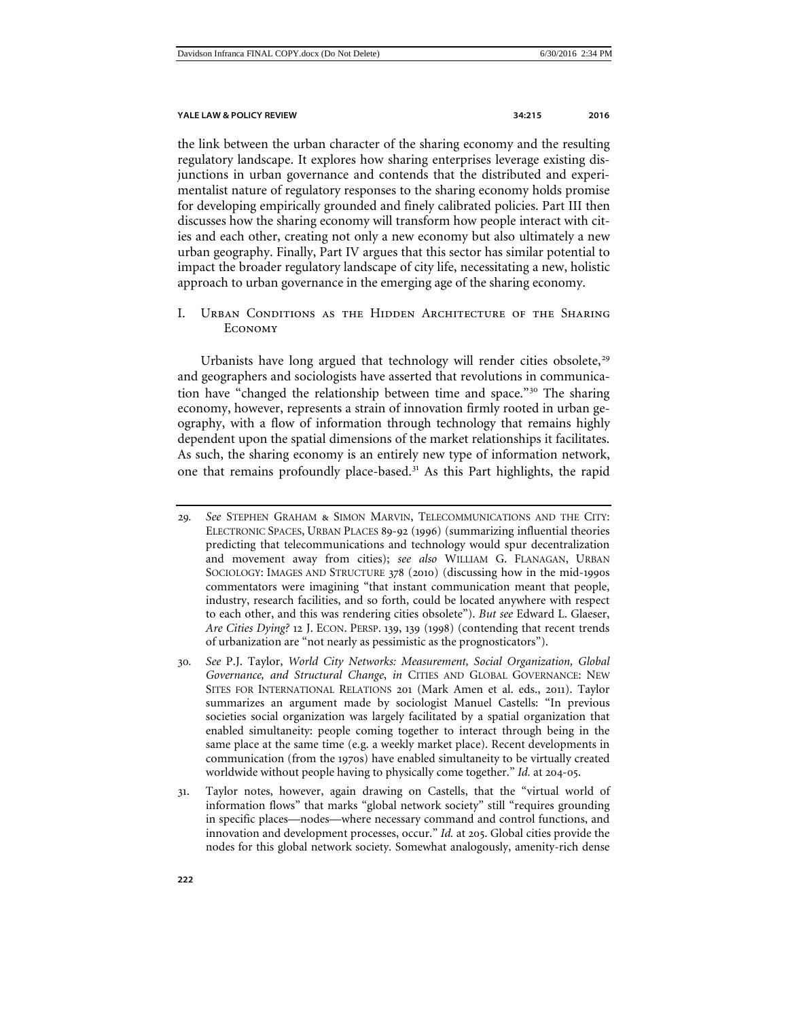the link between the urban character of the sharing economy and the resulting regulatory landscape. It explores how sharing enterprises leverage existing disjunctions in urban governance and contends that the distributed and experimentalist nature of regulatory responses to the sharing economy holds promise for developing empirically grounded and finely calibrated policies. Part III then discusses how the sharing economy will transform how people interact with cities and each other, creating not only a new economy but also ultimately a new urban geography. Finally, Part IV argues that this sector has similar potential to impact the broader regulatory landscape of city life, necessitating a new, holistic approach to urban governance in the emerging age of the sharing economy.

<span id="page-7-0"></span>I. Urban Conditions as the Hidden Architecture of the Sharing Economy

Urbanists have long argued that technology will render cities obsolete,<sup>[29](#page-7-1)</sup> and geographers and sociologists have asserted that revolutions in communication have "changed the relationship between time and space."[30](#page-7-2) The sharing economy, however, represents a strain of innovation firmly rooted in urban geography, with a flow of information through technology that remains highly dependent upon the spatial dimensions of the market relationships it facilitates. As such, the sharing economy is an entirely new type of information network, one that remains profoundly place-based. $3<sup>1</sup>$  As this Part highlights, the rapid

- <span id="page-7-1"></span>29*. See* STEPHEN GRAHAM & SIMON MARVIN, TELECOMMUNICATIONS AND THE CITY: ELECTRONIC SPACES, URBAN PLACES 89-92 (1996) (summarizing influential theories predicting that telecommunications and technology would spur decentralization and movement away from cities); *see also* WILLIAM G. FLANAGAN, URBAN SOCIOLOGY: IMAGES AND STRUCTURE 378 (2010) (discussing how in the mid-1990s commentators were imagining "that instant communication meant that people, industry, research facilities, and so forth, could be located anywhere with respect to each other, and this was rendering cities obsolete"). *But see* Edward L. Glaeser, *Are Cities Dying?* 12 J. ECON. PERSP. 139, 139 (1998) (contending that recent trends of urbanization are "not nearly as pessimistic as the prognosticators").
- <span id="page-7-2"></span>30*. See* P.J. Taylor, *World City Networks: Measurement, Social Organization, Global Governance, and Structural Change*, *in* CITIES AND GLOBAL GOVERNANCE: NEW SITES FOR INTERNATIONAL RELATIONS 201 (Mark Amen et al. eds., 2011). Taylor summarizes an argument made by sociologist Manuel Castells: "In previous societies social organization was largely facilitated by a spatial organization that enabled simultaneity: people coming together to interact through being in the same place at the same time (e.g. a weekly market place). Recent developments in communication (from the 1970s) have enabled simultaneity to be virtually created worldwide without people having to physically come together." *Id.* at 204-05.
- <span id="page-7-3"></span>31. Taylor notes, however, again drawing on Castells, that the "virtual world of information flows" that marks "global network society" still "requires grounding in specific places—nodes—where necessary command and control functions, and innovation and development processes, occur." *Id.* at 205. Global cities provide the nodes for this global network society. Somewhat analogously, amenity-rich dense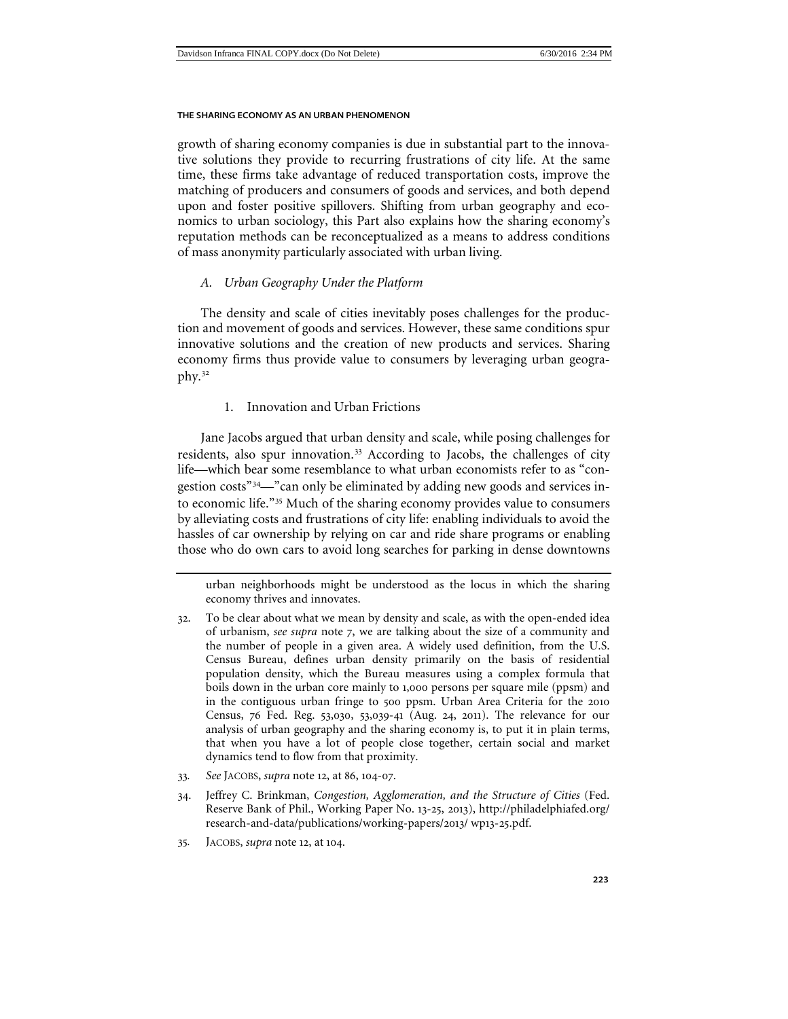growth of sharing economy companies is due in substantial part to the innovative solutions they provide to recurring frustrations of city life. At the same time, these firms take advantage of reduced transportation costs, improve the matching of producers and consumers of goods and services, and both depend upon and foster positive spillovers. Shifting from urban geography and economics to urban sociology, this Part also explains how the sharing economy's reputation methods can be reconceptualized as a means to address conditions of mass anonymity particularly associated with urban living.

# <span id="page-8-0"></span>*A. Urban Geography Under the Platform*

The density and scale of cities inevitably poses challenges for the production and movement of goods and services. However, these same conditions spur innovative solutions and the creation of new products and services. Sharing economy firms thus provide value to consumers by leveraging urban geography.[32](#page-8-2)

# 1. Innovation and Urban Frictions

<span id="page-8-1"></span>Jane Jacobs argued that urban density and scale, while posing challenges for residents, also spur innovation.<sup>[33](#page-8-3)</sup> According to Jacobs, the challenges of city life—which bear some resemblance to what urban economists refer to as "congestion costs"[34](#page-8-4)—"can only be eliminated by adding new goods and services into economic life."[35](#page-8-5) Much of the sharing economy provides value to consumers by alleviating costs and frustrations of city life: enabling individuals to avoid the hassles of car ownership by relying on car and ride share programs or enabling those who do own cars to avoid long searches for parking in dense downtowns

urban neighborhoods might be understood as the locus in which the sharing economy thrives and innovates.

- <span id="page-8-2"></span>32. To be clear about what we mean by density and scale, as with the open-ended idea of urbanism, *see supra* note 7, we are talking about the size of a community and the number of people in a given area. A widely used definition, from the U.S. Census Bureau, defines urban density primarily on the basis of residential population density, which the Bureau measures using a complex formula that boils down in the urban core mainly to 1,000 persons per square mile (ppsm) and in the contiguous urban fringe to 500 ppsm. Urban Area Criteria for the 2010 Census, 76 Fed. Reg. 53,030, 53,039-41 (Aug. 24, 2011). The relevance for our analysis of urban geography and the sharing economy is, to put it in plain terms, that when you have a lot of people close together, certain social and market dynamics tend to flow from that proximity.
- <span id="page-8-3"></span>33*. See* JACOBS, *supra* note 12, at 86, 104-07.
- <span id="page-8-4"></span>34. Jeffrey C. Brinkman, *Congestion, Agglomeration, and the Structure of Cities* (Fed. Reserve Bank of Phil., Working Paper No. 13-25, 2013), http://philadelphiafed.org/ research-and-data/publications/working-papers/2013/ wp13-25.pdf.
- <span id="page-8-5"></span>35*.* JACOBS, *supra* note 12, at 104.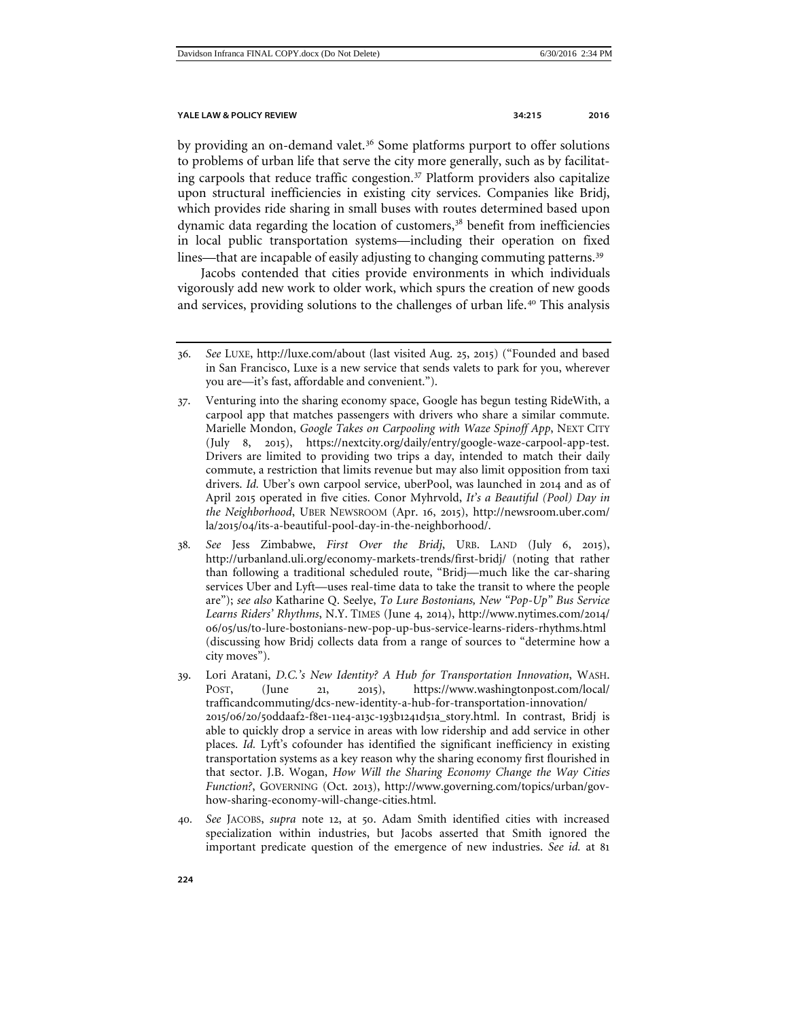by providing an on-demand valet.<sup>[36](#page-9-0)</sup> Some platforms purport to offer solutions to problems of urban life that serve the city more generally, such as by facilitating carpools that reduce traffic congestion.[37](#page-9-1) Platform providers also capitalize upon structural inefficiencies in existing city services. Companies like Bridj, which provides ride sharing in small buses with routes determined based upon dynamic data regarding the location of customers,<sup>[38](#page-9-2)</sup> benefit from inefficiencies in local public transportation systems—including their operation on fixed lines—that are incapable of easily adjusting to changing commuting patterns.<sup>[39](#page-9-3)</sup>

Jacobs contended that cities provide environments in which individuals vigorously add new work to older work, which spurs the creation of new goods and services, providing solutions to the challenges of urban life.[40](#page-9-4) This analysis

- <span id="page-9-1"></span>37. Venturing into the sharing economy space, Google has begun testing RideWith, a carpool app that matches passengers with drivers who share a similar commute. Marielle Mondon, *Google Takes on Carpooling with Waze Spinoff App*, NEXT CITY (July 8, 2015), https://nextcity.org/daily/entry/google-waze-carpool-app-test. Drivers are limited to providing two trips a day, intended to match their daily commute, a restriction that limits revenue but may also limit opposition from taxi drivers. *Id.* Uber's own carpool service, uberPool, was launched in 2014 and as of April 2015 operated in five cities. Conor Myhrvold, *It's a Beautiful (Pool) Day in the Neighborhood*, UBER NEWSROOM (Apr. 16, 2015), http://newsroom.uber.com/ la/2015/04/its-a-beautiful-pool-day-in-the-neighborhood/.
- <span id="page-9-2"></span>38*. See* Jess Zimbabwe, *First Over the Bridj*, URB. LAND (July 6, 2015), http://urbanland.uli.org/economy-markets-trends/first-bridj/ (noting that rather than following a traditional scheduled route, "Bridj—much like the car-sharing services Uber and Lyft—uses real-time data to take the transit to where the people are"); *see also* Katharine Q. Seelye, *To Lure Bostonians, New "Pop-Up" Bus Service Learns Riders' Rhythms*, N.Y. TIMES (June 4, 2014), http://www.nytimes.com/2014/ 06/05/us/to-lure-bostonians-new-pop-up-bus-service-learns-riders-rhythms.html (discussing how Bridj collects data from a range of sources to "determine how a city moves").
- <span id="page-9-3"></span>39. Lori Aratani, *D.C.'s New Identity? A Hub for Transportation Innovation*, WASH. POST, (June 21, 2015), https://www.washingtonpost.com/local/ trafficandcommuting/dcs-new-identity-a-hub-for-transportation-innovation/ 2015/06/20/50ddaaf2-f8e1-11e4-a13c-193b1241d51a\_story.html. In contrast, Bridj is able to quickly drop a service in areas with low ridership and add service in other places. *Id.* Lyft's cofounder has identified the significant inefficiency in existing transportation systems as a key reason why the sharing economy first flourished in that sector. J.B. Wogan, *How Will the Sharing Economy Change the Way Cities Function?*, GOVERNING (Oct. 2013), http://www.governing.com/topics/urban/govhow-sharing-economy-will-change-cities.html.
- <span id="page-9-4"></span>40*. See* JACOBS, *supra* note [12](#page-4-7), at 50. Adam Smith identified cities with increased specialization within industries, but Jacobs asserted that Smith ignored the important predicate question of the emergence of new industries. *See id.* at 81

<span id="page-9-0"></span><sup>36</sup>*. See* LUXE, http://luxe.com/about (last visited Aug. 25, 2015) ("Founded and based in San Francisco, Luxe is a new service that sends valets to park for you, wherever you are—it's fast, affordable and convenient.").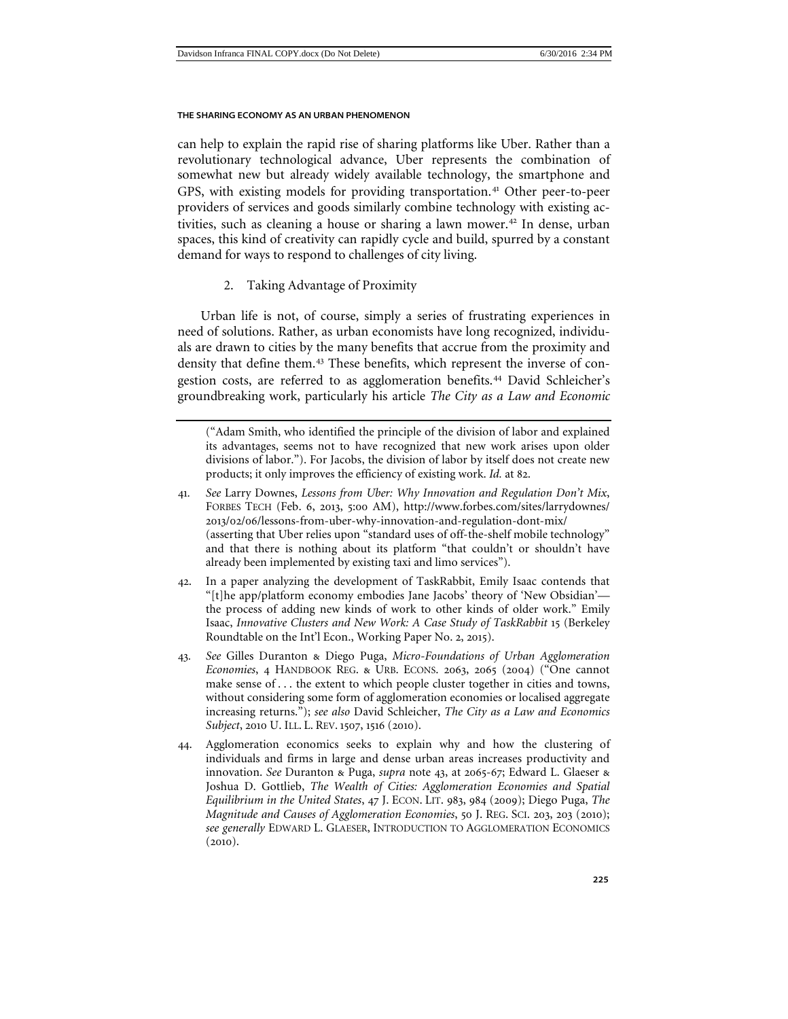can help to explain the rapid rise of sharing platforms like Uber. Rather than a revolutionary technological advance, Uber represents the combination of somewhat new but already widely available technology, the smartphone and GPS, with existing models for providing transportation.<sup>[41](#page-10-2)</sup> Other peer-to-peer providers of services and goods similarly combine technology with existing ac-tivities, such as cleaning a house or sharing a lawn mower.<sup>[42](#page-10-3)</sup> In dense, urban spaces, this kind of creativity can rapidly cycle and build, spurred by a constant demand for ways to respond to challenges of city living.

<span id="page-10-6"></span><span id="page-10-1"></span>2. Taking Advantage of Proximity

<span id="page-10-0"></span>Urban life is not, of course, simply a series of frustrating experiences in need of solutions. Rather, as urban economists have long recognized, individuals are drawn to cities by the many benefits that accrue from the proximity and density that define them.<sup>[43](#page-10-4)</sup> These benefits, which represent the inverse of con-gestion costs, are referred to as agglomeration benefits.<sup>[44](#page-10-5)</sup> David Schleicher's groundbreaking work, particularly his article *The City as a Law and Economic* 

("Adam Smith, who identified the principle of the division of labor and explained its advantages, seems not to have recognized that new work arises upon older divisions of labor."). For Jacobs, the division of labor by itself does not create new products; it only improves the efficiency of existing work. *Id.* at 82.

- <span id="page-10-2"></span>41*. See* Larry Downes, *Lessons from Uber: Why Innovation and Regulation Don't Mix*, FORBES TECH (Feb. 6, 2013, 5:00 AM), http://www.forbes.com/sites/larrydownes/ 2013/02/06/lessons-from-uber-why-innovation-and-regulation-dont-mix/ (asserting that Uber relies upon "standard uses of off-the-shelf mobile technology" and that there is nothing about its platform "that couldn't or shouldn't have already been implemented by existing taxi and limo services").
- <span id="page-10-3"></span>42. In a paper analyzing the development of TaskRabbit, Emily Isaac contends that "[t]he app/platform economy embodies Jane Jacobs' theory of 'New Obsidian' the process of adding new kinds of work to other kinds of older work." Emily Isaac, *Innovative Clusters and New Work: A Case Study of TaskRabbit* 15 (Berkeley Roundtable on the Int'l Econ., Working Paper No. 2, 2015).
- <span id="page-10-4"></span>43*. See* Gilles Duranton & Diego Puga, *Micro-Foundations of Urban Agglomeration Economies*, 4 HANDBOOK REG. & URB. ECONS. 2063, 2065 (2004) ("One cannot make sense of . . . the extent to which people cluster together in cities and towns, without considering some form of agglomeration economies or localised aggregate increasing returns."); *see also* David Schleicher, *The City as a Law and Economics Subject*, 2010 U. ILL. L. REV. 1507, 1516 (2010).
- <span id="page-10-5"></span>44. Agglomeration economics seeks to explain why and how the clustering of individuals and firms in large and dense urban areas increases productivity and innovation. *See* Duranton & Puga, *supra* note [43](#page-10-1), at 2065-67; Edward L. Glaeser & Joshua D. Gottlieb, *The Wealth of Cities: Agglomeration Economies and Spatial Equilibrium in the United States*, 47 J. ECON. LIT. 983, 984 (2009); Diego Puga, *The Magnitude and Causes of Agglomeration Economies*, 50 J. REG. SCI. 203, 203 (2010); *see generally* EDWARD L. GLAESER, INTRODUCTION TO AGGLOMERATION ECONOMICS  $(2010).$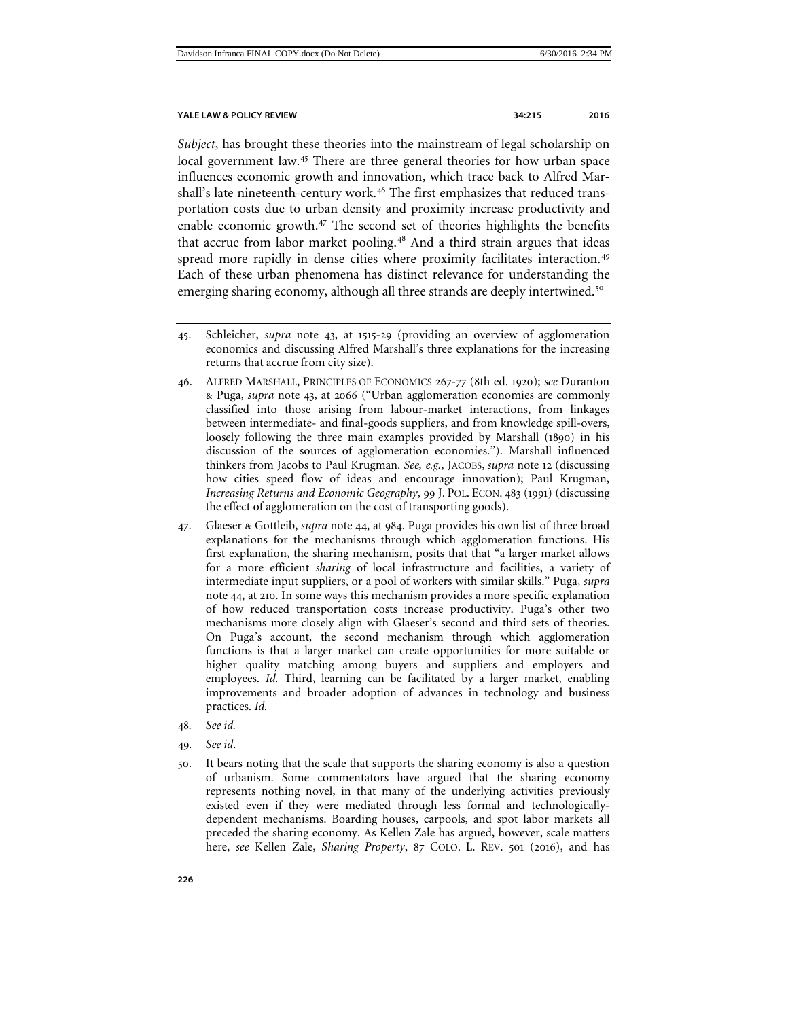*Subject*, has brought these theories into the mainstream of legal scholarship on local government law.<sup>[45](#page-11-0)</sup> There are three general theories for how urban space influences economic growth and innovation, which trace back to Alfred Mar-shall's late nineteenth-century work.<sup>[46](#page-11-1)</sup> The first emphasizes that reduced transportation costs due to urban density and proximity increase productivity and enable economic growth.<sup>[47](#page-11-2)</sup> The second set of theories highlights the benefits that accrue from labor market pooling.<sup>[48](#page-11-3)</sup> And a third strain argues that ideas spread more rapidly in dense cities where proximity facilitates interaction.<sup>[49](#page-11-4)</sup> Each of these urban phenomena has distinct relevance for understanding the emerging sharing economy, although all three strands are deeply intertwined.<sup>[50](#page-11-5)</sup>

- <span id="page-11-2"></span>47. Glaeser & Gottleib, *supra* note 44, at 984. Puga provides his own list of three broad explanations for the mechanisms through which agglomeration functions. His first explanation, the sharing mechanism, posits that that "a larger market allows for a more efficient *sharing* of local infrastructure and facilities, a variety of intermediate input suppliers, or a pool of workers with similar skills." Puga, *supra*  note 44, at 210. In some ways this mechanism provides a more specific explanation of how reduced transportation costs increase productivity. Puga's other two mechanisms more closely align with Glaeser's second and third sets of theories. On Puga's account, the second mechanism through which agglomeration functions is that a larger market can create opportunities for more suitable or higher quality matching among buyers and suppliers and employers and employees. *Id.* Third, learning can be facilitated by a larger market, enabling improvements and broader adoption of advances in technology and business practices. *Id.*
- <span id="page-11-3"></span>48*. See id.*
- <span id="page-11-4"></span>49*. See id*.
- <span id="page-11-5"></span>50. It bears noting that the scale that supports the sharing economy is also a question of urbanism. Some commentators have argued that the sharing economy represents nothing novel, in that many of the underlying activities previously existed even if they were mediated through less formal and technologicallydependent mechanisms. Boarding houses, carpools, and spot labor markets all preceded the sharing economy. As Kellen Zale has argued, however, scale matters here, *see* Kellen Zale, *Sharing Property*, 87 COLO. L. REV. 501 (2016), and has

<span id="page-11-0"></span><sup>45</sup>. Schleicher, *supra* note [43](#page-10-1), at 1515-29 (providing an overview of agglomeration economics and discussing Alfred Marshall's three explanations for the increasing returns that accrue from city size).

<span id="page-11-1"></span><sup>46</sup>. ALFRED MARSHALL, PRINCIPLES OF ECONOMICS 267-77 (8th ed. 1920); *see* Duranton & Puga, *supra* note [43](#page-10-1), at 2066 ("Urban agglomeration economies are commonly classified into those arising from labour-market interactions, from linkages between intermediate- and final-goods suppliers, and from knowledge spill-overs, loosely following the three main examples provided by Marshall (1890) in his discussion of the sources of agglomeration economies."). Marshall influenced thinkers from Jacobs to Paul Krugman. *See, e.g.*, JACOBS, *supra* note 12 (discussing how cities speed flow of ideas and encourage innovation); Paul Krugman, *Increasing Returns and Economic Geography*, 99 J. POL. ECON. 483 (1991) (discussing the effect of agglomeration on the cost of transporting goods).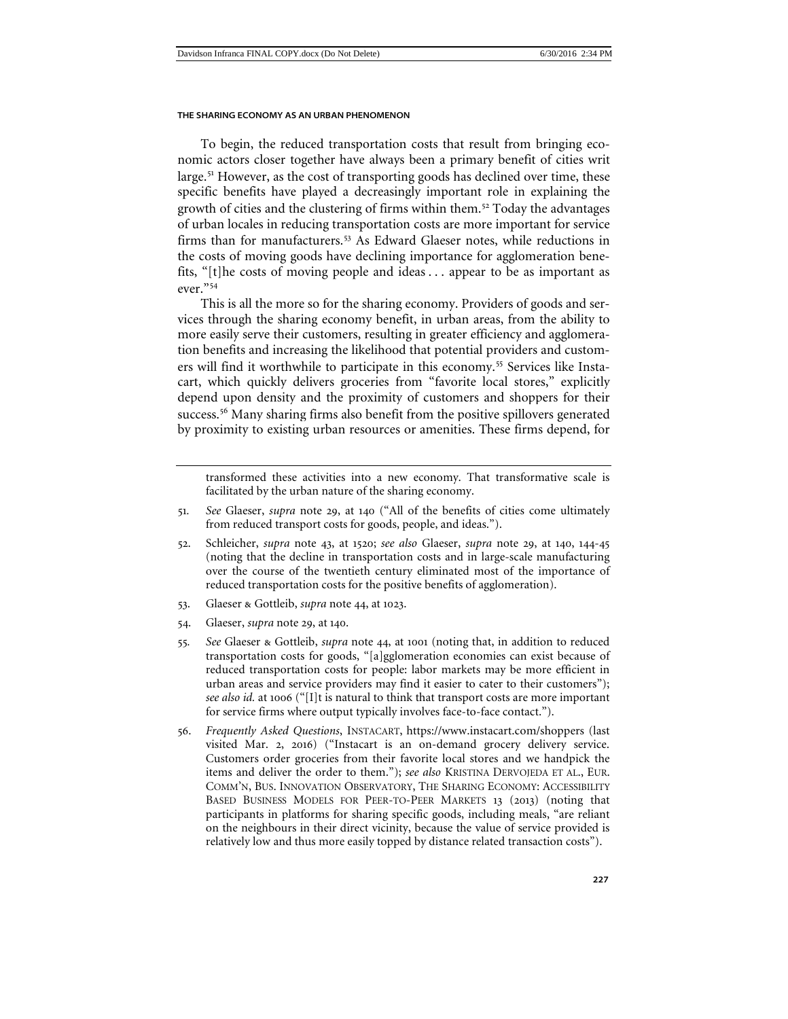To begin, the reduced transportation costs that result from bringing economic actors closer together have always been a primary benefit of cities writ large.[51](#page-12-0) However, as the cost of transporting goods has declined over time, these specific benefits have played a decreasingly important role in explaining the growth of cities and the clustering of firms within them.[52](#page-12-1) Today the advantages of urban locales in reducing transportation costs are more important for service firms than for manufacturers.[53](#page-12-2) As Edward Glaeser notes, while reductions in the costs of moving goods have declining importance for agglomeration benefits, "[t]he costs of moving people and ideas . . . appear to be as important as ever."[54](#page-12-3)

This is all the more so for the sharing economy. Providers of goods and services through the sharing economy benefit, in urban areas, from the ability to more easily serve their customers, resulting in greater efficiency and agglomeration benefits and increasing the likelihood that potential providers and custom-ers will find it worthwhile to participate in this economy.<sup>[55](#page-12-4)</sup> Services like Instacart, which quickly delivers groceries from "favorite local stores," explicitly depend upon density and the proximity of customers and shoppers for their success.<sup>[56](#page-12-5)</sup> Many sharing firms also benefit from the positive spillovers generated by proximity to existing urban resources or amenities. These firms depend, for

transformed these activities into a new economy. That transformative scale is facilitated by the urban nature of the sharing economy.

- <span id="page-12-0"></span>51*. See* Glaeser, *supra* note 29, at 140 ("All of the benefits of cities come ultimately from reduced transport costs for goods, people, and ideas.").
- <span id="page-12-1"></span>52. Schleicher, *supra* note 43, at 1520; *see also* Glaeser, *supra* note 29, at 140, 144-45 (noting that the decline in transportation costs and in large-scale manufacturing over the course of the twentieth century eliminated most of the importance of reduced transportation costs for the positive benefits of agglomeration).
- <span id="page-12-2"></span>53. Glaeser & Gottleib, *supra* note 44, at 1023.
- <span id="page-12-3"></span>54. Glaeser, *supra* note 29, at 140.
- <span id="page-12-4"></span>55*. See* Glaeser & Gottleib, *supra* note 44, at 1001 (noting that, in addition to reduced transportation costs for goods, "[a]gglomeration economies can exist because of reduced transportation costs for people: labor markets may be more efficient in urban areas and service providers may find it easier to cater to their customers"); *see also id.* at 1006 ("[I]t is natural to think that transport costs are more important for service firms where output typically involves face-to-face contact.").
- <span id="page-12-5"></span>56. *Frequently Asked Questions*, INSTACART, https://www.instacart.com/shoppers (last visited Mar. 2, 2016) ("Instacart is an on-demand grocery delivery service. Customers order groceries from their favorite local stores and we handpick the items and deliver the order to them."); *see also* KRISTINA DERVOJEDA ET AL., EUR. COMM'N, BUS. INNOVATION OBSERVATORY, THE SHARING ECONOMY: ACCESSIBILITY BASED BUSINESS MODELS FOR PEER-TO-PEER MARKETS 13 (2013) (noting that participants in platforms for sharing specific goods, including meals, "are reliant on the neighbours in their direct vicinity, because the value of service provided is relatively low and thus more easily topped by distance related transaction costs").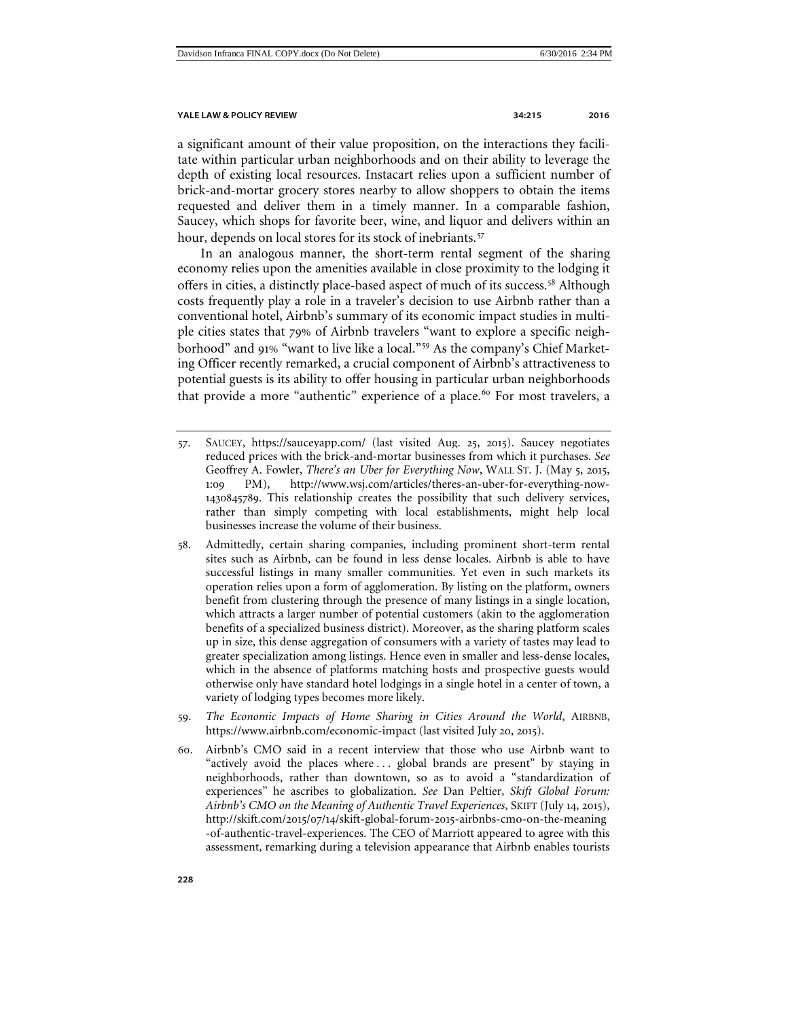<span id="page-13-5"></span><span id="page-13-4"></span>

a significant amount of their value proposition, on the interactions they facilitate within particular urban neighborhoods and on their ability to leverage the depth of existing local resources. Instacart relies upon a sufficient number of brick-and-mortar grocery stores nearby to allow shoppers to obtain the items requested and deliver them in a timely manner. In a comparable fashion, Saucey, which shops for favorite beer, wine, and liquor and delivers within an hour, depends on local stores for its stock of inebriants.<sup>[57](#page-13-0)</sup>

In an analogous manner, the short-term rental segment of the sharing economy relies upon the amenities available in close proximity to the lodging it offers in cities, a distinctly place-based aspect of much of its success.<sup>[58](#page-13-1)</sup> Although costs frequently play a role in a traveler's decision to use Airbnb rather than a conventional hotel, Airbnb's summary of its economic impact studies in multiple cities states that 79% of Airbnb travelers "want to explore a specific neighborhood" and 91% "want to live like a local."[59](#page-13-2) As the company's Chief Marketing Officer recently remarked, a crucial component of Airbnb's attractiveness to potential guests is its ability to offer housing in particular urban neighborhoods that provide a more "authentic" experience of a place.<sup>[60](#page-13-3)</sup> For most travelers, a

- <span id="page-13-1"></span>58. Admittedly, certain sharing companies, including prominent short-term rental sites such as Airbnb, can be found in less dense locales. Airbnb is able to have successful listings in many smaller communities. Yet even in such markets its operation relies upon a form of agglomeration. By listing on the platform, owners benefit from clustering through the presence of many listings in a single location, which attracts a larger number of potential customers (akin to the agglomeration benefits of a specialized business district). Moreover, as the sharing platform scales up in size, this dense aggregation of consumers with a variety of tastes may lead to greater specialization among listings. Hence even in smaller and less-dense locales, which in the absence of platforms matching hosts and prospective guests would otherwise only have standard hotel lodgings in a single hotel in a center of town, a variety of lodging types becomes more likely.
- <span id="page-13-2"></span>59. *The Economic Impacts of Home Sharing in Cities Around the World*, AIRBNB, https://www.airbnb.com/economic-impact (last visited July 20, 2015).
- <span id="page-13-3"></span>60. Airbnb's CMO said in a recent interview that those who use Airbnb want to "actively avoid the places where ... global brands are present" by staying in neighborhoods, rather than downtown, so as to avoid a "standardization of experiences" he ascribes to globalization. *See* Dan Peltier, *Skift Global Forum: Airbnb's CMO on the Meaning of Authentic Travel Experiences*, SKIFT (July 14, 2015), http://skift.com/2015/07/14/skift-global-forum-2015-airbnbs-cmo-on-the-meaning -of-authentic-travel-experiences. The CEO of Marriott appeared to agree with this assessment, remarking during a television appearance that Airbnb enables tourists

<span id="page-13-0"></span><sup>57</sup>. SAUCEY, https://sauceyapp.com/ (last visited Aug. 25, 2015). Saucey negotiates reduced prices with the brick-and-mortar businesses from which it purchases. *See*  Geoffrey A. Fowler, *There's an Uber for Everything Now*, WALL ST. J. (May 5, 2015, 1:09 PM), http://www.wsj.com/articles/theres-an-uber-for-everything-now-1430845789. This relationship creates the possibility that such delivery services, rather than simply competing with local establishments, might help local businesses increase the volume of their business.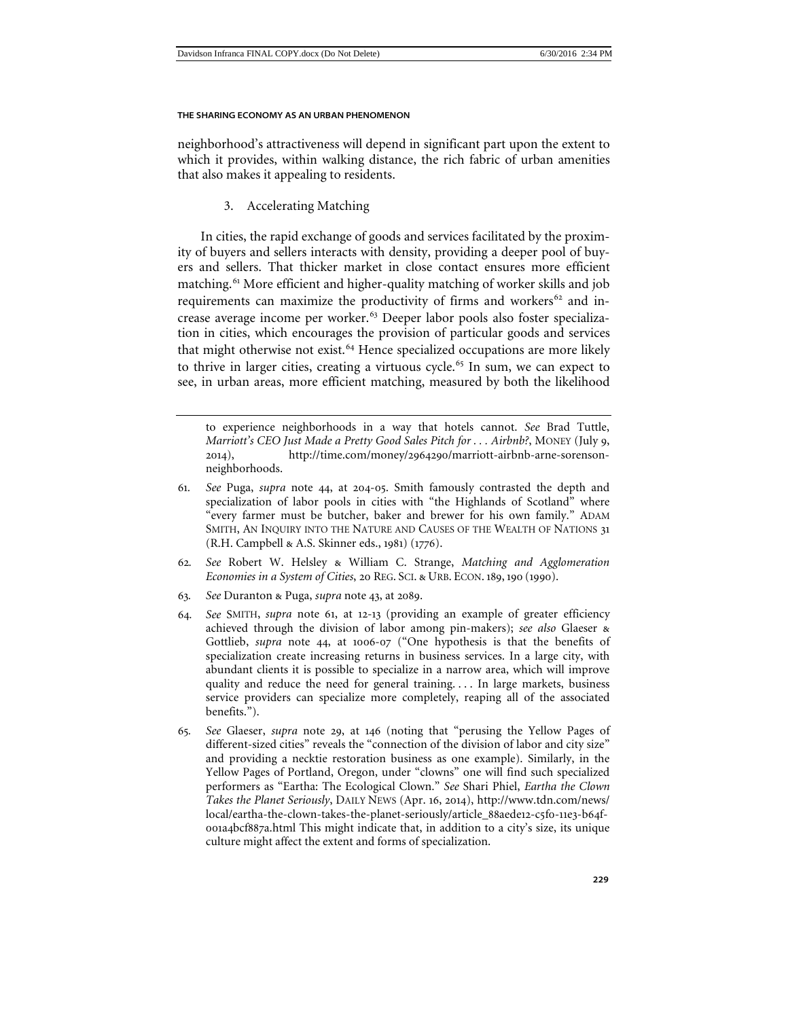neighborhood's attractiveness will depend in significant part upon the extent to which it provides, within walking distance, the rich fabric of urban amenities that also makes it appealing to residents.

3. Accelerating Matching

<span id="page-14-6"></span><span id="page-14-0"></span>In cities, the rapid exchange of goods and services facilitated by the proximity of buyers and sellers interacts with density, providing a deeper pool of buyers and sellers. That thicker market in close contact ensures more efficient matching.<sup>[61](#page-14-1)</sup> More efficient and higher-quality matching of worker skills and job requirements can maximize the productivity of firms and workers $62$  and in-crease average income per worker.<sup>[63](#page-14-3)</sup> Deeper labor pools also foster specialization in cities, which encourages the provision of particular goods and services that might otherwise not exist.<sup>[64](#page-14-4)</sup> Hence specialized occupations are more likely to thrive in larger cities, creating a virtuous cycle.<sup>[65](#page-14-5)</sup> In sum, we can expect to see, in urban areas, more efficient matching, measured by both the likelihood

to experience neighborhoods in a way that hotels cannot. *See* Brad Tuttle, *Marriott's CEO Just Made a Pretty Good Sales Pitch for . . . Airbnb?*, MONEY (July 9, 2014), http://time.com/money/2964290/marriott-airbnb-arne-sorensonneighborhoods.

- <span id="page-14-1"></span>61*. See* Puga, *supra* note 44, at 204-05. Smith famously contrasted the depth and specialization of labor pools in cities with "the Highlands of Scotland" where "every farmer must be butcher, baker and brewer for his own family." ADAM SMITH, AN INQUIRY INTO THE NATURE AND CAUSES OF THE WEALTH OF NATIONS 31 (R.H. Campbell & A.S. Skinner eds., 1981) (1776).
- <span id="page-14-2"></span>62*. See* Robert W. Helsley & William C. Strange, *Matching and Agglomeration Economies in a System of Cities*, 20 REG. SCI. & URB. ECON. 189, 190 (1990).
- <span id="page-14-3"></span>63*. See* Duranton & Puga, *supra* note [43](#page-10-1), at 2089.
- <span id="page-14-4"></span>64*. See* SMITH, *supra* note 61, at 12-13 (providing an example of greater efficiency achieved through the division of labor among pin-makers); *see also* Glaeser & Gottlieb, *supra* note 44, at 1006-07 ("One hypothesis is that the benefits of specialization create increasing returns in business services. In a large city, with abundant clients it is possible to specialize in a narrow area, which will improve quality and reduce the need for general training. . . . In large markets, business service providers can specialize more completely, reaping all of the associated benefits.").
- <span id="page-14-5"></span>65*. See* Glaeser, *supra* note 29, at 146 (noting that "perusing the Yellow Pages of different-sized cities" reveals the "connection of the division of labor and city size" and providing a necktie restoration business as one example). Similarly, in the Yellow Pages of Portland, Oregon, under "clowns" one will find such specialized performers as "Eartha: The Ecological Clown." *See* Shari Phiel, *Eartha the Clown Takes the Planet Seriously*, DAILY NEWS (Apr. 16, 2014), http://www.tdn.com/news/ local/eartha-the-clown-takes-the-planet-seriously/article\_88aede12-c5f0-11e3-b64f-001a4bcf887a.html This might indicate that, in addition to a city's size, its unique culture might affect the extent and forms of specialization.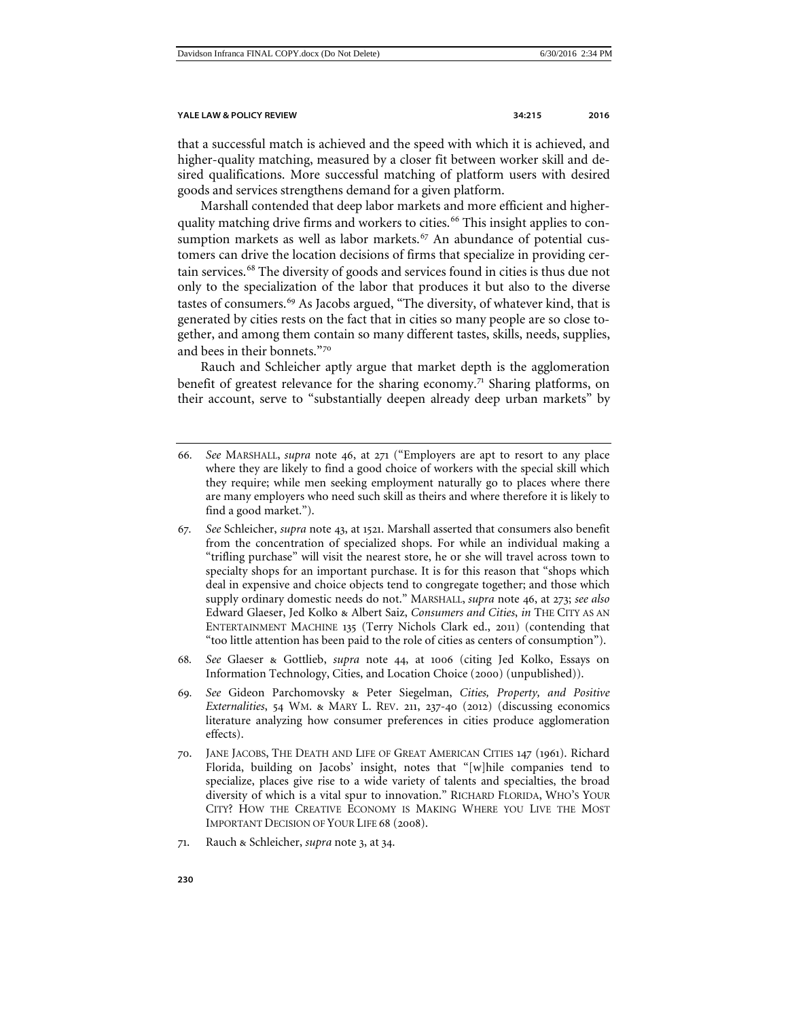that a successful match is achieved and the speed with which it is achieved, and higher-quality matching, measured by a closer fit between worker skill and desired qualifications. More successful matching of platform users with desired goods and services strengthens demand for a given platform.

Marshall contended that deep labor markets and more efficient and higher-quality matching drive firms and workers to cities.<sup>[66](#page-15-0)</sup> This insight applies to con-sumption markets as well as labor markets.<sup>[67](#page-15-1)</sup> An abundance of potential customers can drive the location decisions of firms that specialize in providing certain services.[68](#page-15-2) The diversity of goods and services found in cities is thus due not only to the specialization of the labor that produces it but also to the diverse tastes of consumers.<sup>[69](#page-15-3)</sup> As Jacobs argued, "The diversity, of whatever kind, that is generated by cities rests on the fact that in cities so many people are so close together, and among them contain so many different tastes, skills, needs, supplies, and bees in their bonnets."[70](#page-15-4)

<span id="page-15-6"></span>Rauch and Schleicher aptly argue that market depth is the agglomeration benefit of greatest relevance for the sharing economy.<sup>[71](#page-15-5)</sup> Sharing platforms, on their account, serve to "substantially deepen already deep urban markets" by

- <span id="page-15-0"></span>66*. See* MARSHALL, *supra* note 46, at 271 ("Employers are apt to resort to any place where they are likely to find a good choice of workers with the special skill which they require; while men seeking employment naturally go to places where there are many employers who need such skill as theirs and where therefore it is likely to find a good market.").
- <span id="page-15-1"></span>67*. See* Schleicher, *supra* note [43](#page-10-1), at 1521. Marshall asserted that consumers also benefit from the concentration of specialized shops. For while an individual making a "trifling purchase" will visit the nearest store, he or she will travel across town to specialty shops for an important purchase. It is for this reason that "shops which deal in expensive and choice objects tend to congregate together; and those which supply ordinary domestic needs do not." MARSHALL, *supra* note 46, at 273; *see also*  Edward Glaeser, Jed Kolko & Albert Saiz, *Consumers and Cities*, *in* THE CITY AS AN ENTERTAINMENT MACHINE 135 (Terry Nichols Clark ed., 2011) (contending that "too little attention has been paid to the role of cities as centers of consumption").
- <span id="page-15-2"></span>68*. See* Glaeser & Gottlieb, *supra* note 44, at 1006 (citing Jed Kolko, Essays on Information Technology, Cities, and Location Choice (2000) (unpublished)).
- <span id="page-15-3"></span>69*. See* Gideon Parchomovsky & Peter Siegelman, *Cities, Property, and Positive Externalities*, 54 WM. & MARY L. REV. 211, 237-40 (2012) (discussing economics literature analyzing how consumer preferences in cities produce agglomeration effects).
- <span id="page-15-4"></span>70. JANE JACOBS, THE DEATH AND LIFE OF GREAT AMERICAN CITIES 147 (1961). Richard Florida, building on Jacobs' insight, notes that "[w]hile companies tend to specialize, places give rise to a wide variety of talents and specialties, the broad diversity of which is a vital spur to innovation." RICHARD FLORIDA, WHO'S YOUR CITY? HOW THE CREATIVE ECONOMY IS MAKING WHERE YOU LIVE THE MOST IMPORTANT DECISION OF YOUR LIFE 68 (2008).
- <span id="page-15-5"></span>71. Rauch & Schleicher, *supra* note 3, at 34.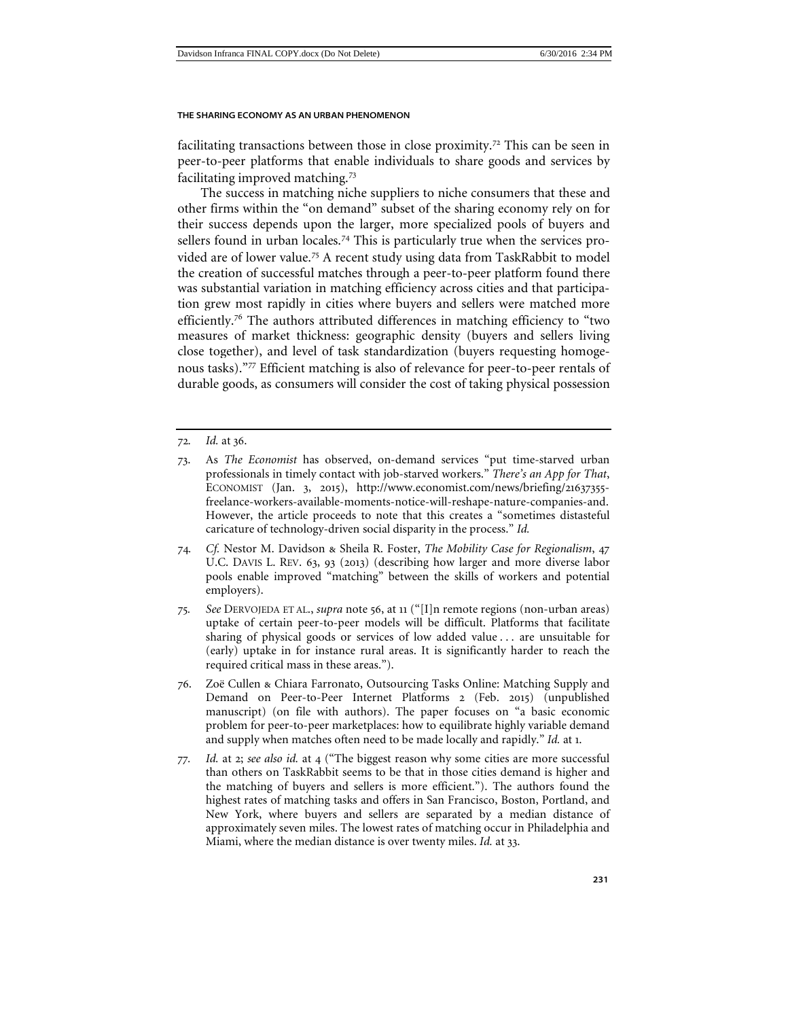facilitating transactions between those in close proximity.<sup>[72](#page-16-0)</sup> This can be seen in peer-to-peer platforms that enable individuals to share goods and services by facilitating improved matching.[73](#page-16-1)

The success in matching niche suppliers to niche consumers that these and other firms within the "on demand" subset of the sharing economy rely on for their success depends upon the larger, more specialized pools of buyers and sellers found in urban locales.<sup>[74](#page-16-2)</sup> This is particularly true when the services provided are of lower value.[75](#page-16-3) A recent study using data from TaskRabbit to model the creation of successful matches through a peer-to-peer platform found there was substantial variation in matching efficiency across cities and that participation grew most rapidly in cities where buyers and sellers were matched more efficiently.<sup>[76](#page-16-4)</sup> The authors attributed differences in matching efficiency to "two measures of market thickness: geographic density (buyers and sellers living close together), and level of task standardization (buyers requesting homogenous tasks)."[77](#page-16-5) Efficient matching is also of relevance for peer-to-peer rentals of durable goods, as consumers will consider the cost of taking physical possession

- <span id="page-16-0"></span>72*. Id.* at 36.
- <span id="page-16-1"></span>73. As *The Economist* has observed, on-demand services "put time-starved urban professionals in timely contact with job-starved workers." *There's an App for That*, ECONOMIST (Jan. 3, 2015), http://www.economist.com/news/briefing/21637355 freelance-workers-available-moments-notice-will-reshape-nature-companies-and. However, the article proceeds to note that this creates a "sometimes distasteful caricature of technology-driven social disparity in the process." *Id.*
- <span id="page-16-2"></span>74*. Cf.* Nestor M. Davidson & Sheila R. Foster, *The Mobility Case for Regionalism*, 47 U.C. DAVIS L. REV. 63, 93 (2013) (describing how larger and more diverse labor pools enable improved "matching" between the skills of workers and potential employers).
- <span id="page-16-3"></span>75*. See* DERVOJEDA ET AL., *supra* note 56, at 11 ("[I]n remote regions (non-urban areas) uptake of certain peer-to-peer models will be difficult. Platforms that facilitate sharing of physical goods or services of low added value . . . are unsuitable for (early) uptake in for instance rural areas. It is significantly harder to reach the required critical mass in these areas.").
- <span id="page-16-4"></span>76. Zoë Cullen & Chiara Farronato, Outsourcing Tasks Online: Matching Supply and Demand on Peer-to-Peer Internet Platforms 2 (Feb. 2015) (unpublished manuscript) (on file with authors). The paper focuses on "a basic economic problem for peer-to-peer marketplaces: how to equilibrate highly variable demand and supply when matches often need to be made locally and rapidly." *Id.* at 1.
- <span id="page-16-5"></span>77*. Id.* at 2; *see also id.* at 4 ("The biggest reason why some cities are more successful than others on TaskRabbit seems to be that in those cities demand is higher and the matching of buyers and sellers is more efficient."). The authors found the highest rates of matching tasks and offers in San Francisco, Boston, Portland, and New York, where buyers and sellers are separated by a median distance of approximately seven miles. The lowest rates of matching occur in Philadelphia and Miami, where the median distance is over twenty miles. *Id.* at 33.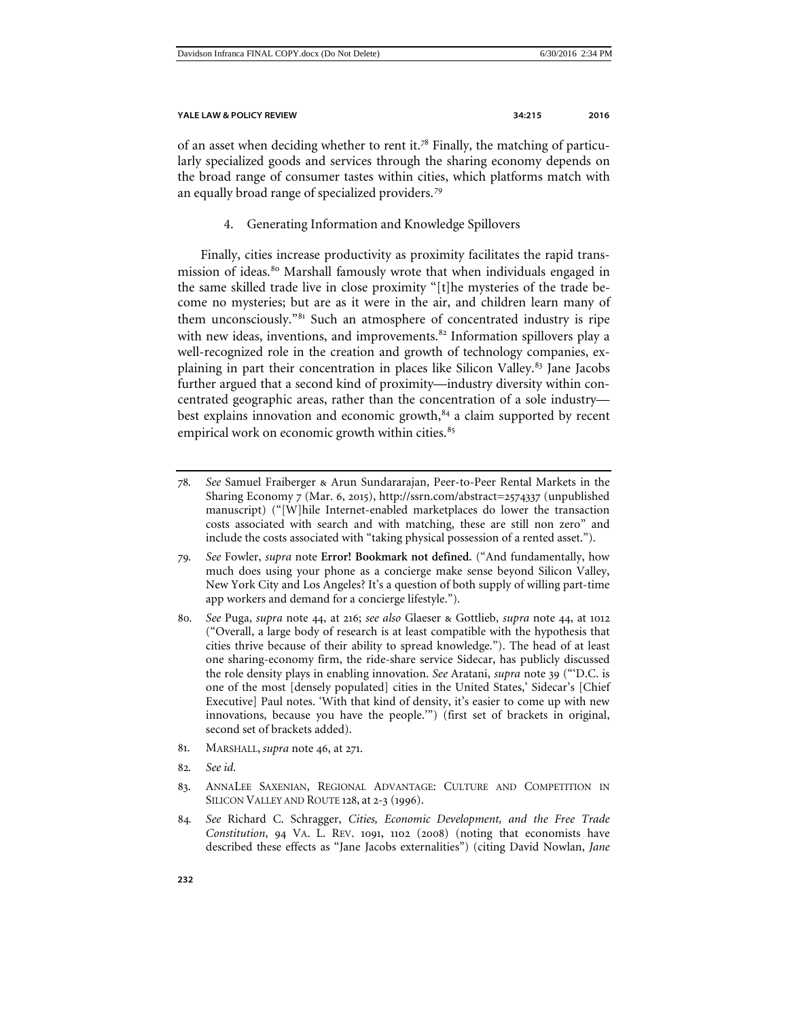of an asset when deciding whether to rent it.[78](#page-17-1) Finally, the matching of particularly specialized goods and services through the sharing economy depends on the broad range of consumer tastes within cities, which platforms match with an equally broad range of specialized providers.[79](#page-17-2)

4. Generating Information and Knowledge Spillovers

<span id="page-17-0"></span>Finally, cities increase productivity as proximity facilitates the rapid transmission of ideas.[80](#page-17-3) Marshall famously wrote that when individuals engaged in the same skilled trade live in close proximity "[t]he mysteries of the trade become no mysteries; but are as it were in the air, and children learn many of them unconsciously."<sup>[81](#page-17-4)</sup> Such an atmosphere of concentrated industry is ripe with new ideas, inventions, and improvements.<sup>[82](#page-17-5)</sup> Information spillovers play a well-recognized role in the creation and growth of technology companies, ex-plaining in part their concentration in places like Silicon Valley.<sup>[83](#page-17-6)</sup> Jane Jacobs further argued that a second kind of proximity—industry diversity within concentrated geographic areas, rather than the concentration of a sole industry— best explains innovation and economic growth,<sup>[84](#page-17-7)</sup> a claim supported by recent empirical work on economic growth within cities.<sup>[85](#page-17-8)</sup>

- <span id="page-17-8"></span><span id="page-17-2"></span>79*. See* Fowler, *supra* note **Error! Bookmark not defined.** ("And fundamentally, how much does using your phone as a concierge make sense beyond Silicon Valley, New York City and Los Angeles? It's a question of both supply of willing part-time app workers and demand for a concierge lifestyle.").
- <span id="page-17-3"></span>80*. See* Puga, *supra* note 44, at 216; *see also* Glaeser & Gottlieb, *supra* note 44, at 1012 ("Overall, a large body of research is at least compatible with the hypothesis that cities thrive because of their ability to spread knowledge."). The head of at least one sharing-economy firm, the ride-share service Sidecar, has publicly discussed the role density plays in enabling innovation. *See* Aratani, *supra* note [39](#page-9-5) ("'D.C. is one of the most [densely populated] cities in the United States,' Sidecar's [Chief Executive] Paul notes. 'With that kind of density, it's easier to come up with new innovations, because you have the people.'") (first set of brackets in original, second set of brackets added).
- <span id="page-17-4"></span>81. MARSHALL, *supra* note 46, at 271.
- <span id="page-17-5"></span>82*. See id*.
- <span id="page-17-6"></span>83. ANNALEE SAXENIAN, REGIONAL ADVANTAGE: CULTURE AND COMPETITION IN SILICON VALLEY AND ROUTE 128, at 2-3 (1996).
- <span id="page-17-7"></span>84*. See* Richard C. Schragger, *Cities, Economic Development, and the Free Trade Constitution*, 94 VA. L. REV. 1091, 1102 (2008) (noting that economists have described these effects as "Jane Jacobs externalities") (citing David Nowlan, *Jane*

<span id="page-17-1"></span><sup>78</sup>*. See* Samuel Fraiberger & Arun Sundararajan, Peer-to-Peer Rental Markets in the Sharing Economy 7 (Mar. 6, 2015), http://ssrn.com/abstract=2574337 (unpublished manuscript) ("[W]hile Internet-enabled marketplaces do lower the transaction costs associated with search and with matching, these are still non zero" and include the costs associated with "taking physical possession of a rented asset.").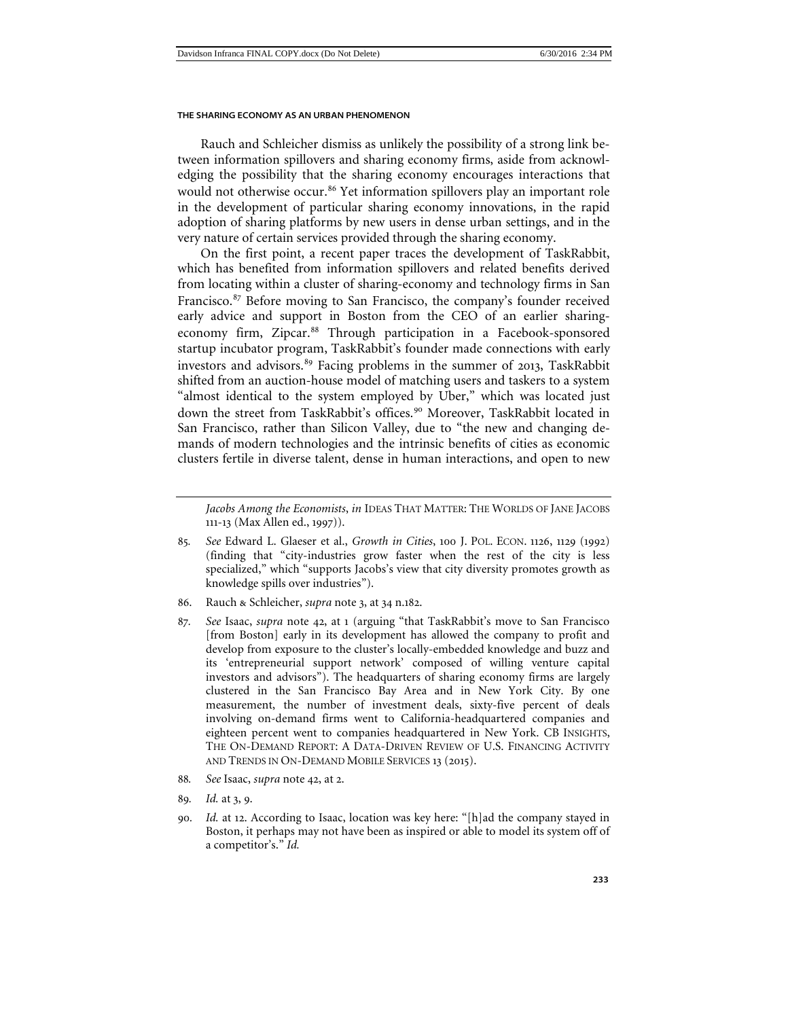Rauch and Schleicher dismiss as unlikely the possibility of a strong link between information spillovers and sharing economy firms, aside from acknowledging the possibility that the sharing economy encourages interactions that would not otherwise occur.<sup>[86](#page-18-0)</sup> Yet information spillovers play an important role in the development of particular sharing economy innovations, in the rapid adoption of sharing platforms by new users in dense urban settings, and in the very nature of certain services provided through the sharing economy.

On the first point, a recent paper traces the development of TaskRabbit, which has benefited from information spillovers and related benefits derived from locating within a cluster of sharing-economy and technology firms in San Francisco.<sup>[87](#page-18-1)</sup> Before moving to San Francisco, the company's founder received early advice and support in Boston from the CEO of an earlier sharing-economy firm, Zipcar.<sup>[88](#page-18-2)</sup> Through participation in a Facebook-sponsored startup incubator program, TaskRabbit's founder made connections with early investors and advisors.<sup>[89](#page-18-3)</sup> Facing problems in the summer of 2013, TaskRabbit shifted from an auction-house model of matching users and taskers to a system "almost identical to the system employed by Uber," which was located just down the street from TaskRabbit's offices.<sup>[90](#page-18-4)</sup> Moreover, TaskRabbit located in San Francisco, rather than Silicon Valley, due to "the new and changing demands of modern technologies and the intrinsic benefits of cities as economic clusters fertile in diverse talent, dense in human interactions, and open to new

- <span id="page-18-0"></span>86. Rauch & Schleicher, *supra* note 3, at 34 n.182.
- <span id="page-18-1"></span>87*. See* Isaac, *supra* note [42](#page-10-6), at 1 (arguing "that TaskRabbit's move to San Francisco [from Boston] early in its development has allowed the company to profit and develop from exposure to the cluster's locally-embedded knowledge and buzz and its 'entrepreneurial support network' composed of willing venture capital investors and advisors"). The headquarters of sharing economy firms are largely clustered in the San Francisco Bay Area and in New York City. By one measurement, the number of investment deals, sixty-five percent of deals involving on-demand firms went to California-headquartered companies and eighteen percent went to companies headquartered in New York. CB INSIGHTS, THE ON-DEMAND REPORT: A DATA-DRIVEN REVIEW OF U.S. FINANCING ACTIVITY AND TRENDS IN ON-DEMAND MOBILE SERVICES 13 (2015).
- <span id="page-18-2"></span>88*. See* Isaac, *supra* note [42](#page-10-6), at 2.
- <span id="page-18-3"></span>89*. Id.* at 3, 9.
- <span id="page-18-4"></span>90*. Id.* at 12. According to Isaac, location was key here: "[h]ad the company stayed in Boston, it perhaps may not have been as inspired or able to model its system off of a competitor's." *Id.*

*Jacobs Among the Economists*, *in* IDEAS THAT MATTER: THE WORLDS OF JANE JACOBS 111-13 (Max Allen ed., 1997)).

<sup>85</sup>*. See* Edward L. Glaeser et al., *Growth in Cities*, 100 J. POL. ECON. 1126, 1129 (1992) (finding that "city-industries grow faster when the rest of the city is less specialized," which "supports Jacobs's view that city diversity promotes growth as knowledge spills over industries").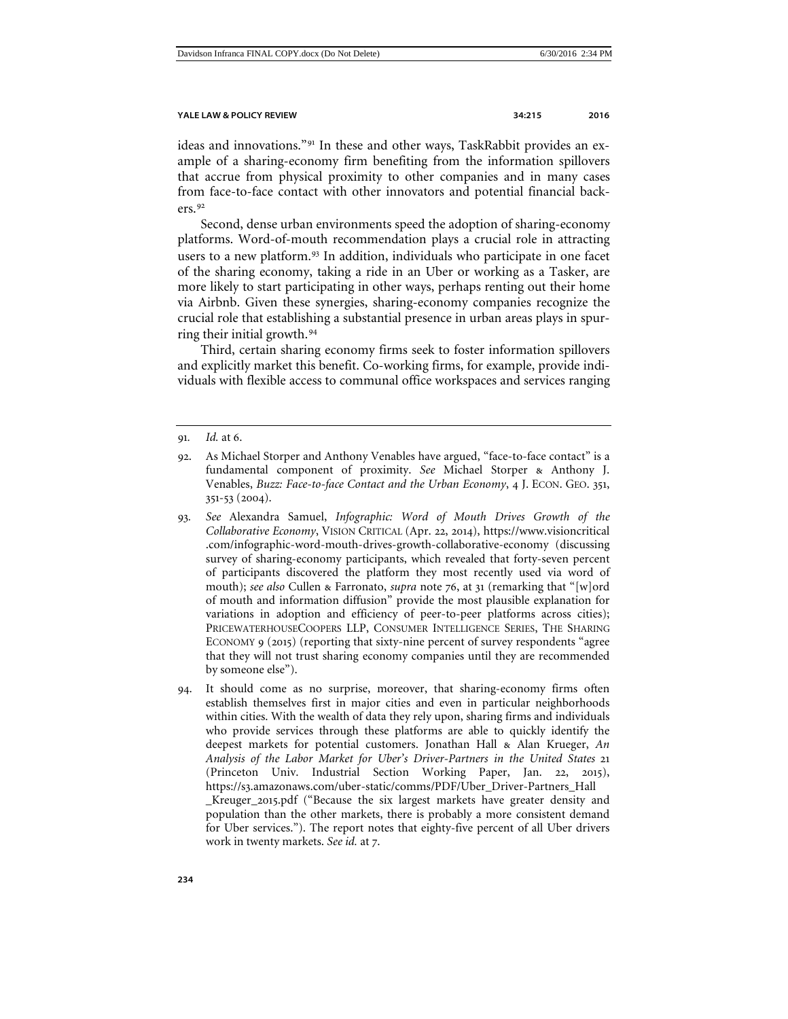ideas and innovations."[91](#page-19-0) In these and other ways, TaskRabbit provides an example of a sharing-economy firm benefiting from the information spillovers that accrue from physical proximity to other companies and in many cases from face-to-face contact with other innovators and potential financial backers.[92](#page-19-1)

Second, dense urban environments speed the adoption of sharing-economy platforms. Word-of-mouth recommendation plays a crucial role in attracting users to a new platform.<sup>[93](#page-19-2)</sup> In addition, individuals who participate in one facet of the sharing economy, taking a ride in an Uber or working as a Tasker, are more likely to start participating in other ways, perhaps renting out their home via Airbnb. Given these synergies, sharing-economy companies recognize the crucial role that establishing a substantial presence in urban areas plays in spurring their initial growth.[94](#page-19-3)

Third, certain sharing economy firms seek to foster information spillovers and explicitly market this benefit. Co-working firms, for example, provide individuals with flexible access to communal office workspaces and services ranging

- <span id="page-19-2"></span>93*. See* Alexandra Samuel, *Infographic: Word of Mouth Drives Growth of the Collaborative Economy*, VISION CRITICAL (Apr. 22, 2014), https://www.visioncritical .com/infographic-word-mouth-drives-growth-collaborative-economy (discussing survey of sharing-economy participants, which revealed that forty-seven percent of participants discovered the platform they most recently used via word of mouth); *see also* Cullen & Farronato, *supra* note 76, at 31 (remarking that "[w]ord of mouth and information diffusion" provide the most plausible explanation for variations in adoption and efficiency of peer-to-peer platforms across cities); PRICEWATERHOUSECOOPERS LLP, CONSUMER INTELLIGENCE SERIES, THE SHARING ECONOMY 9 (2015) (reporting that sixty-nine percent of survey respondents "agree that they will not trust sharing economy companies until they are recommended by someone else").
- <span id="page-19-3"></span>94. It should come as no surprise, moreover, that sharing-economy firms often establish themselves first in major cities and even in particular neighborhoods within cities. With the wealth of data they rely upon, sharing firms and individuals who provide services through these platforms are able to quickly identify the deepest markets for potential customers. Jonathan Hall & Alan Krueger, *An Analysis of the Labor Market for Uber's Driver-Partners in the United States* 21 (Princeton Univ. Industrial Section Working Paper, Jan. 22, 2015), https://s3.amazonaws.com/uber-static/comms/PDF/Uber\_Driver-Partners\_Hall \_Kreuger\_2015.pdf ("Because the six largest markets have greater density and population than the other markets, there is probably a more consistent demand for Uber services."). The report notes that eighty-five percent of all Uber drivers work in twenty markets. *See id.* at 7.

<span id="page-19-0"></span><sup>91</sup>*. Id.* at 6.

<span id="page-19-1"></span><sup>92</sup>. As Michael Storper and Anthony Venables have argued, "face-to-face contact" is a fundamental component of proximity. *See* Michael Storper & Anthony J. Venables, *Buzz: Face-to-face Contact and the Urban Economy*, 4 J. ECON. GEO. 351, 351-53 (2004).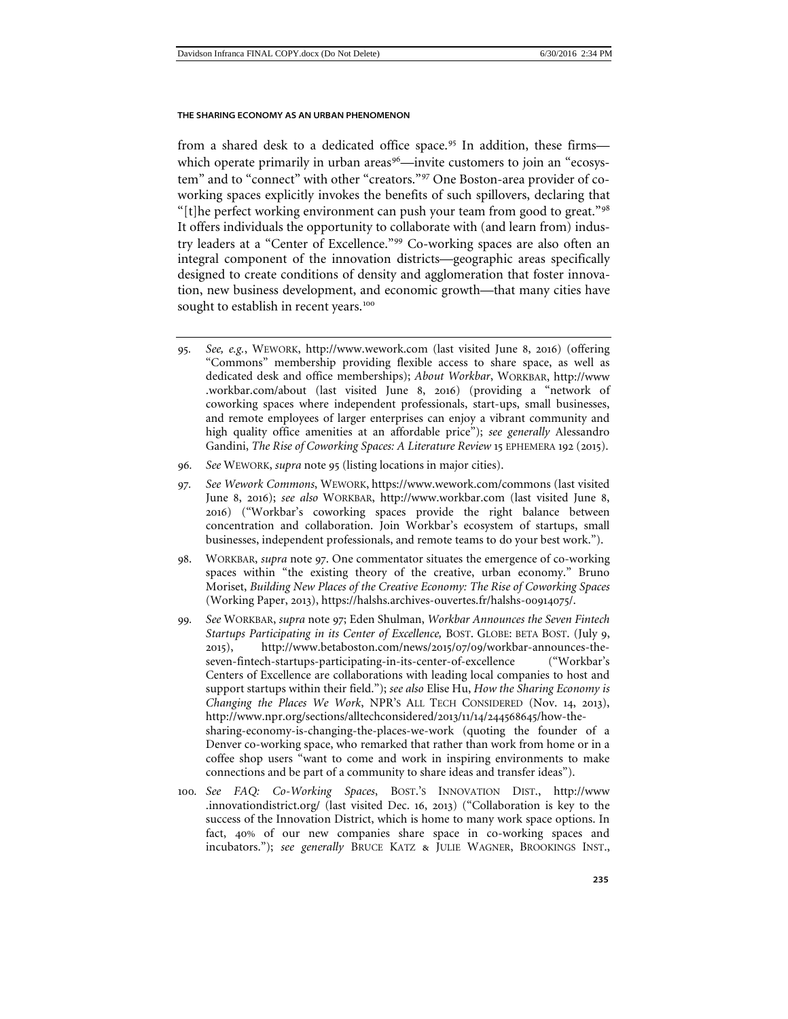<span id="page-20-0"></span>from a shared desk to a dedicated office space.<sup>[95](#page-20-1)</sup> In addition, these firms— which operate primarily in urban areas<sup>[96](#page-20-2)</sup>—invite customers to join an "ecosystem" and to "connect" with other "creators."[97](#page-20-3) One Boston-area provider of coworking spaces explicitly invokes the benefits of such spillovers, declaring that "[t]he perfect working environment can push your team from good to great." $98$ It offers individuals the opportunity to collaborate with (and learn from) industry leaders at a "Center of Excellence."[99](#page-20-5) Co-working spaces are also often an integral component of the innovation districts—geographic areas specifically designed to create conditions of density and agglomeration that foster innovation, new business development, and economic growth—that many cities have sought to establish in recent years.<sup>[100](#page-20-6)</sup>

- <span id="page-20-1"></span>95*. See, e.g.*, WEWORK, http://www.wework.com (last visited June 8, 2016) (offering "Commons" membership providing flexible access to share space, as well as dedicated desk and office memberships); *About Workbar*, WORKBAR, http://www .workbar.com/about (last visited June 8, 2016) (providing a "network of coworking spaces where independent professionals, start-ups, small businesses, and remote employees of larger enterprises can enjoy a vibrant community and high quality office amenities at an affordable price"); *see generally* Alessandro Gandini, *The Rise of Coworking Spaces: A Literature Review* 15 EPHEMERA 192 (2015).
- <span id="page-20-2"></span>96*. See* WEWORK, *supra* note 95 (listing locations in major cities).
- <span id="page-20-3"></span>97*. See Wework Commons*, WEWORK, https://www.wework.com/commons (last visited June 8, 2016); *see also* WORKBAR, http://www.workbar.com (last visited June 8, 2016) ("Workbar's coworking spaces provide the right balance between concentration and collaboration. Join Workbar's ecosystem of startups, small businesses, independent professionals, and remote teams to do your best work.").
- <span id="page-20-4"></span>98. WORKBAR, *supra* note [97](#page-20-0). One commentator situates the emergence of co-working spaces within "the existing theory of the creative, urban economy." Bruno Moriset, *Building New Places of the Creative Economy: The Rise of Coworking Spaces* (Working Paper, 2013), https://halshs.archives-ouvertes.fr/halshs-00914075/.
- <span id="page-20-5"></span>99*. See* WORKBAR, *supra* note [97](#page-20-0); Eden Shulman, *Workbar Announces the Seven Fintech Startups Participating in its Center of Excellence, BOST. GLOBE: BETA BOST. (July 9,* 2015), http://www.betaboston.com/news/2015/07/09/workbar-announces-theseven-fintech-startups-participating-in-its-center-of-excellence ("Workbar's Centers of Excellence are collaborations with leading local companies to host and support startups within their field."); *see also* Elise Hu, *How the Sharing Economy is Changing the Places We Work*, NPR'S ALL TECH CONSIDERED (Nov. 14, 2013), http://www.npr.org/sections/alltechconsidered/2013/11/14/244568645/how-thesharing-economy-is-changing-the-places-we-work (quoting the founder of a Denver co-working space, who remarked that rather than work from home or in a coffee shop users "want to come and work in inspiring environments to make connections and be part of a community to share ideas and transfer ideas").
- <span id="page-20-6"></span>100*. See FAQ: Co-Working Spaces*, BOST.'S INNOVATION DIST., http://www .innovationdistrict.org/ (last visited Dec. 16, 2013) ("Collaboration is key to the success of the Innovation District, which is home to many work space options. In fact, 40% of our new companies share space in co-working spaces and incubators."); *see generally* BRUCE KATZ & JULIE WAGNER, BROOKINGS INST.,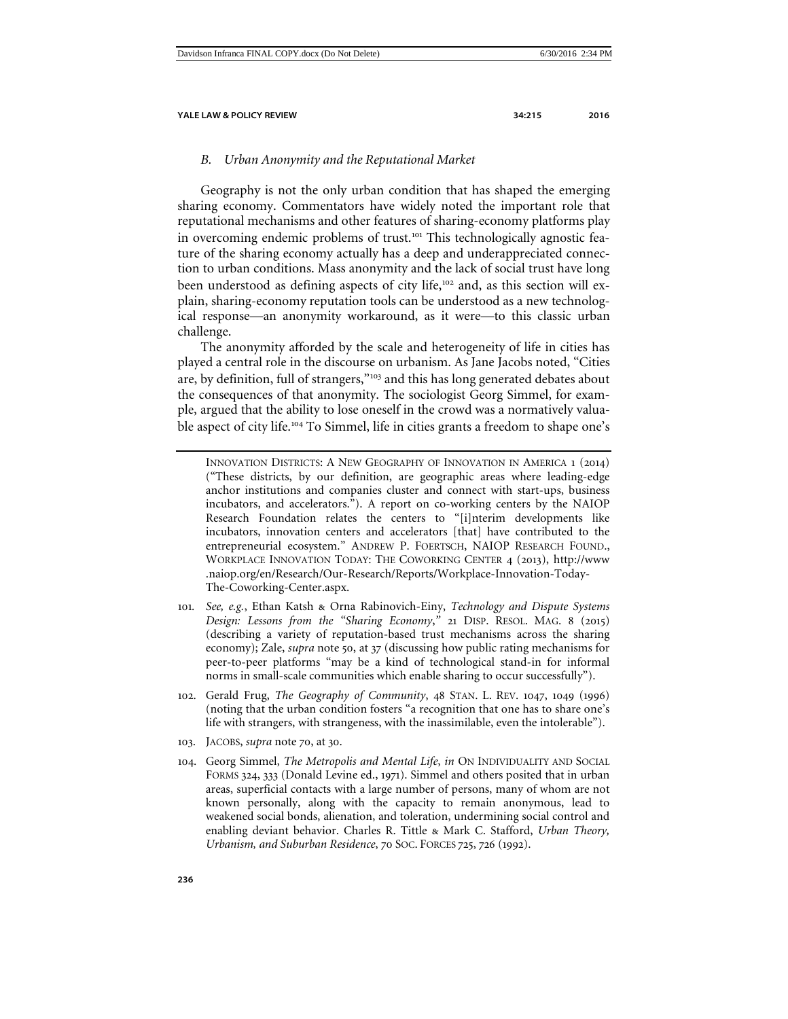# <span id="page-21-0"></span>*B. Urban Anonymity and the Reputational Market*

Geography is not the only urban condition that has shaped the emerging sharing economy. Commentators have widely noted the important role that reputational mechanisms and other features of sharing-economy platforms play in overcoming endemic problems of trust.<sup>[101](#page-21-1)</sup> This technologically agnostic feature of the sharing economy actually has a deep and underappreciated connection to urban conditions. Mass anonymity and the lack of social trust have long been understood as defining aspects of city life,<sup>[102](#page-21-2)</sup> and, as this section will explain, sharing-economy reputation tools can be understood as a new technological response—an anonymity workaround, as it were—to this classic urban challenge.

The anonymity afforded by the scale and heterogeneity of life in cities has played a central role in the discourse on urbanism. As Jane Jacobs noted, "Cities are, by definition, full of strangers,"[103](#page-21-3) and this has long generated debates about the consequences of that anonymity. The sociologist Georg Simmel, for example, argued that the ability to lose oneself in the crowd was a normatively valuable aspect of city life.[104](#page-21-4) To Simmel, life in cities grants a freedom to shape one's

- <span id="page-21-1"></span>101*. See, e.g.*, Ethan Katsh & Orna Rabinovich-Einy, *Technology and Dispute Systems Design: Lessons from the "Sharing Economy*,*"* 21 DISP. RESOL. MAG. 8 (2015) (describing a variety of reputation-based trust mechanisms across the sharing economy); Zale, *supra* note 50, at 37 (discussing how public rating mechanisms for peer-to-peer platforms "may be a kind of technological stand-in for informal norms in small-scale communities which enable sharing to occur successfully").
- <span id="page-21-2"></span>102. Gerald Frug, *The Geography of Community*, 48 STAN. L. REV. 1047, 1049 (1996) (noting that the urban condition fosters "a recognition that one has to share one's life with strangers, with strangeness, with the inassimilable, even the intolerable").
- <span id="page-21-3"></span>103. JACOBS, *supra* note [70](#page-15-6), at 30.
- <span id="page-21-4"></span>104. Georg Simmel, *The Metropolis and Mental Life*, *in* ON INDIVIDUALITY AND SOCIAL FORMS 324, 333 (Donald Levine ed., 1971). Simmel and others posited that in urban areas, superficial contacts with a large number of persons, many of whom are not known personally, along with the capacity to remain anonymous, lead to weakened social bonds, alienation, and toleration, undermining social control and enabling deviant behavior. Charles R. Tittle & Mark C. Stafford, *Urban Theory, Urbanism, and Suburban Residence*, 70 SOC. FORCES 725, 726 (1992).

INNOVATION DISTRICTS: A NEW GEOGRAPHY OF INNOVATION IN AMERICA 1 (2014) ("These districts, by our definition, are geographic areas where leading-edge anchor institutions and companies cluster and connect with start-ups, business incubators, and accelerators."). A report on co-working centers by the NAIOP Research Foundation relates the centers to "[i]nterim developments like incubators, innovation centers and accelerators [that] have contributed to the entrepreneurial ecosystem." ANDREW P. FOERTSCH, NAIOP RESEARCH FOUND., WORKPLACE INNOVATION TODAY: THE COWORKING CENTER 4 (2013), http://www .naiop.org/en/Research/Our-Research/Reports/Workplace-Innovation-Today-The-Coworking-Center.aspx.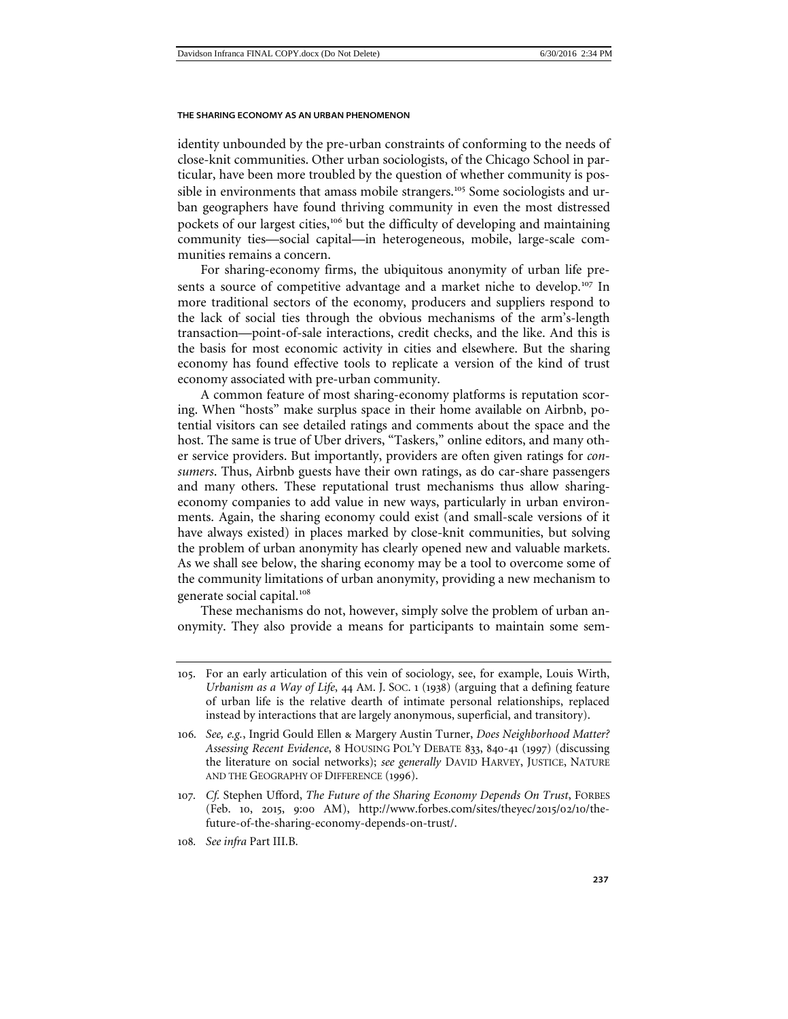identity unbounded by the pre-urban constraints of conforming to the needs of close-knit communities. Other urban sociologists, of the Chicago School in particular, have been more troubled by the question of whether community is pos-sible in environments that amass mobile strangers.<sup>[105](#page-22-0)</sup> Some sociologists and urban geographers have found thriving community in even the most distressed pockets of our largest cities,<sup>[106](#page-22-1)</sup> but the difficulty of developing and maintaining community ties—social capital—in heterogeneous, mobile, large-scale communities remains a concern.

For sharing-economy firms, the ubiquitous anonymity of urban life pre-sents a source of competitive advantage and a market niche to develop.<sup>[107](#page-22-2)</sup> In more traditional sectors of the economy, producers and suppliers respond to the lack of social ties through the obvious mechanisms of the arm's-length transaction—point-of-sale interactions, credit checks, and the like. And this is the basis for most economic activity in cities and elsewhere. But the sharing economy has found effective tools to replicate a version of the kind of trust economy associated with pre-urban community.

A common feature of most sharing-economy platforms is reputation scoring. When "hosts" make surplus space in their home available on Airbnb, potential visitors can see detailed ratings and comments about the space and the host. The same is true of Uber drivers, "Taskers," online editors, and many other service providers. But importantly, providers are often given ratings for *consumers*. Thus, Airbnb guests have their own ratings, as do car-share passengers and many others. These reputational trust mechanisms thus allow sharingeconomy companies to add value in new ways, particularly in urban environments. Again, the sharing economy could exist (and small-scale versions of it have always existed) in places marked by close-knit communities, but solving the problem of urban anonymity has clearly opened new and valuable markets. As we shall see below, the sharing economy may be a tool to overcome some of the community limitations of urban anonymity, providing a new mechanism to generate social capital.<sup>[108](#page-22-3)</sup>

These mechanisms do not, however, simply solve the problem of urban anonymity. They also provide a means for participants to maintain some sem-

<span id="page-22-3"></span>108*. See infra* Part III.B.

<span id="page-22-0"></span><sup>105</sup>. For an early articulation of this vein of sociology, see, for example, Louis Wirth, *Urbanism as a Way of Life*, 44 AM. J. SOC. 1 (1938) (arguing that a defining feature of urban life is the relative dearth of intimate personal relationships, replaced instead by interactions that are largely anonymous, superficial, and transitory).

<span id="page-22-1"></span><sup>106</sup>*. See, e.g.*, Ingrid Gould Ellen & Margery Austin Turner, *Does Neighborhood Matter? Assessing Recent Evidence*, 8 HOUSING POL'Y DEBATE 833, 840-41 (1997) (discussing the literature on social networks); *see generally* DAVID HARVEY, JUSTICE, NATURE AND THE GEOGRAPHY OF DIFFERENCE (1996).

<span id="page-22-2"></span><sup>107</sup>*. Cf.* Stephen Ufford, *The Future of the Sharing Economy Depends On Trust*, FORBES (Feb. 10, 2015, 9:00 AM), http://www.forbes.com/sites/theyec/2015/02/10/thefuture-of-the-sharing-economy-depends-on-trust/.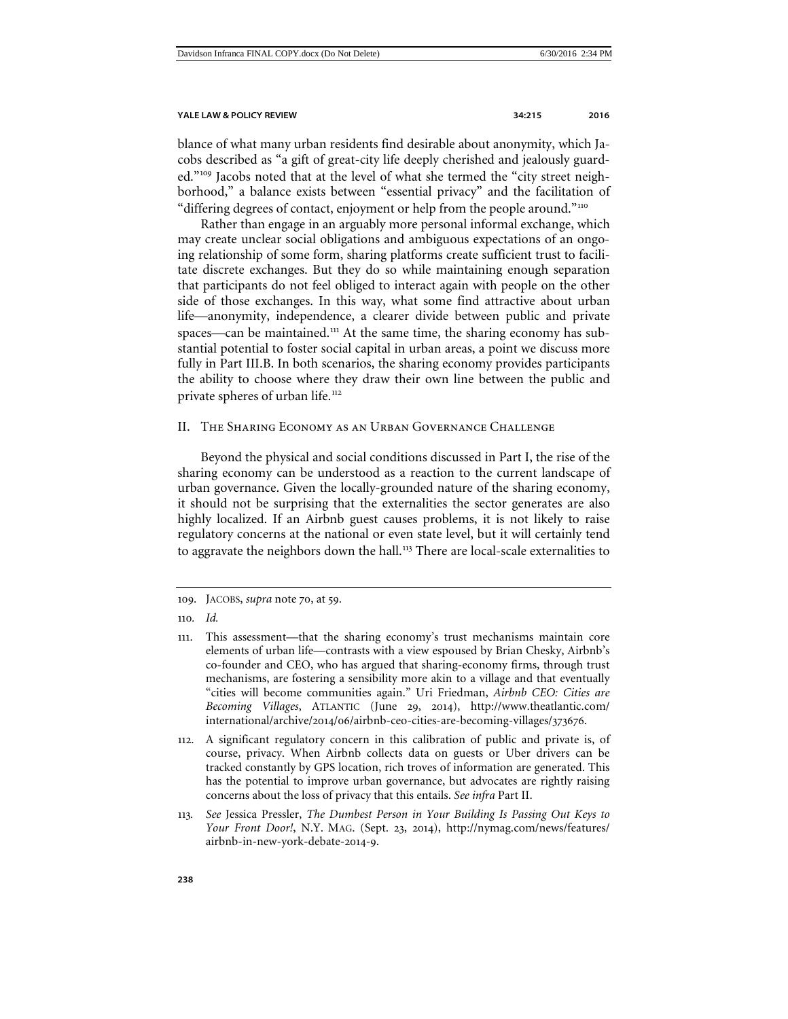blance of what many urban residents find desirable about anonymity, which Jacobs described as "a gift of great-city life deeply cherished and jealously guarded."[109](#page-23-1) Jacobs noted that at the level of what she termed the "city street neighborhood," a balance exists between "essential privacy" and the facilitation of "differing degrees of contact, enjoyment or help from the people around."<sup>[110](#page-23-2)</sup>

Rather than engage in an arguably more personal informal exchange, which may create unclear social obligations and ambiguous expectations of an ongoing relationship of some form, sharing platforms create sufficient trust to facilitate discrete exchanges. But they do so while maintaining enough separation that participants do not feel obliged to interact again with people on the other side of those exchanges. In this way, what some find attractive about urban life—anonymity, independence, a clearer divide between public and private spaces—can be maintained.<sup>[111](#page-23-3)</sup> At the same time, the sharing economy has substantial potential to foster social capital in urban areas, a point we discuss more fully in Part III.B. In both scenarios, the sharing economy provides participants the ability to choose where they draw their own line between the public and private spheres of urban life.<sup>[112](#page-23-4)</sup>

# <span id="page-23-0"></span>II. The Sharing Economy as an Urban Governance Challenge

Beyond the physical and social conditions discussed in Part I, the rise of the sharing economy can be understood as a reaction to the current landscape of urban governance. Given the locally-grounded nature of the sharing economy, it should not be surprising that the externalities the sector generates are also highly localized. If an Airbnb guest causes problems, it is not likely to raise regulatory concerns at the national or even state level, but it will certainly tend to aggravate the neighbors down the hall.<sup>[113](#page-23-5)</sup> There are local-scale externalities to

<span id="page-23-5"></span>113*. See* Jessica Pressler, *The Dumbest Person in Your Building Is Passing Out Keys to Your Front Door!*, N.Y. MAG. (Sept. 23, 2014), http://nymag.com/news/features/ airbnb-in-new-york-debate-2014-9.

<span id="page-23-1"></span><sup>109</sup>. JACOBS, *supra* note [70](#page-15-6), at 59.

<span id="page-23-2"></span><sup>110</sup>*. Id.*

<span id="page-23-3"></span><sup>111</sup>. This assessment—that the sharing economy's trust mechanisms maintain core elements of urban life—contrasts with a view espoused by Brian Chesky, Airbnb's co-founder and CEO, who has argued that sharing-economy firms, through trust mechanisms, are fostering a sensibility more akin to a village and that eventually "cities will become communities again." Uri Friedman, *Airbnb CEO: Cities are Becoming Villages*, ATLANTIC (June 29, 2014), http://www.theatlantic.com/ international/archive/2014/06/airbnb-ceo-cities-are-becoming-villages/373676.

<span id="page-23-4"></span><sup>112</sup>. A significant regulatory concern in this calibration of public and private is, of course, privacy. When Airbnb collects data on guests or Uber drivers can be tracked constantly by GPS location, rich troves of information are generated. This has the potential to improve urban governance, but advocates are rightly raising concerns about the loss of privacy that this entails. *See infra* Part II.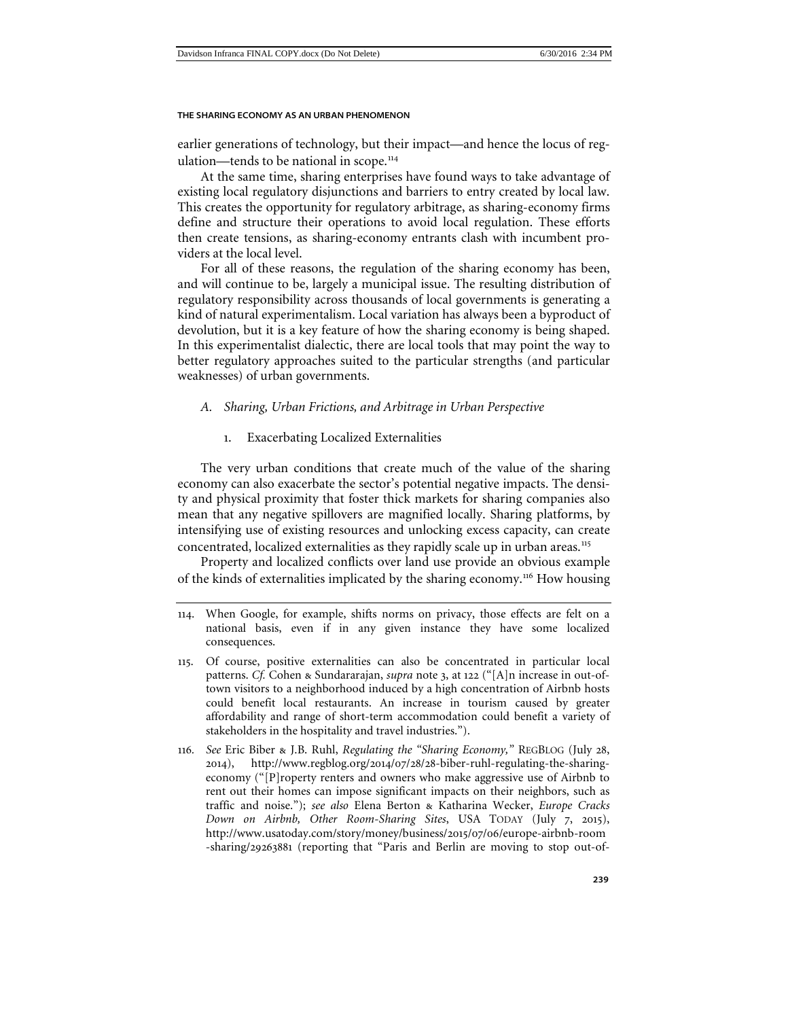earlier generations of technology, but their impact—and hence the locus of reg-ulation—tends to be national in scope.<sup>[114](#page-24-2)</sup>

At the same time, sharing enterprises have found ways to take advantage of existing local regulatory disjunctions and barriers to entry created by local law. This creates the opportunity for regulatory arbitrage, as sharing-economy firms define and structure their operations to avoid local regulation. These efforts then create tensions, as sharing-economy entrants clash with incumbent providers at the local level.

For all of these reasons, the regulation of the sharing economy has been, and will continue to be, largely a municipal issue. The resulting distribution of regulatory responsibility across thousands of local governments is generating a kind of natural experimentalism. Local variation has always been a byproduct of devolution, but it is a key feature of how the sharing economy is being shaped. In this experimentalist dialectic, there are local tools that may point the way to better regulatory approaches suited to the particular strengths (and particular weaknesses) of urban governments.

# <span id="page-24-0"></span>*A. Sharing, Urban Frictions, and Arbitrage in Urban Perspective*

<span id="page-24-5"></span>1. Exacerbating Localized Externalities

<span id="page-24-1"></span>The very urban conditions that create much of the value of the sharing economy can also exacerbate the sector's potential negative impacts. The density and physical proximity that foster thick markets for sharing companies also mean that any negative spillovers are magnified locally. Sharing platforms, by intensifying use of existing resources and unlocking excess capacity, can create concentrated, localized externalities as they rapidly scale up in urban areas.<sup>[115](#page-24-3)</sup>

Property and localized conflicts over land use provide an obvious example of the kinds of externalities implicated by the sharing economy.[116](#page-24-4) How housing

- <span id="page-24-3"></span>115. Of course, positive externalities can also be concentrated in particular local patterns. *Cf.* Cohen & Sundararajan, *supra* note 3, at 122 ("[A]n increase in out-oftown visitors to a neighborhood induced by a high concentration of Airbnb hosts could benefit local restaurants. An increase in tourism caused by greater affordability and range of short-term accommodation could benefit a variety of stakeholders in the hospitality and travel industries.").
- <span id="page-24-4"></span>116*. See* Eric Biber & J.B. Ruhl, *Regulating the "Sharing Economy,"* REGBLOG (July 28, 2014), http://www.regblog.org/2014/07/28/28-biber-ruhl-regulating-the-sharingeconomy ("[P]roperty renters and owners who make aggressive use of Airbnb to rent out their homes can impose significant impacts on their neighbors, such as traffic and noise."); *see also* Elena Berton & Katharina Wecker, *Europe Cracks Down on Airbnb, Other Room-Sharing Sites*, USA TODAY (July 7, 2015), http://www.usatoday.com/story/money/business/2015/07/06/europe-airbnb-room -sharing/29263881 (reporting that "Paris and Berlin are moving to stop out-of-

<span id="page-24-2"></span><sup>114</sup>. When Google, for example, shifts norms on privacy, those effects are felt on a national basis, even if in any given instance they have some localized consequences.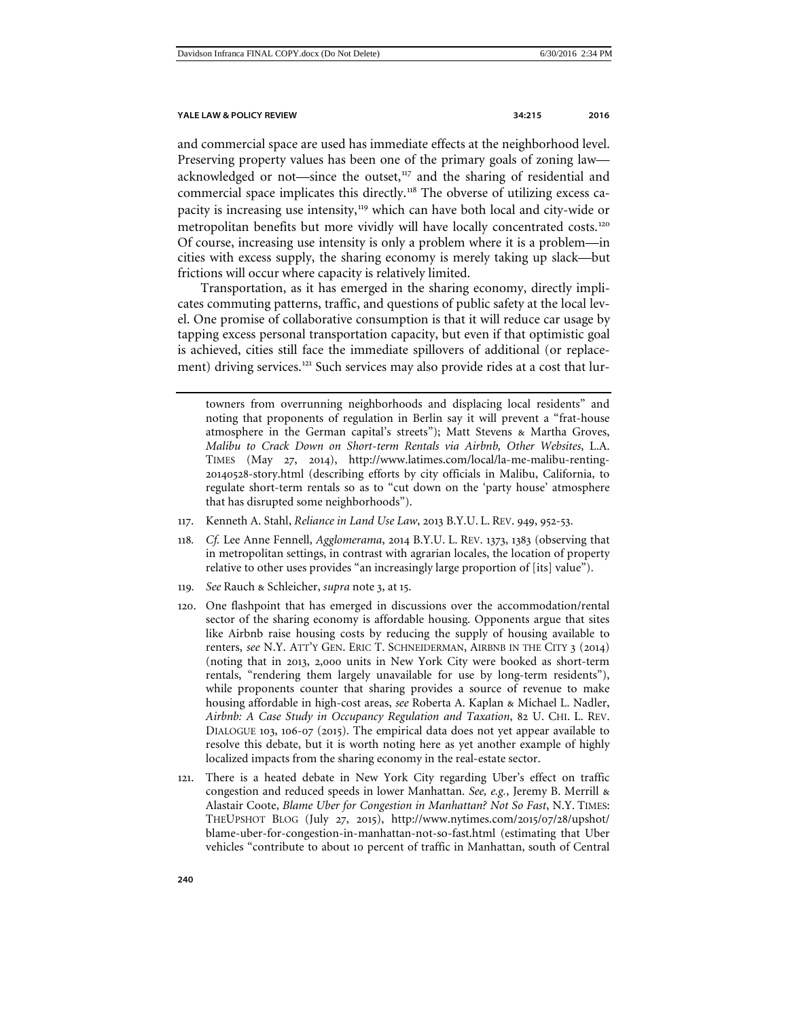<span id="page-25-5"></span>

and commercial space are used has immediate effects at the neighborhood level. Preserving property values has been one of the primary goals of zoning law— acknowledged or not—since the outset,<sup>[117](#page-25-0)</sup> and the sharing of residential and commercial space implicates this directly.[118](#page-25-1) The obverse of utilizing excess ca-pacity is increasing use intensity,<sup>[119](#page-25-2)</sup> which can have both local and city-wide or metropolitan benefits but more vividly will have locally concentrated costs.<sup>[120](#page-25-3)</sup> Of course, increasing use intensity is only a problem where it is a problem—in cities with excess supply, the sharing economy is merely taking up slack—but frictions will occur where capacity is relatively limited.

Transportation, as it has emerged in the sharing economy, directly implicates commuting patterns, traffic, and questions of public safety at the local level. One promise of collaborative consumption is that it will reduce car usage by tapping excess personal transportation capacity, but even if that optimistic goal is achieved, cities still face the immediate spillovers of additional (or replace-ment) driving services.<sup>[121](#page-25-4)</sup> Such services may also provide rides at a cost that lur-

- <span id="page-25-0"></span>117. Kenneth A. Stahl, *Reliance in Land Use Law*, 2013 B.Y.U. L. REV. 949, 952-53.
- <span id="page-25-1"></span>118*. Cf.* Lee Anne Fennell, *Agglomerama*, 2014 B.Y.U. L. REV. 1373, 1383 (observing that in metropolitan settings, in contrast with agrarian locales, the location of property relative to other uses provides "an increasingly large proportion of [its] value").
- <span id="page-25-2"></span>119*. See* Rauch & Schleicher, *supra* note 3, at 15.
- <span id="page-25-3"></span>120. One flashpoint that has emerged in discussions over the accommodation/rental sector of the sharing economy is affordable housing. Opponents argue that sites like Airbnb raise housing costs by reducing the supply of housing available to renters, *see* N.Y. ATT'Y GEN. ERIC T. SCHNEIDERMAN, AIRBNB IN THE CITY 3 (2014) (noting that in 2013, 2,000 units in New York City were booked as short-term rentals, "rendering them largely unavailable for use by long-term residents"), while proponents counter that sharing provides a source of revenue to make housing affordable in high-cost areas, *see* Roberta A. Kaplan & Michael L. Nadler, *Airbnb: A Case Study in Occupancy Regulation and Taxation*, 82 U. CHI. L. REV. DIALOGUE 103, 106-07 (2015). The empirical data does not yet appear available to resolve this debate, but it is worth noting here as yet another example of highly localized impacts from the sharing economy in the real-estate sector.
- <span id="page-25-4"></span>121. There is a heated debate in New York City regarding Uber's effect on traffic congestion and reduced speeds in lower Manhattan. *See, e.g.*, Jeremy B. Merrill & Alastair Coote, *Blame Uber for Congestion in Manhattan? Not So Fast*, N.Y. TIMES: THEUPSHOT BLOG (July 27, 2015), http://www.nytimes.com/2015/07/28/upshot/ blame-uber-for-congestion-in-manhattan-not-so-fast.html (estimating that Uber vehicles "contribute to about 10 percent of traffic in Manhattan, south of Central

<span id="page-25-6"></span>towners from overrunning neighborhoods and displacing local residents" and noting that proponents of regulation in Berlin say it will prevent a "frat-house atmosphere in the German capital's streets"); Matt Stevens & Martha Groves, *Malibu to Crack Down on Short-term Rentals via Airbnb, Other Websites*, L.A. TIMES (May 27, 2014), http://www.latimes.com/local/la-me-malibu-renting-20140528-story.html (describing efforts by city officials in Malibu, California, to regulate short-term rentals so as to "cut down on the 'party house' atmosphere that has disrupted some neighborhoods").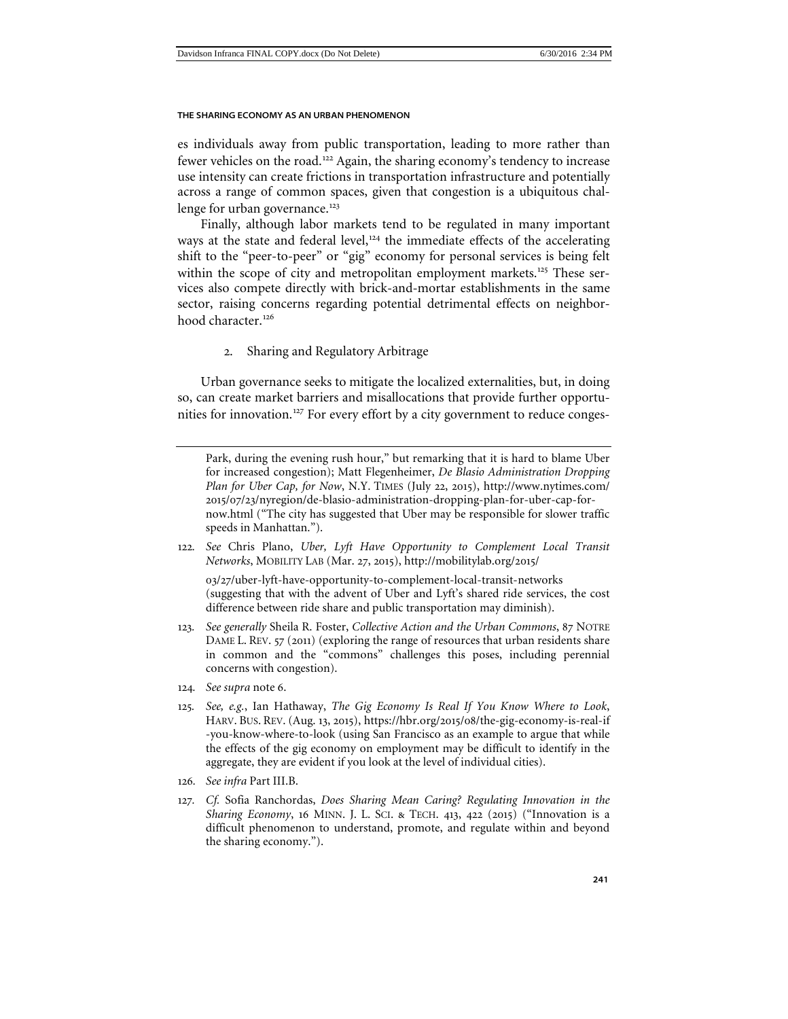es individuals away from public transportation, leading to more rather than fewer vehicles on the road.<sup>[122](#page-26-1)</sup> Again, the sharing economy's tendency to increase use intensity can create frictions in transportation infrastructure and potentially across a range of common spaces, given that congestion is a ubiquitous chal-lenge for urban governance.<sup>[123](#page-26-2)</sup>

Finally, although labor markets tend to be regulated in many important ways at the state and federal level,<sup>[124](#page-26-3)</sup> the immediate effects of the accelerating shift to the "peer-to-peer" or "gig" economy for personal services is being felt within the scope of city and metropolitan employment markets.<sup>[125](#page-26-4)</sup> These services also compete directly with brick-and-mortar establishments in the same sector, raising concerns regarding potential detrimental effects on neighbor-hood character.<sup>[126](#page-26-5)</sup>

# 2. Sharing and Regulatory Arbitrage

<span id="page-26-0"></span>Urban governance seeks to mitigate the localized externalities, but, in doing so, can create market barriers and misallocations that provide further opportu-nities for innovation.<sup>[127](#page-26-6)</sup> For every effort by a city government to reduce conges-

Park, during the evening rush hour," but remarking that it is hard to blame Uber for increased congestion); Matt Flegenheimer, *De Blasio Administration Dropping Plan for Uber Cap, for Now*, N.Y. TIMES (July 22, 2015), http://www.nytimes.com/ 2015/07/23/nyregion/de-blasio-administration-dropping-plan-for-uber-cap-fornow.html ("The city has suggested that Uber may be responsible for slower traffic speeds in Manhattan.").

<span id="page-26-1"></span>122*. See* Chris Plano, *Uber, Lyft Have Opportunity to Complement Local Transit Networks*, MOBILITY LAB (Mar. 27, 2015), http://mobilitylab.org/2015/

03/27/uber-lyft-have-opportunity-to-complement-local-transit-networks (suggesting that with the advent of Uber and Lyft's shared ride services, the cost difference between ride share and public transportation may diminish).

- <span id="page-26-2"></span>123*. See generally* Sheila R. Foster, *Collective Action and the Urban Commons*, 87 NOTRE DAME L. REV. 57 (2011) (exploring the range of resources that urban residents share in common and the "commons" challenges this poses, including perennial concerns with congestion).
- <span id="page-26-3"></span>124*. See supra* note 6.
- <span id="page-26-4"></span>125*. See, e.g.*, Ian Hathaway, *The Gig Economy Is Real If You Know Where to Look*, HARV. BUS. REV. (Aug. 13, 2015), https://hbr.org/2015/08/the-gig-economy-is-real-if -you-know-where-to-look (using San Francisco as an example to argue that while the effects of the gig economy on employment may be difficult to identify in the aggregate, they are evident if you look at the level of individual cities).
- <span id="page-26-5"></span>126*. See infra* Part III.B.
- <span id="page-26-6"></span>127*. Cf.* Sofia Ranchordas, *Does Sharing Mean Caring? Regulating Innovation in the Sharing Economy*, 16 MINN. J. L. SCI. & TECH. 413, 422 (2015) ("Innovation is a difficult phenomenon to understand, promote, and regulate within and beyond the sharing economy.").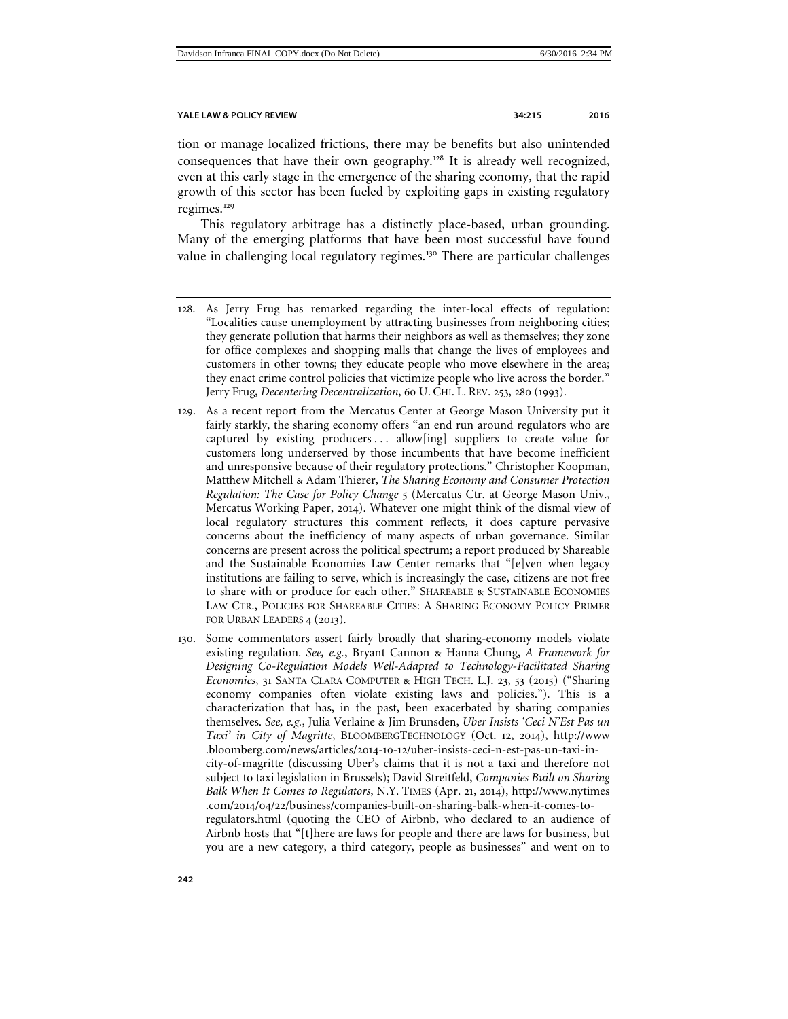tion or manage localized frictions, there may be benefits but also unintended consequences that have their own geography.[128](#page-27-0) It is already well recognized, even at this early stage in the emergence of the sharing economy, that the rapid growth of this sector has been fueled by exploiting gaps in existing regulatory regimes.<sup>[129](#page-27-1)</sup>

<span id="page-27-3"></span>This regulatory arbitrage has a distinctly place-based, urban grounding. Many of the emerging platforms that have been most successful have found value in challenging local regulatory regimes.<sup>[130](#page-27-2)</sup> There are particular challenges

- <span id="page-27-0"></span>128. As Jerry Frug has remarked regarding the inter-local effects of regulation: "Localities cause unemployment by attracting businesses from neighboring cities; they generate pollution that harms their neighbors as well as themselves; they zone for office complexes and shopping malls that change the lives of employees and customers in other towns; they educate people who move elsewhere in the area; they enact crime control policies that victimize people who live across the border." Jerry Frug, *Decentering Decentralization*, 60 U. CHI. L. REV. 253, 280 (1993).
- <span id="page-27-1"></span>129. As a recent report from the Mercatus Center at George Mason University put it fairly starkly, the sharing economy offers "an end run around regulators who are captured by existing producers ... allow[ing] suppliers to create value for customers long underserved by those incumbents that have become inefficient and unresponsive because of their regulatory protections." Christopher Koopman, Matthew Mitchell & Adam Thierer, *The Sharing Economy and Consumer Protection Regulation: The Case for Policy Change* 5 (Mercatus Ctr. at George Mason Univ., Mercatus Working Paper, 2014). Whatever one might think of the dismal view of local regulatory structures this comment reflects, it does capture pervasive concerns about the inefficiency of many aspects of urban governance. Similar concerns are present across the political spectrum; a report produced by Shareable and the Sustainable Economies Law Center remarks that "[e]ven when legacy institutions are failing to serve, which is increasingly the case, citizens are not free to share with or produce for each other." SHAREABLE & SUSTAINABLE ECONOMIES LAW CTR., POLICIES FOR SHAREABLE CITIES: A SHARING ECONOMY POLICY PRIMER FOR URBAN LEADERS 4 (2013).
- <span id="page-27-2"></span>130. Some commentators assert fairly broadly that sharing-economy models violate existing regulation. *See, e.g.*, Bryant Cannon & Hanna Chung, *A Framework for Designing Co-Regulation Models Well-Adapted to Technology-Facilitated Sharing Economies*, 31 SANTA CLARA COMPUTER & HIGH TECH. L.J. 23, 53 (2015) ("Sharing economy companies often violate existing laws and policies."). This is a characterization that has, in the past, been exacerbated by sharing companies themselves. *See, e.g.*, Julia Verlaine & Jim Brunsden, *Uber Insists 'Ceci N'Est Pas un Taxi' in City of Magritte*, BLOOMBERGTECHNOLOGY (Oct. 12, 2014), http://www .bloomberg.com/news/articles/2014-10-12/uber-insists-ceci-n-est-pas-un-taxi-incity-of-magritte (discussing Uber's claims that it is not a taxi and therefore not subject to taxi legislation in Brussels); David Streitfeld, *Companies Built on Sharing Balk When It Comes to Regulators*, N.Y. TIMES (Apr. 21, 2014), http://www.nytimes .com/2014/04/22/business/companies-built-on-sharing-balk-when-it-comes-toregulators.html (quoting the CEO of Airbnb, who declared to an audience of Airbnb hosts that "[t]here are laws for people and there are laws for business, but you are a new category, a third category, people as businesses" and went on to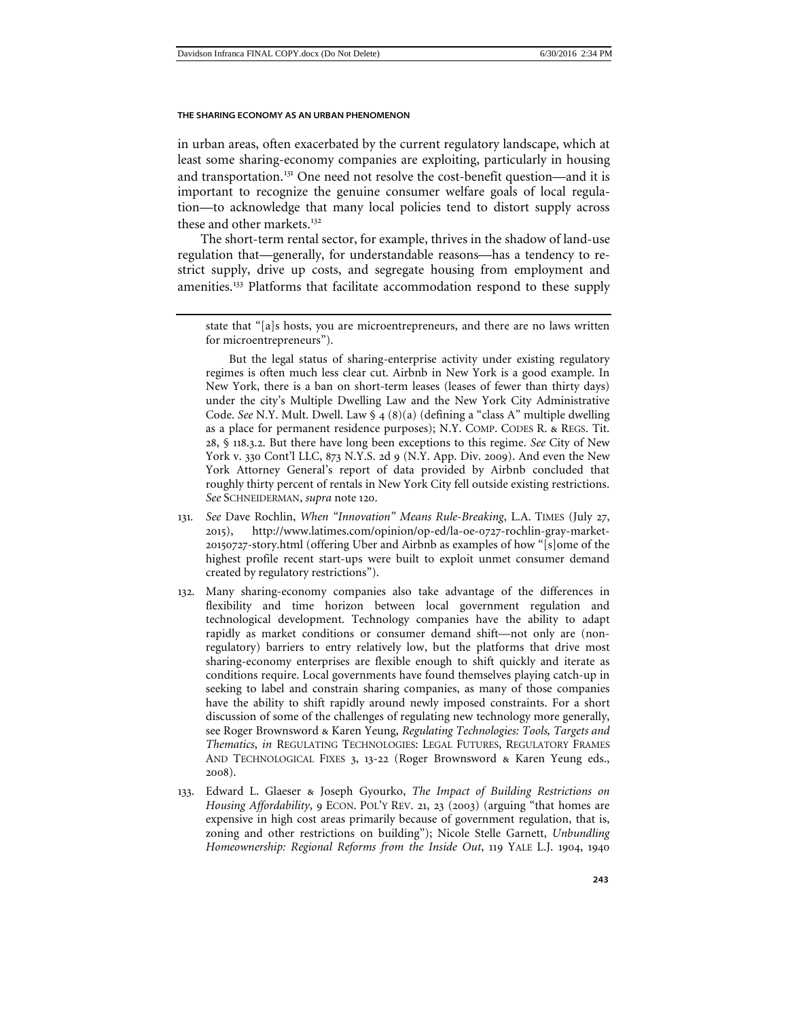in urban areas, often exacerbated by the current regulatory landscape, which at least some sharing-economy companies are exploiting, particularly in housing and transportation.<sup>[131](#page-28-0)</sup> One need not resolve the cost-benefit question—and it is important to recognize the genuine consumer welfare goals of local regulation—to acknowledge that many local policies tend to distort supply across these and other markets.<sup>[132](#page-28-1)</sup>

The short-term rental sector, for example, thrives in the shadow of land-use regulation that—generally, for understandable reasons—has a tendency to restrict supply, drive up costs, and segregate housing from employment and amenities.<sup>[133](#page-28-2)</sup> Platforms that facilitate accommodation respond to these supply

But the legal status of sharing-enterprise activity under existing regulatory regimes is often much less clear cut. Airbnb in New York is a good example. In New York, there is a ban on short-term leases (leases of fewer than thirty days) under the city's Multiple Dwelling Law and the New York City Administrative Code. *See* N.Y. Mult. Dwell. Law § 4 (8)(a) (defining a "class A" multiple dwelling as a place for permanent residence purposes); N.Y. COMP. CODES R. & REGS. Tit. 28, § 118.3.2. But there have long been exceptions to this regime. *See* City of New York v. 330 Cont'l LLC, 873 N.Y.S. 2d 9 (N.Y. App. Div. 2009). And even the New York Attorney General's report of data provided by Airbnb concluded that roughly thirty percent of rentals in New York City fell outside existing restrictions. *See* SCHNEIDERMAN, *supra* note [120](#page-25-5).

- <span id="page-28-0"></span>131*. See* Dave Rochlin, *When "Innovation" Means Rule-Breaking*, L.A. TIMES (July 27, 2015), http://www.latimes.com/opinion/op-ed/la-oe-0727-rochlin-gray-market-20150727-story.html (offering Uber and Airbnb as examples of how "[s]ome of the highest profile recent start-ups were built to exploit unmet consumer demand created by regulatory restrictions").
- <span id="page-28-1"></span>132. Many sharing-economy companies also take advantage of the differences in flexibility and time horizon between local government regulation and technological development. Technology companies have the ability to adapt rapidly as market conditions or consumer demand shift—not only are (nonregulatory) barriers to entry relatively low, but the platforms that drive most sharing-economy enterprises are flexible enough to shift quickly and iterate as conditions require. Local governments have found themselves playing catch-up in seeking to label and constrain sharing companies, as many of those companies have the ability to shift rapidly around newly imposed constraints. For a short discussion of some of the challenges of regulating new technology more generally, see Roger Brownsword & Karen Yeung, *Regulating Technologies: Tools, Targets and Thematics*, *in* REGULATING TECHNOLOGIES: LEGAL FUTURES, REGULATORY FRAMES AND TECHNOLOGICAL FIXES 3, 13-22 (Roger Brownsword & Karen Yeung eds., 2008).
- <span id="page-28-2"></span>133. Edward L. Glaeser & Joseph Gyourko, *The Impact of Building Restrictions on Housing Affordability*, 9 ECON. POL'Y REV. 21, 23 (2003) (arguing "that homes are expensive in high cost areas primarily because of government regulation, that is, zoning and other restrictions on building"); Nicole Stelle Garnett, *Unbundling Homeownership: Regional Reforms from the Inside Out*, 119 YALE L.J. 1904, 1940

state that "[a]s hosts, you are microentrepreneurs, and there are no laws written for microentrepreneurs").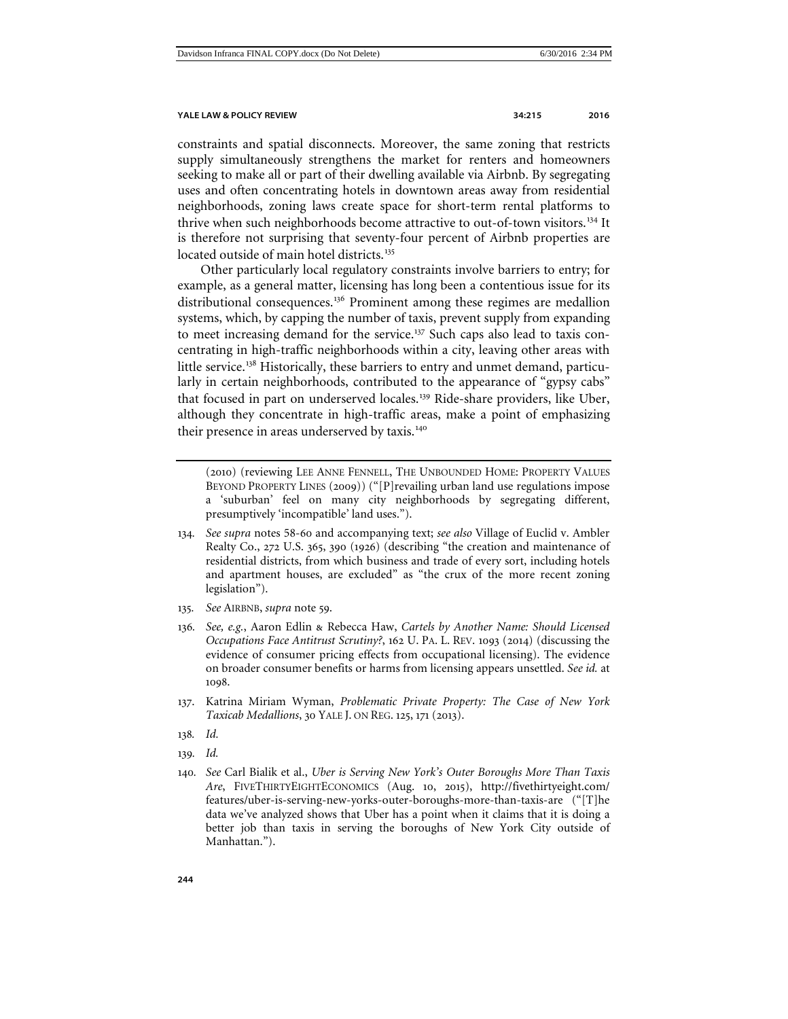constraints and spatial disconnects. Moreover, the same zoning that restricts supply simultaneously strengthens the market for renters and homeowners seeking to make all or part of their dwelling available via Airbnb. By segregating uses and often concentrating hotels in downtown areas away from residential neighborhoods, zoning laws create space for short-term rental platforms to thrive when such neighborhoods become attractive to out-of-town visitors.[134](#page-29-1) It is therefore not surprising that seventy-four percent of Airbnb properties are located outside of main hotel districts.<sup>[135](#page-29-2)</sup>

Other particularly local regulatory constraints involve barriers to entry; for example, as a general matter, licensing has long been a contentious issue for its distributional consequences.<sup>[136](#page-29-3)</sup> Prominent among these regimes are medallion systems, which, by capping the number of taxis, prevent supply from expanding to meet increasing demand for the service.<sup>[137](#page-29-4)</sup> Such caps also lead to taxis concentrating in high-traffic neighborhoods within a city, leaving other areas with little service.<sup>[138](#page-29-5)</sup> Historically, these barriers to entry and unmet demand, particularly in certain neighborhoods, contributed to the appearance of "gypsy cabs" that focused in part on underserved locales.<sup>[139](#page-29-6)</sup> Ride-share providers, like Uber, although they concentrate in high-traffic areas, make a point of emphasizing their presence in areas underserved by taxis.<sup>[140](#page-29-7)</sup>

<span id="page-29-0"></span>(2010) (reviewing LEE ANNE FENNELL, THE UNBOUNDED HOME: PROPERTY VALUES BEYOND PROPERTY LINES (2009)) ("[P]revailing urban land use regulations impose a 'suburban' feel on many city neighborhoods by segregating different, presumptively 'incompatible' land uses.").

- <span id="page-29-1"></span>134*. See supra* notes 58-[60](#page-13-4) and accompanying text; *see also* Village of Euclid v. Ambler Realty Co., 272 U.S. 365, 390 (1926) (describing "the creation and maintenance of residential districts, from which business and trade of every sort, including hotels and apartment houses, are excluded" as "the crux of the more recent zoning legislation").
- <span id="page-29-2"></span>135*. See* AIRBNB, *supra* note [59](#page-13-5).
- <span id="page-29-3"></span>136*. See, e.g.*, Aaron Edlin & Rebecca Haw, *Cartels by Another Name: Should Licensed Occupations Face Antitrust Scrutiny?*, 162 U. PA. L. REV. 1093 (2014) (discussing the evidence of consumer pricing effects from occupational licensing). The evidence on broader consumer benefits or harms from licensing appears unsettled. *See id.* at 1098.
- <span id="page-29-4"></span>137. Katrina Miriam Wyman, *Problematic Private Property: The Case of New York Taxicab Medallions*, 30 YALE J. ON REG. 125, 171 (2013).
- <span id="page-29-5"></span>138*. Id.*
- <span id="page-29-6"></span>139*. Id.*
- <span id="page-29-7"></span>140*. See* Carl Bialik et al., *Uber is Serving New York's Outer Boroughs More Than Taxis Are*, FIVETHIRTYEIGHTECONOMICS (Aug. 10, 2015), http://fivethirtyeight.com/ features/uber-is-serving-new-yorks-outer-boroughs-more-than-taxis-are ("[T]he data we've analyzed shows that Uber has a point when it claims that it is doing a better job than taxis in serving the boroughs of New York City outside of Manhattan.").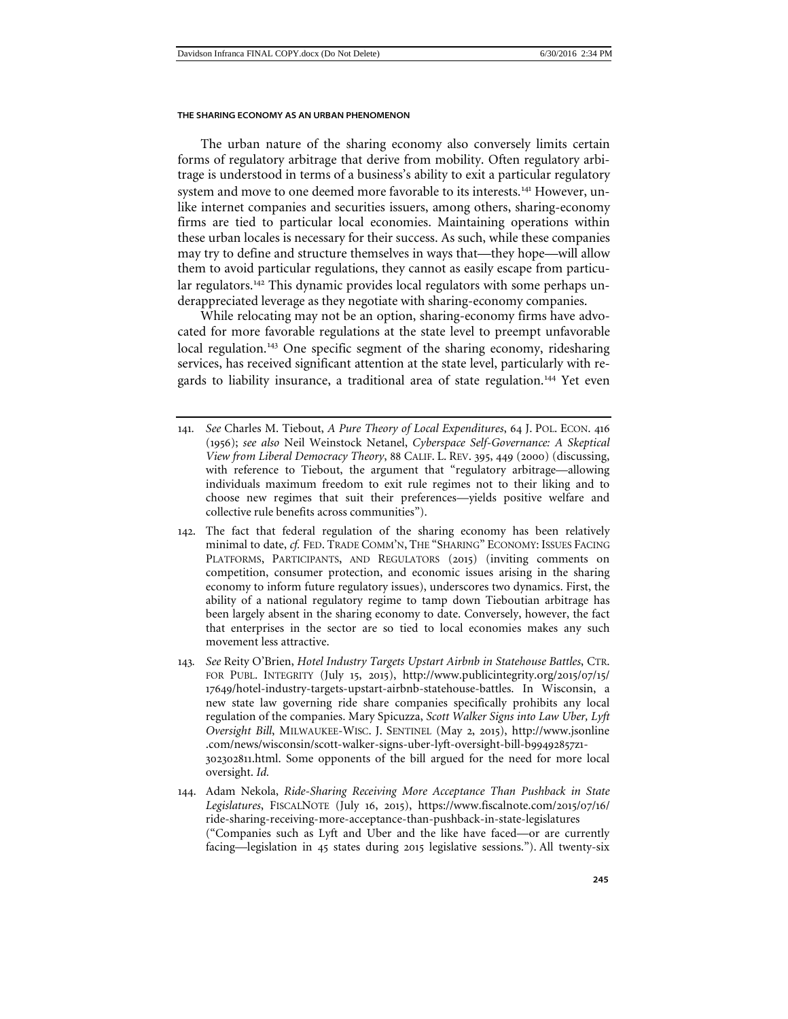The urban nature of the sharing economy also conversely limits certain forms of regulatory arbitrage that derive from mobility. Often regulatory arbitrage is understood in terms of a business's ability to exit a particular regulatory system and move to one deemed more favorable to its interests.<sup>[141](#page-30-0)</sup> However, unlike internet companies and securities issuers, among others, sharing-economy firms are tied to particular local economies. Maintaining operations within these urban locales is necessary for their success. As such, while these companies may try to define and structure themselves in ways that—they hope—will allow them to avoid particular regulations, they cannot as easily escape from particu-lar regulators.<sup>[142](#page-30-1)</sup> This dynamic provides local regulators with some perhaps underappreciated leverage as they negotiate with sharing-economy companies.

While relocating may not be an option, sharing-economy firms have advocated for more favorable regulations at the state level to preempt unfavorable local regulation.<sup>[143](#page-30-2)</sup> One specific segment of the sharing economy, ridesharing services, has received significant attention at the state level, particularly with re-gards to liability insurance, a traditional area of state regulation.<sup>[144](#page-30-3)</sup> Yet even

- <span id="page-30-0"></span>141*. See* Charles M. Tiebout, *A Pure Theory of Local Expenditures*, 64 J. POL. ECON. 416 (1956); *see also* Neil Weinstock Netanel, *Cyberspace Self-Governance: A Skeptical View from Liberal Democracy Theory*, 88 CALIF. L. REV. 395, 449 (2000) (discussing, with reference to Tiebout, the argument that "regulatory arbitrage—allowing individuals maximum freedom to exit rule regimes not to their liking and to choose new regimes that suit their preferences—yields positive welfare and collective rule benefits across communities").
- <span id="page-30-1"></span>142. The fact that federal regulation of the sharing economy has been relatively minimal to date, *cf.* FED. TRADE COMM'N, THE "SHARING" ECONOMY: ISSUES FACING PLATFORMS, PARTICIPANTS, AND REGULATORS (2015) (inviting comments on competition, consumer protection, and economic issues arising in the sharing economy to inform future regulatory issues), underscores two dynamics. First, the ability of a national regulatory regime to tamp down Tieboutian arbitrage has been largely absent in the sharing economy to date. Conversely, however, the fact that enterprises in the sector are so tied to local economies makes any such movement less attractive.
- <span id="page-30-2"></span>143*. See* Reity O'Brien, *Hotel Industry Targets Upstart Airbnb in Statehouse Battles*, CTR. FOR PUBL. INTEGRITY (July 15, 2015), http://www.publicintegrity.org/2015/07/15/ 17649/hotel-industry-targets-upstart-airbnb-statehouse-battles. In Wisconsin, a new state law governing ride share companies specifically prohibits any local regulation of the companies. Mary Spicuzza, *Scott Walker Signs into Law Uber, Lyft Oversight Bill*, MILWAUKEE-WISC. J. SENTINEL (May 2, 2015), http://www.jsonline .com/news/wisconsin/scott-walker-signs-uber-lyft-oversight-bill-b99492857z1- 302302811.html. Some opponents of the bill argued for the need for more local oversight. *Id.*
- <span id="page-30-3"></span>144. Adam Nekola, *Ride-Sharing Receiving More Acceptance Than Pushback in State Legislatures*, FISCALNOTE (July 16, 2015), https://www.fiscalnote.com/2015/07/16/ ride-sharing-receiving-more-acceptance-than-pushback-in-state-legislatures ("Companies such as Lyft and Uber and the like have faced—or are currently facing—legislation in 45 states during 2015 legislative sessions."). All twenty-six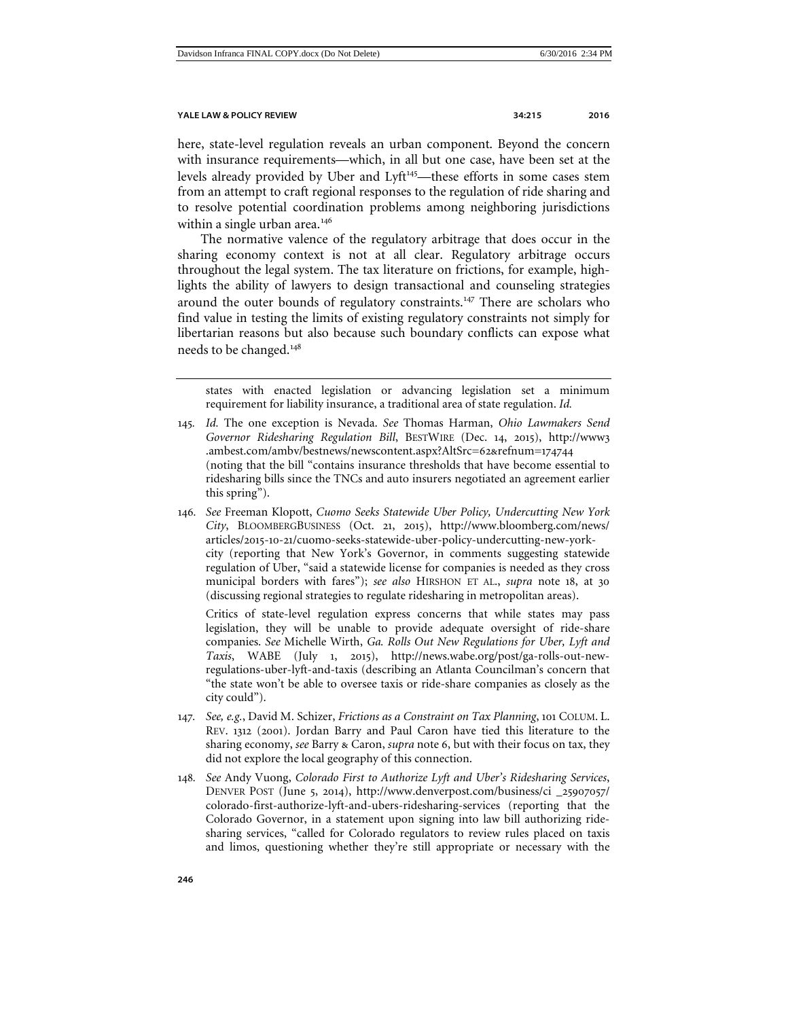here, state-level regulation reveals an urban component. Beyond the concern with insurance requirements—which, in all but one case, have been set at the levels already provided by Uber and Lyft<sup>[145](#page-31-0)</sup>—these efforts in some cases stem from an attempt to craft regional responses to the regulation of ride sharing and to resolve potential coordination problems among neighboring jurisdictions within a single urban area.<sup>[146](#page-31-1)</sup>

The normative valence of the regulatory arbitrage that does occur in the sharing economy context is not at all clear. Regulatory arbitrage occurs throughout the legal system. The tax literature on frictions, for example, highlights the ability of lawyers to design transactional and counseling strategies around the outer bounds of regulatory constraints.<sup>[147](#page-31-2)</sup> There are scholars who find value in testing the limits of existing regulatory constraints not simply for libertarian reasons but also because such boundary conflicts can expose what needs to be changed.[148](#page-31-3)

states with enacted legislation or advancing legislation set a minimum requirement for liability insurance, a traditional area of state regulation. *Id.*

<span id="page-31-1"></span>146*. See* Freeman Klopott, *Cuomo Seeks Statewide Uber Policy, Undercutting New York City*, BLOOMBERGBUSINESS (Oct. 21, 2015), http://www.bloomberg.com/news/ articles/2015-10-21/cuomo-seeks-statewide-uber-policy-undercutting-new-yorkcity (reporting that New York's Governor, in comments suggesting statewide regulation of Uber, "said a statewide license for companies is needed as they cross municipal borders with fares"); *see also* HIRSHON ET AL., *supra* note [18](#page-4-8), at 30 (discussing regional strategies to regulate ridesharing in metropolitan areas).

Critics of state-level regulation express concerns that while states may pass legislation, they will be unable to provide adequate oversight of ride-share companies. *See* Michelle Wirth, *Ga. Rolls Out New Regulations for Uber, Lyft and Taxis*, WABE (July 1, 2015), http://news.wabe.org/post/ga-rolls-out-newregulations-uber-lyft-and-taxis (describing an Atlanta Councilman's concern that "the state won't be able to oversee taxis or ride-share companies as closely as the city could").

- <span id="page-31-2"></span>147*. See, e.g.*, David M. Schizer, *Frictions as a Constraint on Tax Planning*, 101 COLUM. L. REV. 1312 (2001). Jordan Barry and Paul Caron have tied this literature to the sharing economy, *see* Barry & Caron, *supra* note 6, but with their focus on tax, they did not explore the local geography of this connection.
- <span id="page-31-3"></span>148*. See* Andy Vuong, *Colorado First to Authorize Lyft and Uber's Ridesharing Services*, DENVER POST (June 5, 2014), http://www.denverpost.com/business/ci \_25907057/ colorado-first-authorize-lyft-and-ubers-ridesharing-services (reporting that the Colorado Governor, in a statement upon signing into law bill authorizing ridesharing services, "called for Colorado regulators to review rules placed on taxis and limos, questioning whether they're still appropriate or necessary with the

<span id="page-31-0"></span><sup>145</sup>*. Id.* The one exception is Nevada. *See* Thomas Harman, *Ohio Lawmakers Send Governor Ridesharing Regulation Bill*, BESTWIRE (Dec. 14, 2015), http://www3 .ambest.com/ambv/bestnews/newscontent.aspx?AltSrc=62&refnum=174744 (noting that the bill "contains insurance thresholds that have become essential to ridesharing bills since the TNCs and auto insurers negotiated an agreement earlier this spring").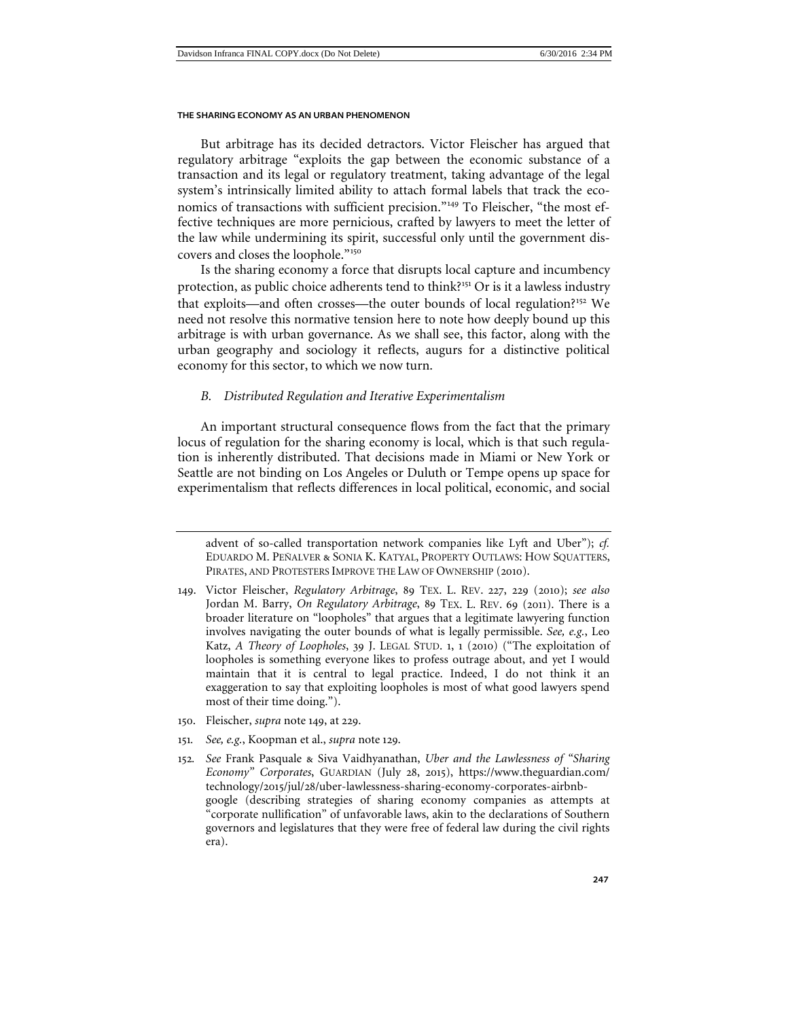<span id="page-32-1"></span>But arbitrage has its decided detractors. Victor Fleischer has argued that regulatory arbitrage "exploits the gap between the economic substance of a transaction and its legal or regulatory treatment, taking advantage of the legal system's intrinsically limited ability to attach formal labels that track the economics of transactions with sufficient precision."[149](#page-32-2) To Fleischer, "the most effective techniques are more pernicious, crafted by lawyers to meet the letter of the law while undermining its spirit, successful only until the government discovers and closes the loophole."[150](#page-32-3)

Is the sharing economy a force that disrupts local capture and incumbency protection, as public choice adherents tend to think?<sup>[151](#page-32-4)</sup> Or is it a lawless industry that exploits—and often crosses—the outer bounds of local regulation?<sup>[152](#page-32-5)</sup> We need not resolve this normative tension here to note how deeply bound up this arbitrage is with urban governance. As we shall see, this factor, along with the urban geography and sociology it reflects, augurs for a distinctive political economy for this sector, to which we now turn.

# <span id="page-32-0"></span>*B. Distributed Regulation and Iterative Experimentalism*

An important structural consequence flows from the fact that the primary locus of regulation for the sharing economy is local, which is that such regulation is inherently distributed. That decisions made in Miami or New York or Seattle are not binding on Los Angeles or Duluth or Tempe opens up space for experimentalism that reflects differences in local political, economic, and social

- <span id="page-32-3"></span>150. Fleischer, *supra* note [149](#page-32-1), at 229.
- <span id="page-32-4"></span>151*. See, e.g.*, Koopman et al., *supra* note [129](#page-27-3).
- <span id="page-32-5"></span>152*. See* Frank Pasquale & Siva Vaidhyanathan, *Uber and the Lawlessness of "Sharing Economy" Corporates*, GUARDIAN (July 28, 2015), https://www.theguardian.com/ technology/2015/jul/28/uber-lawlessness-sharing-economy-corporates-airbnbgoogle (describing strategies of sharing economy companies as attempts at "corporate nullification" of unfavorable laws, akin to the declarations of Southern governors and legislatures that they were free of federal law during the civil rights era).

advent of so-called transportation network companies like Lyft and Uber"); *cf.* EDUARDO M. PEÑALVER & SONIA K. KATYAL, PROPERTY OUTLAWS: HOW SQUATTERS, PIRATES, AND PROTESTERS IMPROVE THE LAW OF OWNERSHIP (2010).

<span id="page-32-2"></span><sup>149</sup>. Victor Fleischer, *Regulatory Arbitrage*, 89 TEX. L. REV. 227, 229 (2010); *see also*  Jordan M. Barry, *On Regulatory Arbitrage*, 89 TEX. L. REV. 69 (2011). There is a broader literature on "loopholes" that argues that a legitimate lawyering function involves navigating the outer bounds of what is legally permissible. *See, e.g.*, Leo Katz, *A Theory of Loopholes*, 39 J. LEGAL STUD. 1, 1 (2010) ("The exploitation of loopholes is something everyone likes to profess outrage about, and yet I would maintain that it is central to legal practice. Indeed, I do not think it an exaggeration to say that exploiting loopholes is most of what good lawyers spend most of their time doing.").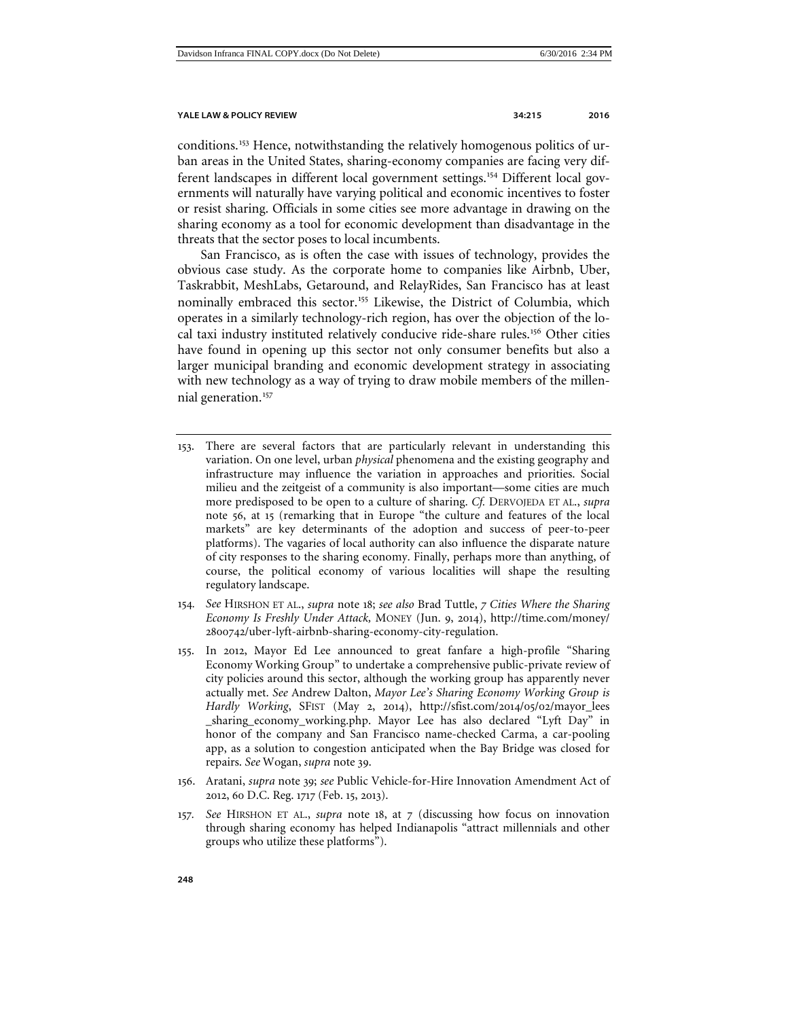conditions.[153](#page-33-0) Hence, notwithstanding the relatively homogenous politics of urban areas in the United States, sharing-economy companies are facing very dif-ferent landscapes in different local government settings.<sup>[154](#page-33-1)</sup> Different local governments will naturally have varying political and economic incentives to foster or resist sharing. Officials in some cities see more advantage in drawing on the sharing economy as a tool for economic development than disadvantage in the threats that the sector poses to local incumbents.

<span id="page-33-5"></span>San Francisco, as is often the case with issues of technology, provides the obvious case study. As the corporate home to companies like Airbnb, Uber, Taskrabbit, MeshLabs, Getaround, and RelayRides, San Francisco has at least nominally embraced this sector.<sup>[155](#page-33-2)</sup> Likewise, the District of Columbia, which operates in a similarly technology-rich region, has over the objection of the local taxi industry instituted relatively conducive ride-share rules.[156](#page-33-3) Other cities have found in opening up this sector not only consumer benefits but also a larger municipal branding and economic development strategy in associating with new technology as a way of trying to draw mobile members of the millen-nial generation.<sup>[157](#page-33-4)</sup>

- <span id="page-33-0"></span>153. There are several factors that are particularly relevant in understanding this variation. On one level, urban *physical* phenomena and the existing geography and infrastructure may influence the variation in approaches and priorities. Social milieu and the zeitgeist of a community is also important—some cities are much more predisposed to be open to a culture of sharing. *Cf.* DERVOJEDA ET AL., *supra*  note 56, at 15 (remarking that in Europe "the culture and features of the local markets" are key determinants of the adoption and success of peer-to-peer platforms). The vagaries of local authority can also influence the disparate nature of city responses to the sharing economy. Finally, perhaps more than anything, of course, the political economy of various localities will shape the resulting regulatory landscape.
- <span id="page-33-1"></span>154*. See* HIRSHON ET AL., *supra* note [18](#page-4-8); *see also* Brad Tuttle, *7 Cities Where the Sharing Economy Is Freshly Under Attack,* MONEY (Jun. 9, 2014), http://time.com/money/ 2800742/uber-lyft-airbnb-sharing-economy-city-regulation.
- <span id="page-33-2"></span>155. In 2012, Mayor Ed Lee announced to great fanfare a high-profile "Sharing Economy Working Group" to undertake a comprehensive public-private review of city policies around this sector, although the working group has apparently never actually met. *See* Andrew Dalton, *Mayor Lee's Sharing Economy Working Group is Hardly Working*, SFIST (May 2, 2014), http://sfist.com/2014/05/02/mayor\_lees \_sharing\_economy\_working.php. Mayor Lee has also declared "Lyft Day" in honor of the company and San Francisco name-checked Carma, a car-pooling app, as a solution to congestion anticipated when the Bay Bridge was closed for repairs. *See* Wogan, *supra* note [39](#page-9-5).
- <span id="page-33-3"></span>156. Aratani, *supra* note [39](#page-9-5); *see* Public Vehicle-for-Hire Innovation Amendment Act of 2012, 60 D.C. Reg. 1717 (Feb. 15, 2013).
- <span id="page-33-4"></span>157*. See* HIRSHON ET AL., *supra* note [18](#page-4-8), at 7 (discussing how focus on innovation through sharing economy has helped Indianapolis "attract millennials and other groups who utilize these platforms").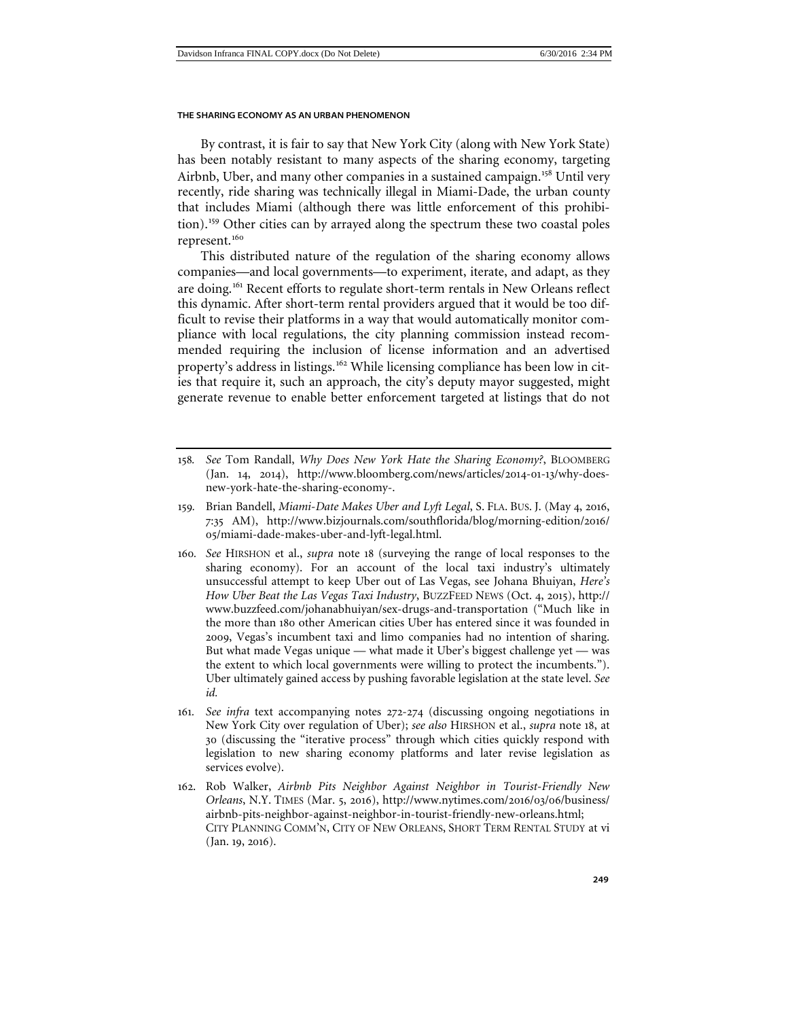By contrast, it is fair to say that New York City (along with New York State) has been notably resistant to many aspects of the sharing economy, targeting Airbnb, Uber, and many other companies in a sustained campaign.<sup>[158](#page-34-0)</sup> Until very recently, ride sharing was technically illegal in Miami-Dade, the urban county that includes Miami (although there was little enforcement of this prohibition). [159](#page-34-1) Other cities can by arrayed along the spectrum these two coastal poles represent.<sup>[160](#page-34-2)</sup>

<span id="page-34-5"></span>This distributed nature of the regulation of the sharing economy allows companies—and local governments—to experiment, iterate, and adapt, as they are doing.<sup>[161](#page-34-3)</sup> Recent efforts to regulate short-term rentals in New Orleans reflect this dynamic. After short-term rental providers argued that it would be too difficult to revise their platforms in a way that would automatically monitor compliance with local regulations, the city planning commission instead recommended requiring the inclusion of license information and an advertised property's address in listings.<sup>[162](#page-34-4)</sup> While licensing compliance has been low in cities that require it, such an approach, the city's deputy mayor suggested, might generate revenue to enable better enforcement targeted at listings that do not

- <span id="page-34-1"></span>159*.* Brian Bandell, *Miami-Date Makes Uber and Lyft Legal*, S. FLA. BUS. J. (May 4, 2016, 7:35 AM), http://www.bizjournals.com/southflorida/blog/morning-edition/2016/ 05/miami-dade-makes-uber-and-lyft-legal.html.
- <span id="page-34-2"></span>160*. See* HIRSHON et al., *supra* note [18](#page-4-8) (surveying the range of local responses to the sharing economy). For an account of the local taxi industry's ultimately unsuccessful attempt to keep Uber out of Las Vegas, see Johana Bhuiyan, *Here's How Uber Beat the Las Vegas Taxi Industry*, BUZZFEED NEWS (Oct. 4, 2015), http:// www.buzzfeed.com/johanabhuiyan/sex-drugs-and-transportation ("Much like in the more than 180 other American cities Uber has entered since it was founded in 2009, Vegas's incumbent taxi and limo companies had no intention of sharing. But what made Vegas unique — what made it Uber's biggest challenge yet — was the extent to which local governments were willing to protect the incumbents."). Uber ultimately gained access by pushing favorable legislation at the state level. *See id.*
- <span id="page-34-3"></span>161*. See infra* text accompanying notes 272-274 (discussing ongoing negotiations in New York City over regulation of Uber); *see also* HIRSHON et al., *supra* note [18](#page-4-8), at 30 (discussing the "iterative process" through which cities quickly respond with legislation to new sharing economy platforms and later revise legislation as services evolve).
- <span id="page-34-4"></span>162. Rob Walker, *Airbnb Pits Neighbor Against Neighbor in Tourist-Friendly New Orleans*, N.Y. TIMES (Mar. 5, 2016), http://www.nytimes.com/2016/03/06/business/ airbnb-pits-neighbor-against-neighbor-in-tourist-friendly-new-orleans.html; CITY PLANNING COMM'N, CITY OF NEW ORLEANS, SHORT TERM RENTAL STUDY at vi (Jan. 19, 2016).

<span id="page-34-6"></span><span id="page-34-0"></span><sup>158</sup>*. See* Tom Randall, *Why Does New York Hate the Sharing Economy?*, BLOOMBERG (Jan. 14, 2014), http://www.bloomberg.com/news/articles/2014-01-13/why-doesnew-york-hate-the-sharing-economy-.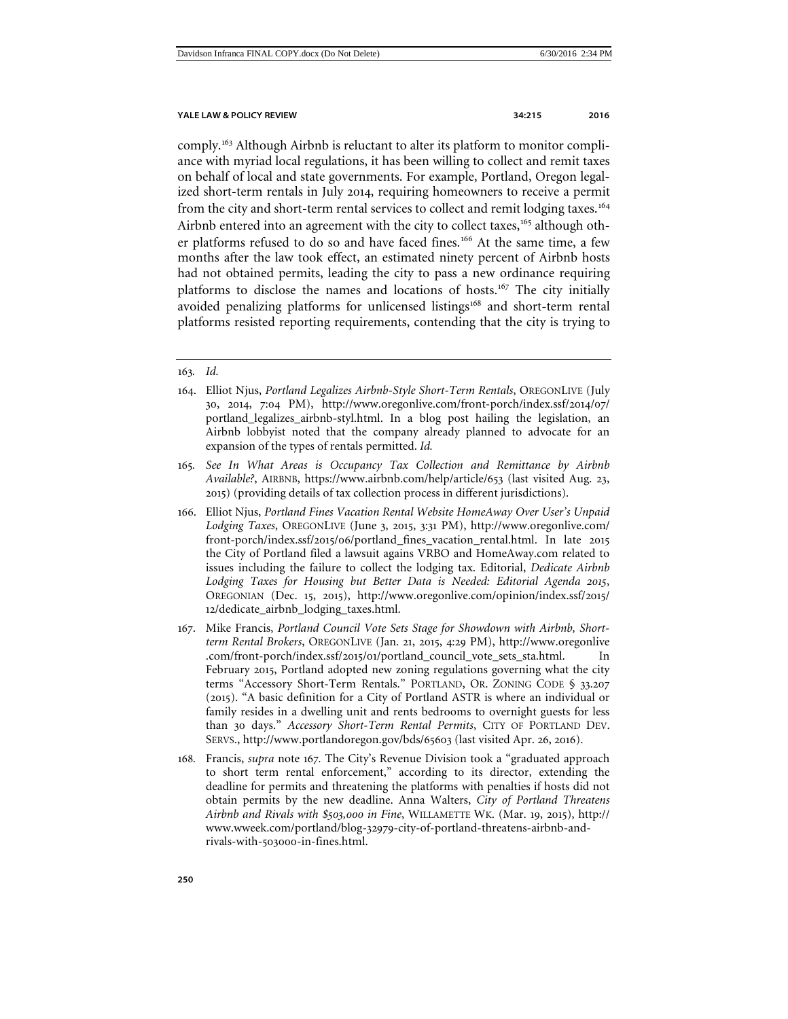comply.[163](#page-35-0) Although Airbnb is reluctant to alter its platform to monitor compliance with myriad local regulations, it has been willing to collect and remit taxes on behalf of local and state governments. For example, Portland, Oregon legalized short-term rentals in July 2014, requiring homeowners to receive a permit from the city and short-term rental services to collect and remit lodging taxes.<sup>[164](#page-35-1)</sup> Airbnb entered into an agreement with the city to collect taxes,<sup>[165](#page-35-2)</sup> although oth-er platforms refused to do so and have faced fines.<sup>[166](#page-35-3)</sup> At the same time, a few months after the law took effect, an estimated ninety percent of Airbnb hosts had not obtained permits, leading the city to pass a new ordinance requiring platforms to disclose the names and locations of hosts.<sup>[167](#page-35-4)</sup> The city initially avoided penalizing platforms for unlicensed listings<sup>[168](#page-35-5)</sup> and short-term rental platforms resisted reporting requirements, contending that the city is trying to

- <span id="page-35-3"></span>166. Elliot Njus, *Portland Fines Vacation Rental Website HomeAway Over User's Unpaid Lodging Taxes*, OREGONLIVE (June 3, 2015, 3:31 PM), http://www.oregonlive.com/ front-porch/index.ssf/2015/06/portland\_fines\_vacation\_rental.html. In late 2015 the City of Portland filed a lawsuit agains VRBO and HomeAway.com related to issues including the failure to collect the lodging tax. Editorial, *Dedicate Airbnb Lodging Taxes for Housing but Better Data is Needed: Editorial Agenda 2015*, OREGONIAN (Dec. 15, 2015), http://www.oregonlive.com/opinion/index.ssf/2015/ 12/dedicate\_airbnb\_lodging\_taxes.html.
- <span id="page-35-4"></span>167. Mike Francis, *Portland Council Vote Sets Stage for Showdown with Airbnb, Shortterm Rental Brokers*, OREGONLIVE (Jan. 21, 2015, 4:29 PM), http://www.oregonlive .com/front-porch/index.ssf/2015/01/portland\_council\_vote\_sets\_sta.html. In February 2015, Portland adopted new zoning regulations governing what the city terms "Accessory Short-Term Rentals." PORTLAND, OR. ZONING CODE § 33.207 (2015). "A basic definition for a City of Portland ASTR is where an individual or family resides in a dwelling unit and rents bedrooms to overnight guests for less than 30 days." *Accessory Short-Term Rental Permits*, CITY OF PORTLAND DEV. SERVS., http://www.portlandoregon.gov/bds/65603 (last visited Apr. 26, 2016).
- <span id="page-35-5"></span>168*.* Francis, *supra* note 167*.* The City's Revenue Division took a "graduated approach to short term rental enforcement," according to its director, extending the deadline for permits and threatening the platforms with penalties if hosts did not obtain permits by the new deadline. Anna Walters, *City of Portland Threatens Airbnb and Rivals with \$503,000 in Fine*, WILLAMETTE WK. (Mar. 19, 2015), http:// www.wweek.com/portland/blog-32979-city-of-portland-threatens-airbnb-andrivals-with-503000-in-fines.html.

<span id="page-35-0"></span><sup>163</sup>*. Id.* 

<span id="page-35-1"></span><sup>164</sup>. Elliot Njus, *Portland Legalizes Airbnb-Style Short-Term Rentals*, OREGONLIVE (July 30, 2014, 7:04 PM), http://www.oregonlive.com/front-porch/index.ssf/2014/07/ portland\_legalizes\_airbnb-styl.html. In a blog post hailing the legislation, an Airbnb lobbyist noted that the company already planned to advocate for an expansion of the types of rentals permitted. *Id.* 

<span id="page-35-2"></span><sup>165</sup>*. See In What Areas is Occupancy Tax Collection and Remittance by Airbnb Available?*, AIRBNB, https://www.airbnb.com/help/article/653 (last visited Aug. 23, 2015) (providing details of tax collection process in different jurisdictions).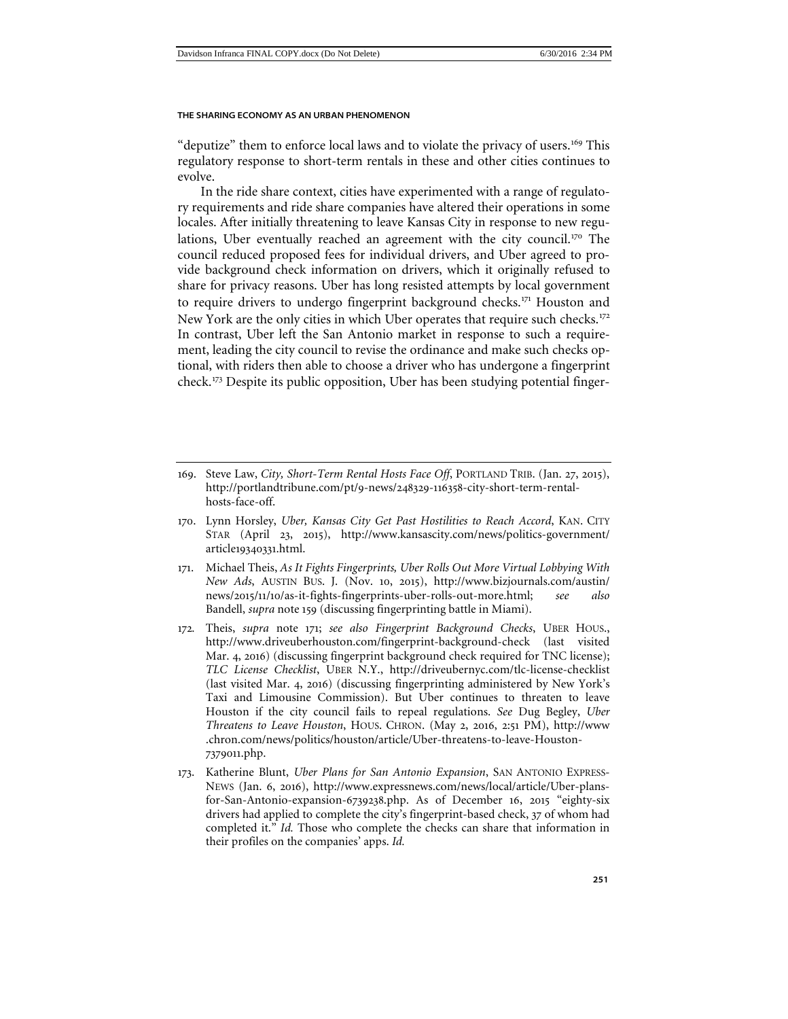"deputize" them to enforce local laws and to violate the privacy of users.<sup>[169](#page-36-0)</sup> This regulatory response to short-term rentals in these and other cities continues to evolve.

In the ride share context, cities have experimented with a range of regulatory requirements and ride share companies have altered their operations in some locales. After initially threatening to leave Kansas City in response to new regu-lations, Uber eventually reached an agreement with the city council.<sup>[170](#page-36-1)</sup> The council reduced proposed fees for individual drivers, and Uber agreed to provide background check information on drivers, which it originally refused to share for privacy reasons. Uber has long resisted attempts by local government to require drivers to undergo fingerprint background checks.<sup>[171](#page-36-2)</sup> Houston and New York are the only cities in which Uber operates that require such checks.<sup>[172](#page-36-3)</sup> In contrast, Uber left the San Antonio market in response to such a requirement, leading the city council to revise the ordinance and make such checks optional, with riders then able to choose a driver who has undergone a fingerprint check.[173](#page-36-4) Despite its public opposition, Uber has been studying potential finger-

- <span id="page-36-1"></span>170. Lynn Horsley, *Uber, Kansas City Get Past Hostilities to Reach Accord*, KAN. CITY STAR (April 23, 2015), http://www.kansascity.com/news/politics-government/ article19340331.html.
- <span id="page-36-2"></span>171. Michael Theis, *As It Fights Fingerprints, Uber Rolls Out More Virtual Lobbying With New Ads*, AUSTIN BUS. J. (Nov. 10, 2015), http://www.bizjournals.com/austin/ news/2015/11/10/as-it-fights-fingerprints-uber-rolls-out-more.html; *see also*  Bandell, *supra* note [159](#page-34-5) (discussing fingerprinting battle in Miami).
- <span id="page-36-3"></span>172*.* Theis, *supra* note 171; *see also Fingerprint Background Checks*, UBER HOUS., http://www.driveuberhouston.com/fingerprint-background-check (last visited Mar. 4, 2016) (discussing fingerprint background check required for TNC license); *TLC License Checklist*, UBER N.Y., http://driveubernyc.com/tlc-license-checklist (last visited Mar. 4, 2016) (discussing fingerprinting administered by New York's Taxi and Limousine Commission). But Uber continues to threaten to leave Houston if the city council fails to repeal regulations. *See* Dug Begley, *Uber Threatens to Leave Houston*, HOUS. CHRON. (May 2, 2016, 2:51 PM), http://www .chron.com/news/politics/houston/article/Uber-threatens-to-leave-Houston-7379011.php.
- <span id="page-36-4"></span>173. Katherine Blunt, *Uber Plans for San Antonio Expansion*, SAN ANTONIO EXPRESS-NEWS (Jan. 6, 2016), http://www.expressnews.com/news/local/article/Uber-plansfor-San-Antonio-expansion-6739238.php. As of December 16, 2015 "eighty-six drivers had applied to complete the city's fingerprint-based check, 37 of whom had completed it." *Id.* Those who complete the checks can share that information in their profiles on the companies' apps. *Id.*

<span id="page-36-0"></span><sup>169</sup>. Steve Law, *City, Short-Term Rental Hosts Face Off*, PORTLAND TRIB. (Jan. 27, 2015), http://portlandtribune.com/pt/9-news/248329-116358-city-short-term-rentalhosts-face-off.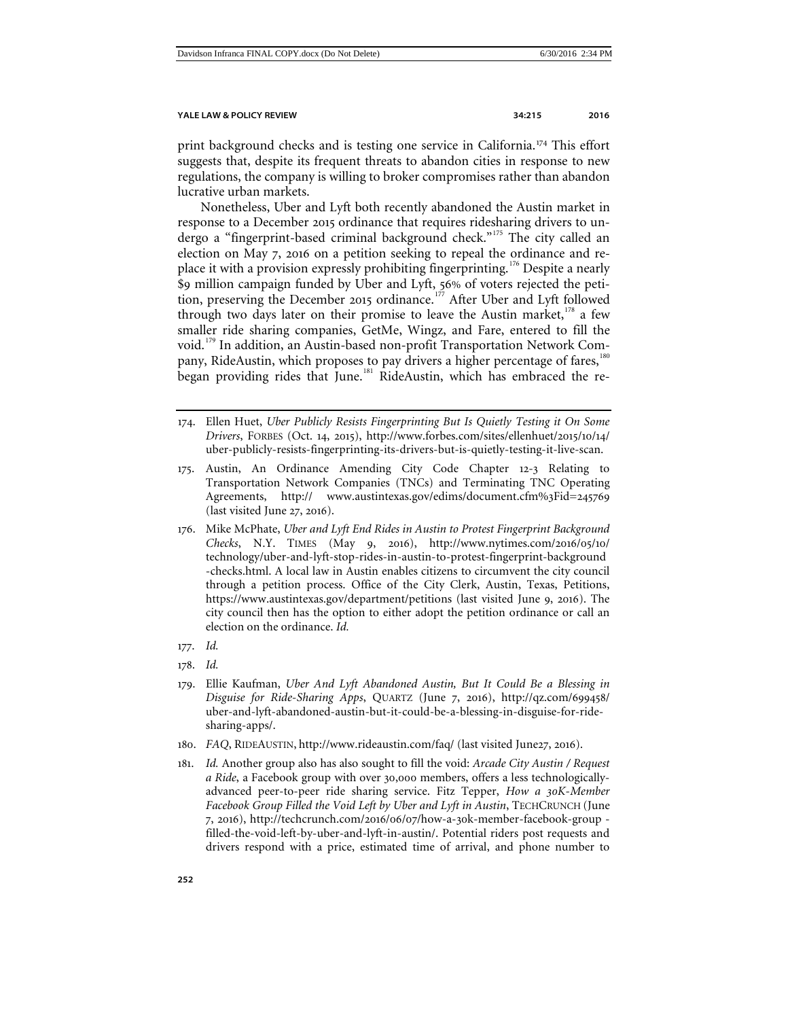print background checks and is testing one service in California.<sup>[174](#page-37-0)</sup> This effort suggests that, despite its frequent threats to abandon cities in response to new regulations, the company is willing to broker compromises rather than abandon lucrative urban markets.

Nonetheless, Uber and Lyft both recently abandoned the Austin market in response to a December 2015 ordinance that requires ridesharing drivers to un-dergo a "fingerprint-based criminal background check."<sup>[175](#page-37-1)</sup> The city called an election on May 7, 2016 on a petition seeking to repeal the ordinance and re-place it with a provision expressly prohibiting fingerprinting.<sup>[176](#page-37-2)</sup> Despite a nearly \$9 million campaign funded by Uber and Lyft, 56% of voters rejected the peti-tion, preserving the December 2015 ordinance.<sup>[177](#page-37-3)</sup> After Uber and Lyft followed through two days later on their promise to leave the Austin market, $178$  a few smaller ride sharing companies, GetMe, Wingz, and Fare, entered to fill the void.[179](#page-37-5) In addition, an Austin-based non-profit Transportation Network Com-pany, RideAustin, which proposes to pay drivers a higher percentage of fares,<sup>[180](#page-37-6)</sup> began providing rides that June.<sup>[181](#page-37-7)</sup> RideAustin, which has embraced the re-

- <span id="page-37-0"></span>174. Ellen Huet, *Uber Publicly Resists Fingerprinting But Is Quietly Testing it On Some Drivers*, FORBES (Oct. 14, 2015), http://www.forbes.com/sites/ellenhuet/2015/10/14/ uber-publicly-resists-fingerprinting-its-drivers-but-is-quietly-testing-it-live-scan.
- <span id="page-37-1"></span>175. Austin, An Ordinance Amending City Code Chapter 12-3 Relating to Transportation Network Companies (TNCs) and Terminating TNC Operating Agreements, http:// www.austintexas.gov/edims/document.cfm%3Fid=245769 (last visited June 27, 2016).
- <span id="page-37-2"></span>176. Mike McPhate, *Uber and Lyft End Rides in Austin to Protest Fingerprint Background Checks*, N.Y. TIMES (May 9, 2016), http://www.nytimes.com/2016/05/10/ technology/uber-and-lyft-stop-rides-in-austin-to-protest-fingerprint-background -checks.html. A local law in Austin enables citizens to circumvent the city council through a petition process. Office of the City Clerk, Austin, Texas, Petitions, https://www.austintexas.gov/department/petitions (last visited June 9, 2016). The city council then has the option to either adopt the petition ordinance or call an election on the ordinance. *Id.*
- <span id="page-37-3"></span>177. *Id.*
- <span id="page-37-4"></span>178. *Id.*
- <span id="page-37-5"></span>179. Ellie Kaufman, *Uber And Lyft Abandoned Austin, But It Could Be a Blessing in Disguise for Ride-Sharing Apps*, QUARTZ (June 7, 2016), http://qz.com/699458/ uber-and-lyft-abandoned-austin-but-it-could-be-a-blessing-in-disguise-for-ridesharing-apps/.
- <span id="page-37-6"></span>180. *FAQ*, RIDEAUSTIN, http://www.rideaustin.com/faq/ (last visited June27, 2016).
- <span id="page-37-7"></span>181. *Id.* Another group also has also sought to fill the void: *Arcade City Austin / Request a Ride*, a Facebook group with over 30,000 members, offers a less technologicallyadvanced peer-to-peer ride sharing service. Fitz Tepper, *How a 30K-Member Facebook Group Filled the Void Left by Uber and Lyft in Austin*, TECHCRUNCH (June 7, 2016), http://techcrunch.com/2016/06/07/how-a-30k-member-facebook-group filled-the-void-left-by-uber-and-lyft-in-austin/. Potential riders post requests and drivers respond with a price, estimated time of arrival, and phone number to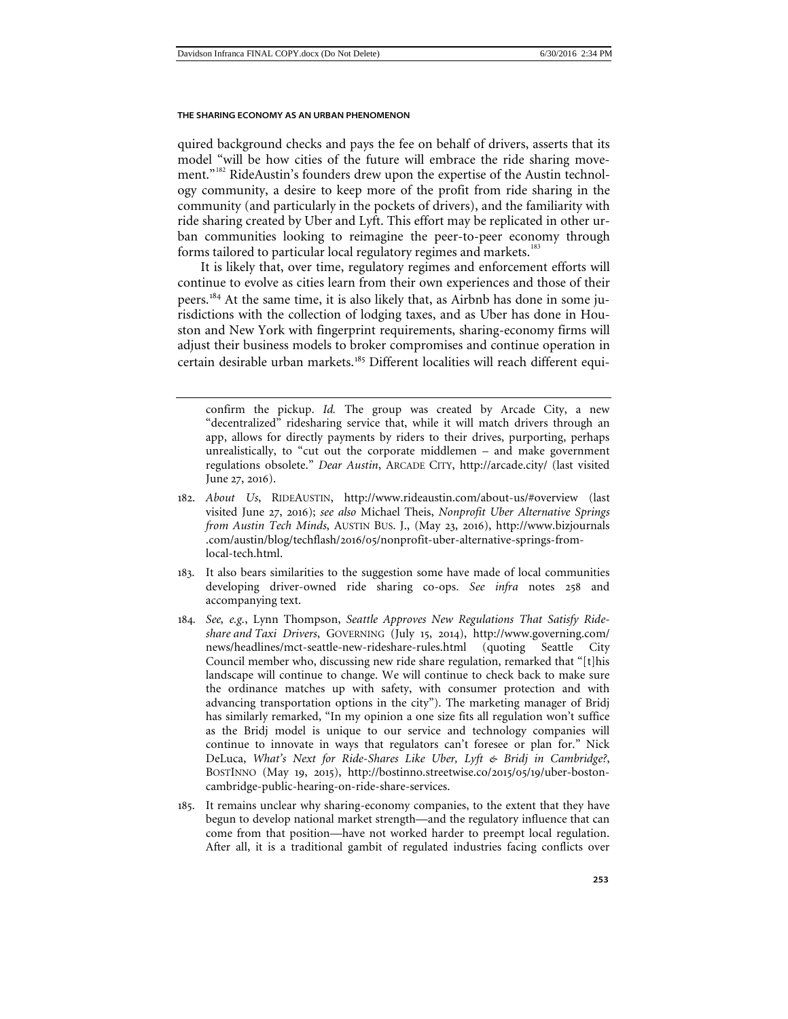quired background checks and pays the fee on behalf of drivers, asserts that its model "will be how cities of the future will embrace the ride sharing move-ment."<sup>[182](#page-38-0)</sup> RideAustin's founders drew upon the expertise of the Austin technology community, a desire to keep more of the profit from ride sharing in the community (and particularly in the pockets of drivers), and the familiarity with ride sharing created by Uber and Lyft. This effort may be replicated in other urban communities looking to reimagine the peer-to-peer economy through forms tailored to particular local regulatory regimes and markets.<sup>[183](#page-38-1)</sup>

It is likely that, over time, regulatory regimes and enforcement efforts will continue to evolve as cities learn from their own experiences and those of their peers.[184](#page-38-2) At the same time, it is also likely that, as Airbnb has done in some jurisdictions with the collection of lodging taxes, and as Uber has done in Houston and New York with fingerprint requirements, sharing-economy firms will adjust their business models to broker compromises and continue operation in certain desirable urban markets.[185](#page-38-3) Different localities will reach different equi-

- <span id="page-38-0"></span>182. *About Us*, RIDEAUSTIN, http://www.rideaustin.com/about-us/#overview (last visited June 27, 2016); *see also* Michael Theis, *Nonprofit Uber Alternative Springs from Austin Tech Minds*, AUSTIN BUS. J., (May 23, 2016), http://www.bizjournals .com/austin/blog/techflash/2016/05/nonprofit-uber-alternative-springs-fromlocal-tech.html.
- <span id="page-38-1"></span>183. It also bears similarities to the suggestion some have made of local communities developing driver-owned ride sharing co-ops. *See infra* notes 258 and accompanying text.
- <span id="page-38-2"></span>184*. See, e.g.*, Lynn Thompson, *Seattle Approves New Regulations That Satisfy Rideshare and Taxi Drivers*, GOVERNING (July 15, 2014), http://www.governing.com/ news/headlines/mct-seattle-new-rideshare-rules.html (quoting Seattle City Council member who, discussing new ride share regulation, remarked that "[t]his landscape will continue to change. We will continue to check back to make sure the ordinance matches up with safety, with consumer protection and with advancing transportation options in the city"). The marketing manager of Bridj has similarly remarked, "In my opinion a one size fits all regulation won't suffice as the Bridj model is unique to our service and technology companies will continue to innovate in ways that regulators can't foresee or plan for." Nick DeLuca, *What's Next for Ride-Shares Like Uber, Lyft & Bridj in Cambridge?*, BOSTINNO (May 19, 2015), http://bostinno.streetwise.co/2015/05/19/uber-bostoncambridge-public-hearing-on-ride-share-services.
- <span id="page-38-3"></span>185. It remains unclear why sharing-economy companies, to the extent that they have begun to develop national market strength—and the regulatory influence that can come from that position—have not worked harder to preempt local regulation. After all, it is a traditional gambit of regulated industries facing conflicts over

confirm the pickup. *Id.* The group was created by Arcade City, a new "decentralized" ridesharing service that, while it will match drivers through an app, allows for directly payments by riders to their drives, purporting, perhaps unrealistically, to "cut out the corporate middlemen – and make government regulations obsolete." *Dear Austin*, ARCADE CITY, http://arcade.city/ (last visited June 27, 2016).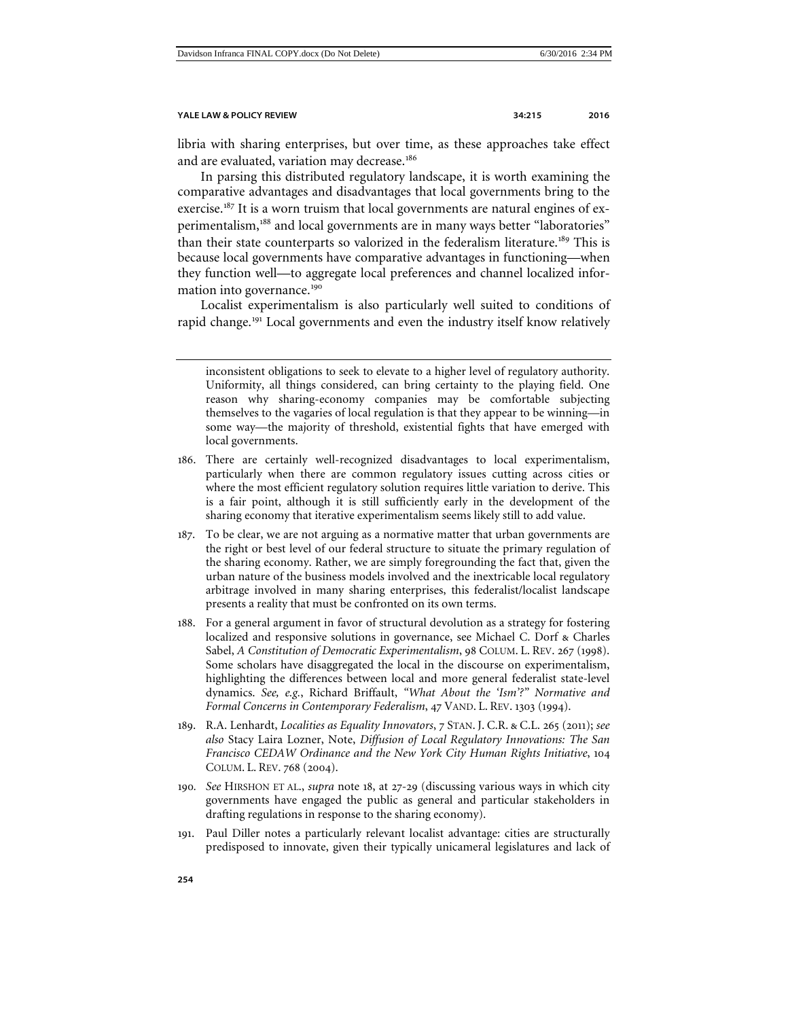libria with sharing enterprises, but over time, as these approaches take effect and are evaluated, variation may decrease.<sup>[186](#page-39-0)</sup>

In parsing this distributed regulatory landscape, it is worth examining the comparative advantages and disadvantages that local governments bring to the exercise.<sup>[187](#page-39-1)</sup> It is a worn truism that local governments are natural engines of ex-perimentalism,<sup>[188](#page-39-2)</sup> and local governments are in many ways better "laboratories" than their state counterparts so valorized in the federalism literature.<sup>[189](#page-39-3)</sup> This is because local governments have comparative advantages in functioning—when they function well—to aggregate local preferences and channel localized infor-mation into governance.<sup>[190](#page-39-4)</sup>

Localist experimentalism is also particularly well suited to conditions of rapid change.[191](#page-39-5) Local governments and even the industry itself know relatively

- <span id="page-39-0"></span>186. There are certainly well-recognized disadvantages to local experimentalism, particularly when there are common regulatory issues cutting across cities or where the most efficient regulatory solution requires little variation to derive. This is a fair point, although it is still sufficiently early in the development of the sharing economy that iterative experimentalism seems likely still to add value.
- <span id="page-39-1"></span>187. To be clear, we are not arguing as a normative matter that urban governments are the right or best level of our federal structure to situate the primary regulation of the sharing economy. Rather, we are simply foregrounding the fact that, given the urban nature of the business models involved and the inextricable local regulatory arbitrage involved in many sharing enterprises, this federalist/localist landscape presents a reality that must be confronted on its own terms.
- <span id="page-39-2"></span>188. For a general argument in favor of structural devolution as a strategy for fostering localized and responsive solutions in governance, see Michael C. Dorf & Charles Sabel, *A Constitution of Democratic Experimentalism*, 98 COLUM. L. REV. 267 (1998). Some scholars have disaggregated the local in the discourse on experimentalism, highlighting the differences between local and more general federalist state-level dynamics. *See, e.g.*, Richard Briffault, *"What About the 'Ism'?" Normative and Formal Concerns in Contemporary Federalism*, 47 VAND. L. REV. 1303 (1994).
- <span id="page-39-3"></span>189. R.A. Lenhardt, *Localities as Equality Innovators*, 7 STAN. J. C.R. & C.L. 265 (2011); *see also* Stacy Laira Lozner, Note, *Diffusion of Local Regulatory Innovations: The San Francisco CEDAW Ordinance and the New York City Human Rights Initiative*, 104 COLUM. L. REV. 768 (2004).
- <span id="page-39-4"></span>190*. See* HIRSHON ET AL., *supra* note [18](#page-4-8), at 27-29 (discussing various ways in which city governments have engaged the public as general and particular stakeholders in drafting regulations in response to the sharing economy).
- <span id="page-39-5"></span>191. Paul Diller notes a particularly relevant localist advantage: cities are structurally predisposed to innovate, given their typically unicameral legislatures and lack of

inconsistent obligations to seek to elevate to a higher level of regulatory authority. Uniformity, all things considered, can bring certainty to the playing field. One reason why sharing-economy companies may be comfortable subjecting themselves to the vagaries of local regulation is that they appear to be winning—in some way—the majority of threshold, existential fights that have emerged with local governments.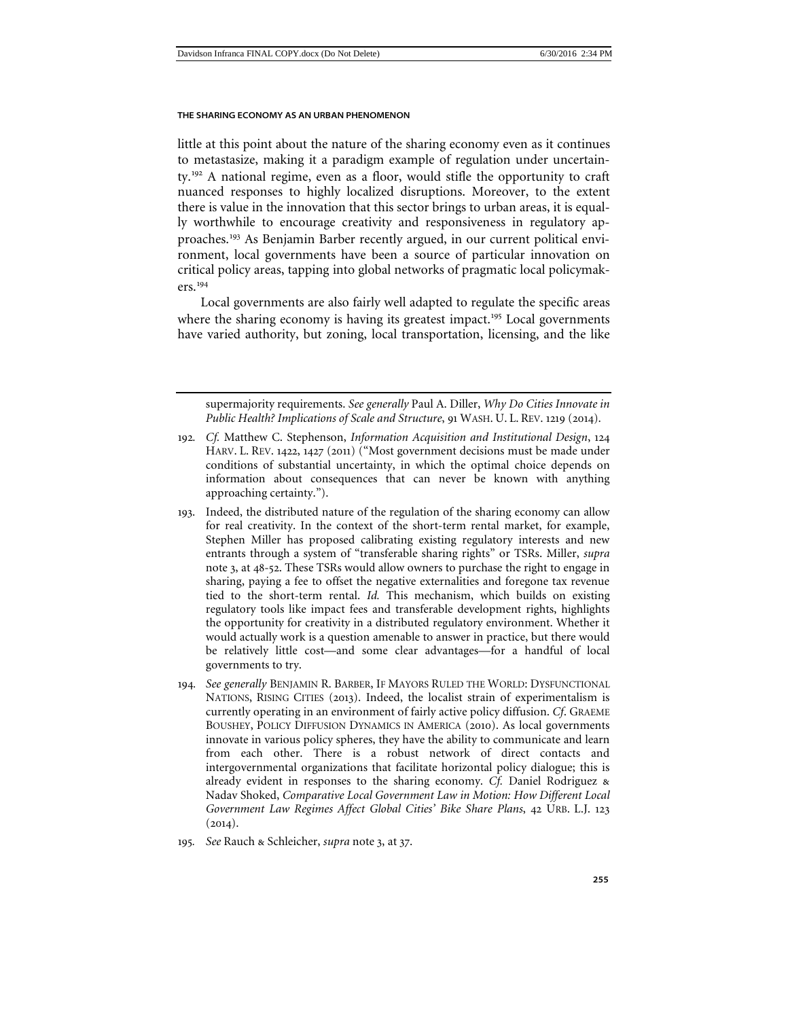little at this point about the nature of the sharing economy even as it continues to metastasize, making it a paradigm example of regulation under uncertainty.[192](#page-40-0) A national regime, even as a floor, would stifle the opportunity to craft nuanced responses to highly localized disruptions. Moreover, to the extent there is value in the innovation that this sector brings to urban areas, it is equally worthwhile to encourage creativity and responsiveness in regulatory approaches.[193](#page-40-1) As Benjamin Barber recently argued, in our current political environment, local governments have been a source of particular innovation on critical policy areas, tapping into global networks of pragmatic local policymakers.[194](#page-40-2)

Local governments are also fairly well adapted to regulate the specific areas where the sharing economy is having its greatest impact.<sup>[195](#page-40-3)</sup> Local governments have varied authority, but zoning, local transportation, licensing, and the like

supermajority requirements. *See generally* Paul A. Diller, *Why Do Cities Innovate in Public Health? Implications of Scale and Structure*, 91 WASH. U. L. REV. 1219 (2014).

- <span id="page-40-0"></span>192*. Cf.* Matthew C. Stephenson, *Information Acquisition and Institutional Design*, 124 HARV. L. REV. 1422, 1427 (2011) ("Most government decisions must be made under conditions of substantial uncertainty, in which the optimal choice depends on information about consequences that can never be known with anything approaching certainty.").
- <span id="page-40-1"></span>193. Indeed, the distributed nature of the regulation of the sharing economy can allow for real creativity. In the context of the short-term rental market, for example, Stephen Miller has proposed calibrating existing regulatory interests and new entrants through a system of "transferable sharing rights" or TSRs. Miller, *supra*  note 3, at 48-52. These TSRs would allow owners to purchase the right to engage in sharing, paying a fee to offset the negative externalities and foregone tax revenue tied to the short-term rental. *Id.* This mechanism, which builds on existing regulatory tools like impact fees and transferable development rights, highlights the opportunity for creativity in a distributed regulatory environment. Whether it would actually work is a question amenable to answer in practice, but there would be relatively little cost—and some clear advantages—for a handful of local governments to try.
- <span id="page-40-2"></span>194*. See generally* BENJAMIN R. BARBER, IF MAYORS RULED THE WORLD: DYSFUNCTIONAL NATIONS, RISING CITIES (2013). Indeed, the localist strain of experimentalism is currently operating in an environment of fairly active policy diffusion. *Cf*. GRAEME BOUSHEY, POLICY DIFFUSION DYNAMICS IN AMERICA (2010). As local governments innovate in various policy spheres, they have the ability to communicate and learn from each other. There is a robust network of direct contacts and intergovernmental organizations that facilitate horizontal policy dialogue; this is already evident in responses to the sharing economy. *Cf.* Daniel Rodriguez & Nadav Shoked, *Comparative Local Government Law in Motion: How Different Local Government Law Regimes Affect Global Cities' Bike Share Plans*, 42 URB. L.J. 123  $(2014).$
- <span id="page-40-3"></span>195*. See* Rauch & Schleicher, *supra* note 3, at 37.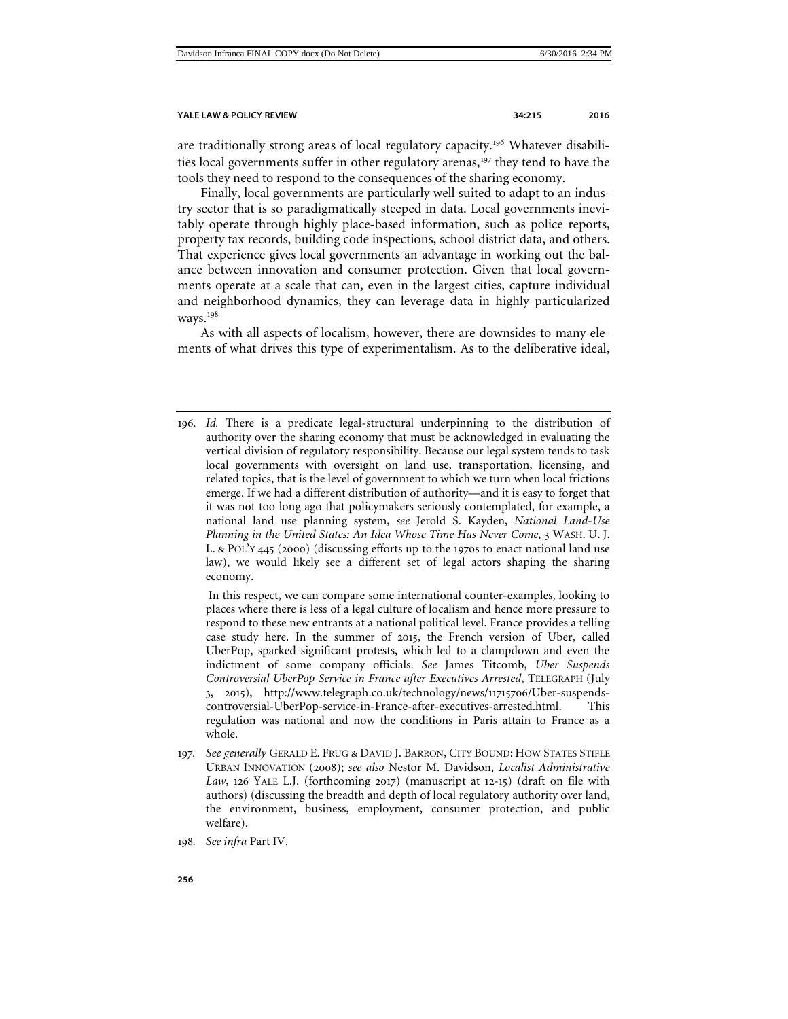are traditionally strong areas of local regulatory capacity.<sup>[196](#page-41-0)</sup> Whatever disabili-ties local governments suffer in other regulatory arenas,<sup>[197](#page-41-1)</sup> they tend to have the tools they need to respond to the consequences of the sharing economy.

Finally, local governments are particularly well suited to adapt to an industry sector that is so paradigmatically steeped in data. Local governments inevitably operate through highly place-based information, such as police reports, property tax records, building code inspections, school district data, and others. That experience gives local governments an advantage in working out the balance between innovation and consumer protection. Given that local governments operate at a scale that can, even in the largest cities, capture individual and neighborhood dynamics, they can leverage data in highly particularized ways.[198](#page-41-2)

As with all aspects of localism, however, there are downsides to many elements of what drives this type of experimentalism. As to the deliberative ideal,

<span id="page-41-0"></span>196*. Id.* There is a predicate legal-structural underpinning to the distribution of authority over the sharing economy that must be acknowledged in evaluating the vertical division of regulatory responsibility. Because our legal system tends to task local governments with oversight on land use, transportation, licensing, and related topics, that is the level of government to which we turn when local frictions emerge. If we had a different distribution of authority—and it is easy to forget that it was not too long ago that policymakers seriously contemplated, for example, a national land use planning system, *see* Jerold S. Kayden, *National Land-Use Planning in the United States: An Idea Whose Time Has Never Come*, 3 WASH. U. J. L. & POL'Y 445 (2000) (discussing efforts up to the 1970s to enact national land use law), we would likely see a different set of legal actors shaping the sharing economy.

In this respect, we can compare some international counter-examples, looking to places where there is less of a legal culture of localism and hence more pressure to respond to these new entrants at a national political level. France provides a telling case study here. In the summer of 2015, the French version of Uber, called UberPop, sparked significant protests, which led to a clampdown and even the indictment of some company officials. *See* James Titcomb, *Uber Suspends Controversial UberPop Service in France after Executives Arrested*, TELEGRAPH (July 3, 2015), http://www.telegraph.co.uk/technology/news/11715706/Uber-suspendscontroversial-UberPop-service-in-France-after-executives-arrested.html. This regulation was national and now the conditions in Paris attain to France as a whole.

- <span id="page-41-1"></span>197*. See generally* GERALD E. FRUG & DAVID J. BARRON, CITY BOUND: HOW STATES STIFLE URBAN INNOVATION (2008); *see also* Nestor M. Davidson, *Localist Administrative Law*, 126 YALE L.J. (forthcoming 2017) (manuscript at 12-15) (draft on file with authors) (discussing the breadth and depth of local regulatory authority over land, the environment, business, employment, consumer protection, and public welfare).
- <span id="page-41-2"></span>198*. See infra* Part IV.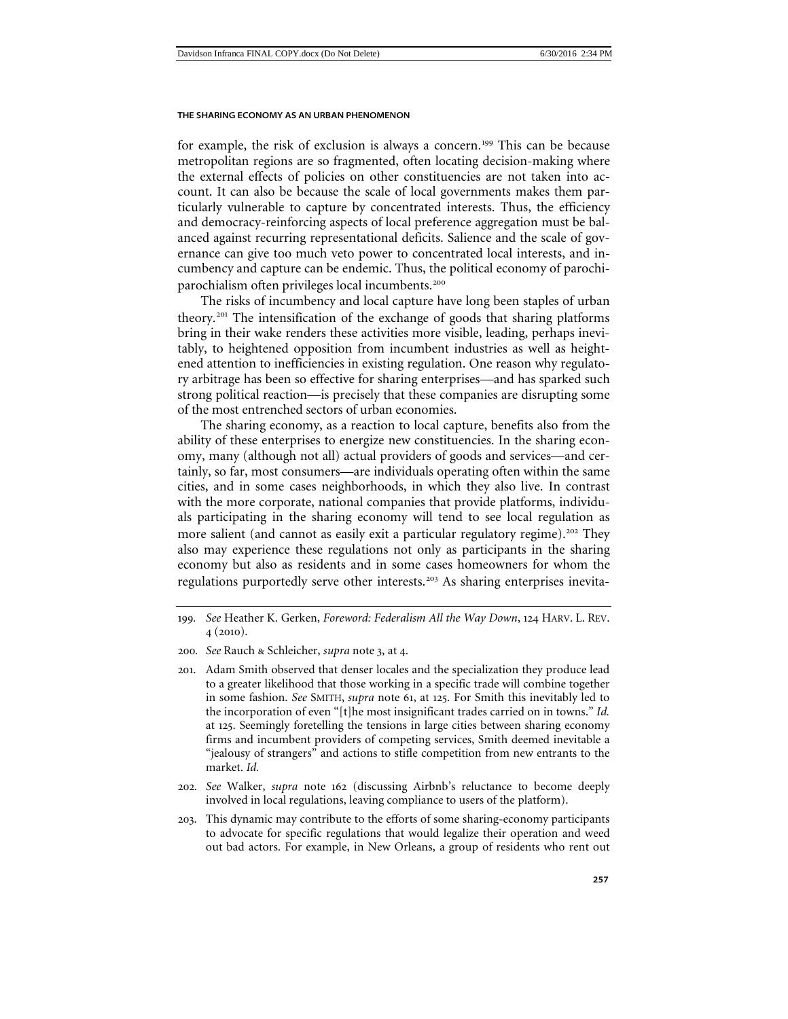for example, the risk of exclusion is always a concern.<sup>[199](#page-42-0)</sup> This can be because metropolitan regions are so fragmented, often locating decision-making where the external effects of policies on other constituencies are not taken into account. It can also be because the scale of local governments makes them particularly vulnerable to capture by concentrated interests. Thus, the efficiency and democracy-reinforcing aspects of local preference aggregation must be balanced against recurring representational deficits. Salience and the scale of governance can give too much veto power to concentrated local interests, and incumbency and capture can be endemic. Thus, the political economy of parochiparochialism often privileges local incumbents.[200](#page-42-1)

The risks of incumbency and local capture have long been staples of urban theory.[201](#page-42-2) The intensification of the exchange of goods that sharing platforms bring in their wake renders these activities more visible, leading, perhaps inevitably, to heightened opposition from incumbent industries as well as heightened attention to inefficiencies in existing regulation. One reason why regulatory arbitrage has been so effective for sharing enterprises—and has sparked such strong political reaction—is precisely that these companies are disrupting some of the most entrenched sectors of urban economies.

The sharing economy, as a reaction to local capture, benefits also from the ability of these enterprises to energize new constituencies. In the sharing economy, many (although not all) actual providers of goods and services—and certainly, so far, most consumers—are individuals operating often within the same cities, and in some cases neighborhoods, in which they also live. In contrast with the more corporate, national companies that provide platforms, individuals participating in the sharing economy will tend to see local regulation as more salient (and cannot as easily exit a particular regulatory regime).<sup>[202](#page-42-3)</sup> They also may experience these regulations not only as participants in the sharing economy but also as residents and in some cases homeowners for whom the regulations purportedly serve other interests.<sup>[203](#page-42-4)</sup> As sharing enterprises inevita-

- <span id="page-42-3"></span>202*. See* Walker, *supra* note [162](#page-34-6) (discussing Airbnb's reluctance to become deeply involved in local regulations, leaving compliance to users of the platform).
- <span id="page-42-4"></span>203. This dynamic may contribute to the efforts of some sharing-economy participants to advocate for specific regulations that would legalize their operation and weed out bad actors. For example, in New Orleans, a group of residents who rent out

<span id="page-42-0"></span><sup>199</sup>*. See* Heather K. Gerken, *Foreword: Federalism All the Way Down*, 124 HARV. L. REV. 4 (2010).

<span id="page-42-1"></span><sup>200</sup>*. See* Rauch & Schleicher, *supra* note 3, at 4.

<span id="page-42-2"></span><sup>201</sup>. Adam Smith observed that denser locales and the specialization they produce lead to a greater likelihood that those working in a specific trade will combine together in some fashion. *See* SMITH, *supra* note [61](#page-14-6), at 125. For Smith this inevitably led to the incorporation of even "[t]he most insignificant trades carried on in towns." *Id.*  at 125. Seemingly foretelling the tensions in large cities between sharing economy firms and incumbent providers of competing services, Smith deemed inevitable a "jealousy of strangers" and actions to stifle competition from new entrants to the market. *Id.*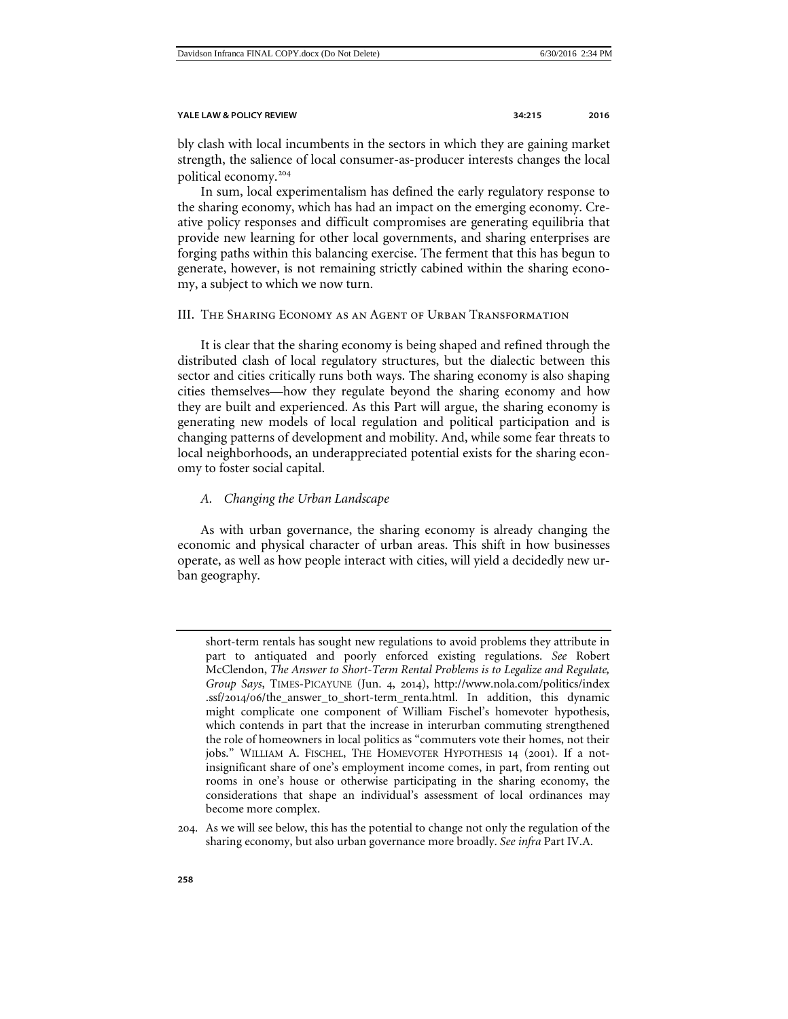bly clash with local incumbents in the sectors in which they are gaining market strength, the salience of local consumer-as-producer interests changes the local political economy.[204](#page-43-2)

In sum, local experimentalism has defined the early regulatory response to the sharing economy, which has had an impact on the emerging economy. Creative policy responses and difficult compromises are generating equilibria that provide new learning for other local governments, and sharing enterprises are forging paths within this balancing exercise. The ferment that this has begun to generate, however, is not remaining strictly cabined within the sharing economy, a subject to which we now turn.

# <span id="page-43-0"></span>III. The Sharing Economy as an Agent of Urban Transformation

It is clear that the sharing economy is being shaped and refined through the distributed clash of local regulatory structures, but the dialectic between this sector and cities critically runs both ways. The sharing economy is also shaping cities themselves—how they regulate beyond the sharing economy and how they are built and experienced. As this Part will argue, the sharing economy is generating new models of local regulation and political participation and is changing patterns of development and mobility. And, while some fear threats to local neighborhoods, an underappreciated potential exists for the sharing economy to foster social capital.

# <span id="page-43-1"></span>*A. Changing the Urban Landscape*

As with urban governance, the sharing economy is already changing the economic and physical character of urban areas. This shift in how businesses operate, as well as how people interact with cities, will yield a decidedly new urban geography.

short-term rentals has sought new regulations to avoid problems they attribute in part to antiquated and poorly enforced existing regulations. *See* Robert McClendon, *The Answer to Short-Term Rental Problems is to Legalize and Regulate, Group Says*, TIMES-PICAYUNE (Jun. 4, 2014), http://www.nola.com/politics/index .ssf/2014/06/the\_answer\_to\_short-term\_renta.html. In addition, this dynamic might complicate one component of William Fischel's homevoter hypothesis, which contends in part that the increase in interurban commuting strengthened the role of homeowners in local politics as "commuters vote their homes, not their jobs." WILLIAM A. FISCHEL, THE HOMEVOTER HYPOTHESIS 14 (2001). If a notinsignificant share of one's employment income comes, in part, from renting out rooms in one's house or otherwise participating in the sharing economy, the considerations that shape an individual's assessment of local ordinances may become more complex.

<span id="page-43-2"></span><sup>204</sup>. As we will see below, this has the potential to change not only the regulation of the sharing economy, but also urban governance more broadly. *See infra* Part IV.A.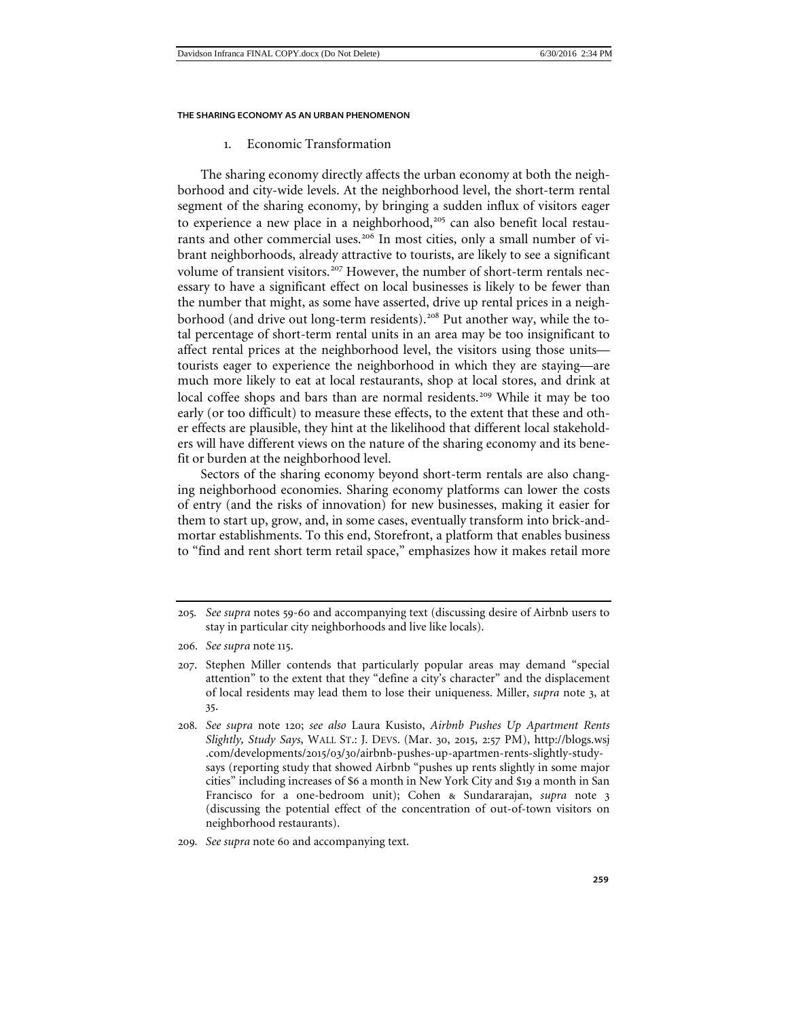# 1. Economic Transformation

<span id="page-44-0"></span>The sharing economy directly affects the urban economy at both the neighborhood and city-wide levels. At the neighborhood level, the short-term rental segment of the sharing economy, by bringing a sudden influx of visitors eager to experience a new place in a neighborhood,<sup>[205](#page-44-1)</sup> can also benefit local restau-rants and other commercial uses.<sup>[206](#page-44-2)</sup> In most cities, only a small number of vibrant neighborhoods, already attractive to tourists, are likely to see a significant volume of transient visitors.<sup>[207](#page-44-3)</sup> However, the number of short-term rentals necessary to have a significant effect on local businesses is likely to be fewer than the number that might, as some have asserted, drive up rental prices in a neigh-borhood (and drive out long-term residents).<sup>[208](#page-44-4)</sup> Put another way, while the total percentage of short-term rental units in an area may be too insignificant to affect rental prices at the neighborhood level, the visitors using those units tourists eager to experience the neighborhood in which they are staying—are much more likely to eat at local restaurants, shop at local stores, and drink at local coffee shops and bars than are normal residents.<sup>[209](#page-44-5)</sup> While it may be too early (or too difficult) to measure these effects, to the extent that these and other effects are plausible, they hint at the likelihood that different local stakeholders will have different views on the nature of the sharing economy and its benefit or burden at the neighborhood level.

Sectors of the sharing economy beyond short-term rentals are also changing neighborhood economies. Sharing economy platforms can lower the costs of entry (and the risks of innovation) for new businesses, making it easier for them to start up, grow, and, in some cases, eventually transform into brick-andmortar establishments. To this end, Storefront, a platform that enables business to "find and rent short term retail space," emphasizes how it makes retail more

<span id="page-44-1"></span><sup>205</sup>*. See supra* notes 59-[60](#page-13-4) and accompanying text (discussing desire of Airbnb users to stay in particular city neighborhoods and live like locals).

<span id="page-44-2"></span><sup>206</sup>*. See supra* note 115.

<span id="page-44-3"></span><sup>207</sup>. Stephen Miller contends that particularly popular areas may demand "special attention" to the extent that they "define a city's character" and the displacement of local residents may lead them to lose their uniqueness. Miller, *supra* note 3, at 35.

<span id="page-44-4"></span><sup>208</sup>*. See supra* note 120; *see also* Laura Kusisto, *Airbnb Pushes Up Apartment Rents Slightly, Study Says*, WALL ST.: J. DEVS. (Mar. 30, 2015, 2:57 PM), http://blogs.wsj .com/developments/2015/03/30/airbnb-pushes-up-apartmen-rents-slightly-studysays (reporting study that showed Airbnb "pushes up rents slightly in some major cities" including increases of \$6 a month in New York City and \$19 a month in San Francisco for a one-bedroom unit); Cohen & Sundararajan, *supra* note [3](#page-1-4) (discussing the potential effect of the concentration of out-of-town visitors on neighborhood restaurants).

<span id="page-44-5"></span><sup>209</sup>*. See supra* note [60](#page-13-4) and accompanying text.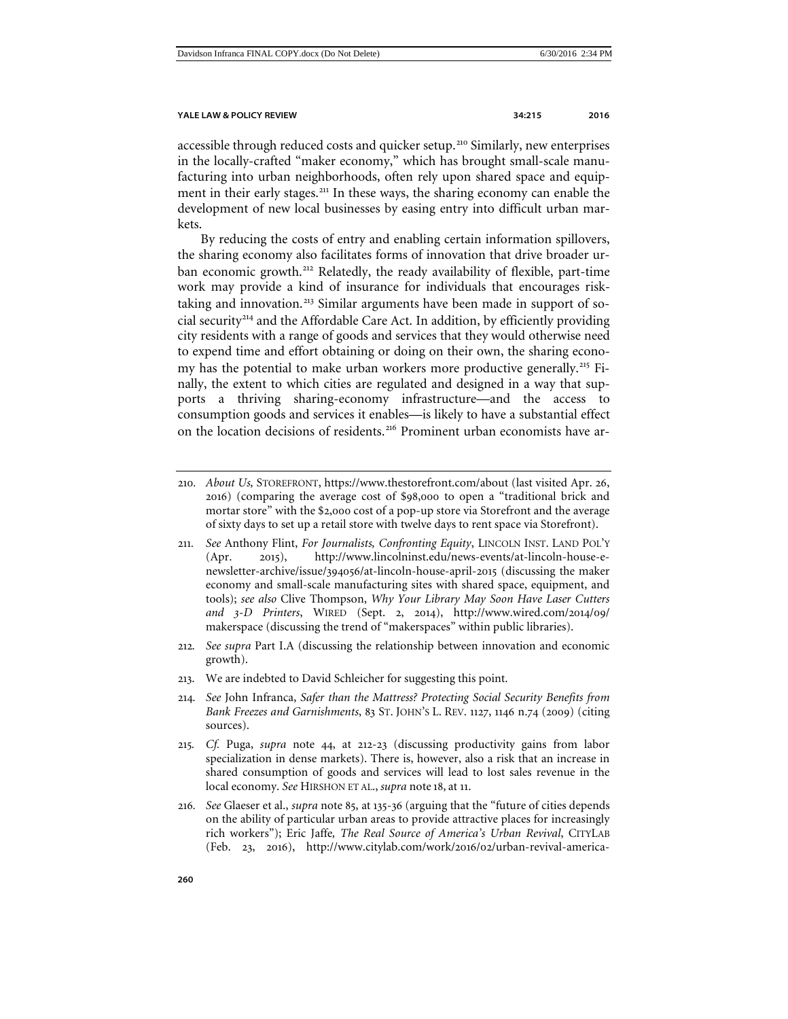<span id="page-45-7"></span>

accessible through reduced costs and quicker setup.<sup>[210](#page-45-0)</sup> Similarly, new enterprises in the locally-crafted "maker economy," which has brought small-scale manufacturing into urban neighborhoods, often rely upon shared space and equip-ment in their early stages.<sup>[211](#page-45-1)</sup> In these ways, the sharing economy can enable the development of new local businesses by easing entry into difficult urban markets.

By reducing the costs of entry and enabling certain information spillovers, the sharing economy also facilitates forms of innovation that drive broader ur-ban economic growth.<sup>[212](#page-45-2)</sup> Relatedly, the ready availability of flexible, part-time work may provide a kind of insurance for individuals that encourages risk-taking and innovation.<sup>[213](#page-45-3)</sup> Similar arguments have been made in support of so $cial$  security<sup>[214](#page-45-4)</sup> and the Affordable Care Act. In addition, by efficiently providing city residents with a range of goods and services that they would otherwise need to expend time and effort obtaining or doing on their own, the sharing econo-my has the potential to make urban workers more productive generally.<sup>[215](#page-45-5)</sup> Finally, the extent to which cities are regulated and designed in a way that supports a thriving sharing-economy infrastructure—and the access to consumption goods and services it enables—is likely to have a substantial effect on the location decisions of residents.<sup>[216](#page-45-6)</sup> Prominent urban economists have ar-

- <span id="page-45-1"></span>211*. See* Anthony Flint, *For Journalists, Confronting Equity*, LINCOLN INST. LAND POL'Y (Apr. 2015), http://www.lincolninst.edu/news-events/at-lincoln-house-enewsletter-archive/issue/394056/at-lincoln-house-april-2015 (discussing the maker economy and small-scale manufacturing sites with shared space, equipment, and tools); *see also* Clive Thompson, *Why Your Library May Soon Have Laser Cutters and 3-D Printers*, WIRED (Sept. 2, 2014), http://www.wired.com/2014/09/ makerspace (discussing the trend of "makerspaces" within public libraries).
- <span id="page-45-2"></span>212*. See supra* Part I.A (discussing the relationship between innovation and economic growth).
- <span id="page-45-3"></span>213. We are indebted to David Schleicher for suggesting this point.
- <span id="page-45-4"></span>214*. See* John Infranca, *Safer than the Mattress? Protecting Social Security Benefits from Bank Freezes and Garnishments*, 83 ST. JOHN'S L. REV. 1127, 1146 n.74 (2009) (citing sources).
- <span id="page-45-5"></span>215*. Cf.* Puga, *supra* note 44, at 212-23 (discussing productivity gains from labor specialization in dense markets). There is, however, also a risk that an increase in shared consumption of goods and services will lead to lost sales revenue in the local economy. *See* HIRSHON ET AL., *supra* note [18](#page-4-8), at 11.
- <span id="page-45-6"></span>216*. See* Glaeser et al., *supra* note 85, at 135-36 (arguing that the "future of cities depends on the ability of particular urban areas to provide attractive places for increasingly rich workers"); Eric Jaffe*, The Real Source of America's Urban Revival*, CITYLAB (Feb. 23, 2016), http://www.citylab.com/work/2016/02/urban-revival-america-

<span id="page-45-0"></span><sup>210</sup>*. About Us,* STOREFRONT, https://www.thestorefront.com/about (last visited Apr. 26, 2016) (comparing the average cost of \$98,000 to open a "traditional brick and mortar store" with the \$2,000 cost of a pop-up store via Storefront and the average of sixty days to set up a retail store with twelve days to rent space via Storefront).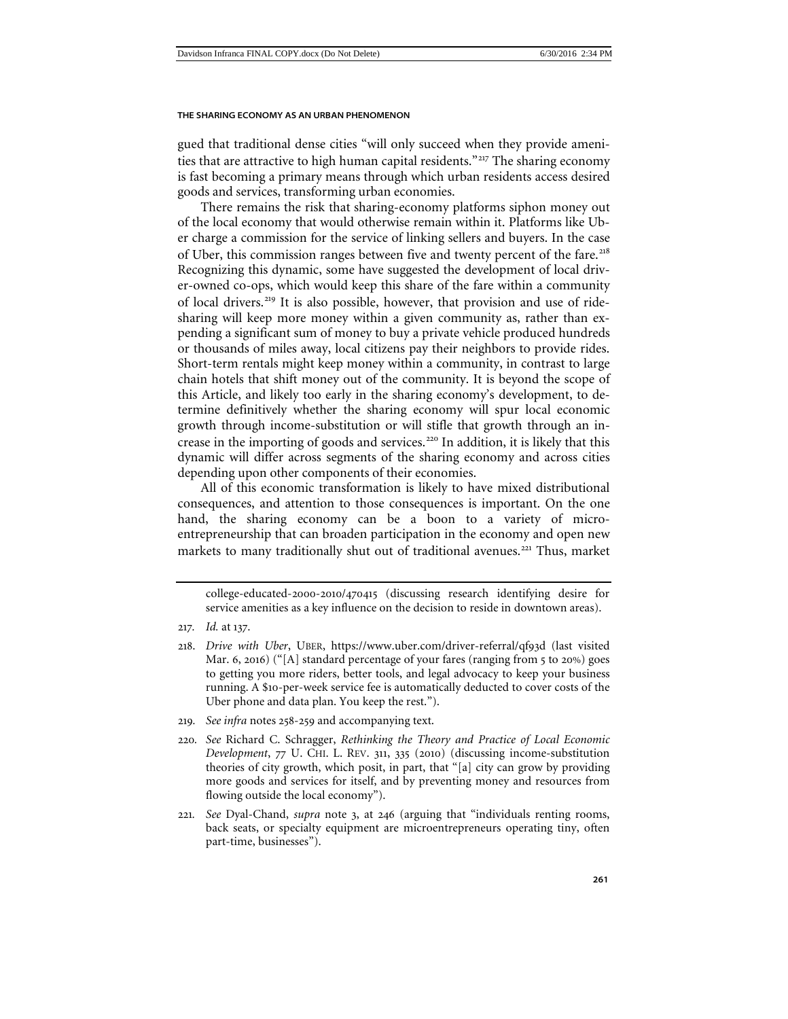gued that traditional dense cities "will only succeed when they provide ameni-ties that are attractive to high human capital residents."<sup>[217](#page-46-0)</sup> The sharing economy is fast becoming a primary means through which urban residents access desired goods and services, transforming urban economies.

There remains the risk that sharing-economy platforms siphon money out of the local economy that would otherwise remain within it. Platforms like Uber charge a commission for the service of linking sellers and buyers. In the case of Uber, this commission ranges between five and twenty percent of the fare.<sup>[218](#page-46-1)</sup> Recognizing this dynamic, some have suggested the development of local driver-owned co-ops, which would keep this share of the fare within a community of local drivers.[219](#page-46-2) It is also possible, however, that provision and use of ridesharing will keep more money within a given community as, rather than expending a significant sum of money to buy a private vehicle produced hundreds or thousands of miles away, local citizens pay their neighbors to provide rides. Short-term rentals might keep money within a community, in contrast to large chain hotels that shift money out of the community. It is beyond the scope of this Article, and likely too early in the sharing economy's development, to determine definitively whether the sharing economy will spur local economic growth through income-substitution or will stifle that growth through an in-crease in the importing of goods and services.<sup>[220](#page-46-3)</sup> In addition, it is likely that this dynamic will differ across segments of the sharing economy and across cities depending upon other components of their economies.

All of this economic transformation is likely to have mixed distributional consequences, and attention to those consequences is important. On the one hand, the sharing economy can be a boon to a variety of microentrepreneurship that can broaden participation in the economy and open new markets to many traditionally shut out of traditional avenues.<sup>[221](#page-46-4)</sup> Thus, market

- <span id="page-46-2"></span>219*. See infra* notes [258](#page-55-1)-[259](#page-55-2) and accompanying text.
- <span id="page-46-3"></span>220*. See* Richard C. Schragger, *Rethinking the Theory and Practice of Local Economic Development*, 77 U. CHI. L. REV. 311, 335 (2010) (discussing income-substitution theories of city growth, which posit, in part, that "[a] city can grow by providing more goods and services for itself, and by preventing money and resources from flowing outside the local economy").
- <span id="page-46-4"></span>221*. See* Dyal-Chand, *supra* note 3, at 246 (arguing that "individuals renting rooms, back seats, or specialty equipment are microentrepreneurs operating tiny, often part-time, businesses").

college-educated-2000-2010/470415 (discussing research identifying desire for service amenities as a key influence on the decision to reside in downtown areas).

<span id="page-46-1"></span><span id="page-46-0"></span><sup>217</sup>*. Id.* at 137.

<sup>218</sup>. *Drive with Uber*, UBER, https://www.uber.com/driver-referral/qf93d (last visited Mar. 6, 2016) ("[A] standard percentage of your fares (ranging from 5 to 20%) goes to getting you more riders, better tools, and legal advocacy to keep your business running. A \$10-per-week service fee is automatically deducted to cover costs of the Uber phone and data plan. You keep the rest.").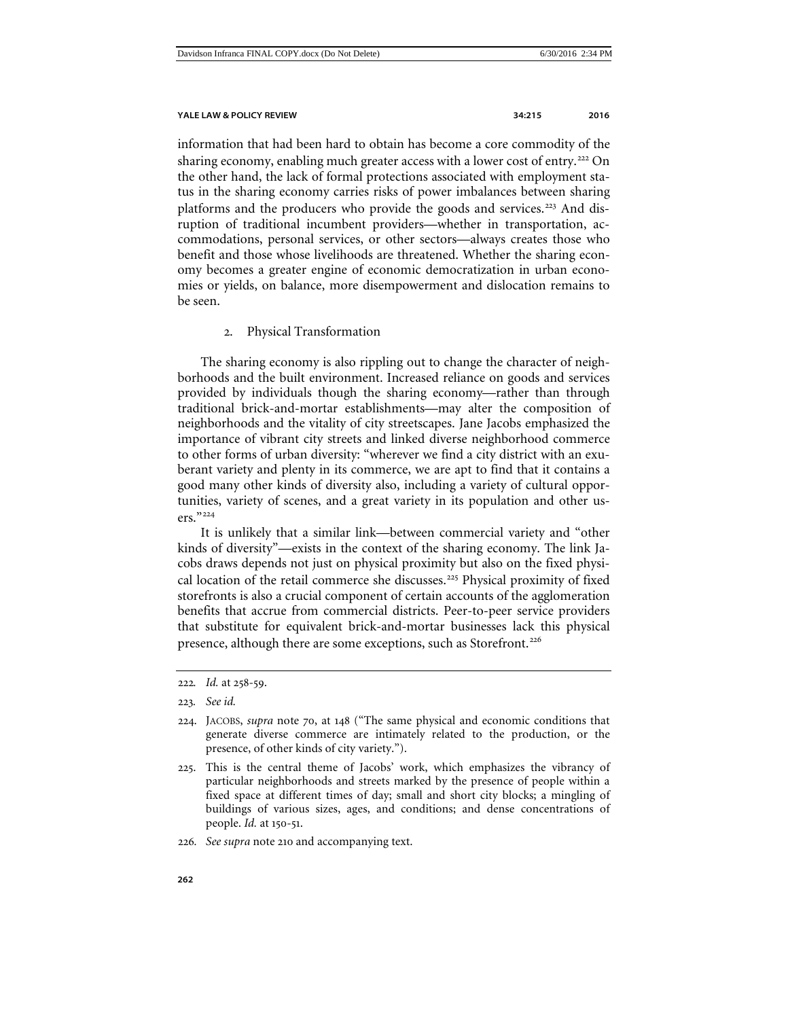information that had been hard to obtain has become a core commodity of the sharing economy, enabling much greater access with a lower cost of entry.<sup>[222](#page-47-1)</sup> On the other hand, the lack of formal protections associated with employment status in the sharing economy carries risks of power imbalances between sharing platforms and the producers who provide the goods and services.<sup>[223](#page-47-2)</sup> And disruption of traditional incumbent providers—whether in transportation, accommodations, personal services, or other sectors—always creates those who benefit and those whose livelihoods are threatened. Whether the sharing economy becomes a greater engine of economic democratization in urban economies or yields, on balance, more disempowerment and dislocation remains to be seen.

# 2. Physical Transformation

<span id="page-47-0"></span>The sharing economy is also rippling out to change the character of neighborhoods and the built environment. Increased reliance on goods and services provided by individuals though the sharing economy—rather than through traditional brick-and-mortar establishments—may alter the composition of neighborhoods and the vitality of city streetscapes. Jane Jacobs emphasized the importance of vibrant city streets and linked diverse neighborhood commerce to other forms of urban diversity: "wherever we find a city district with an exuberant variety and plenty in its commerce, we are apt to find that it contains a good many other kinds of diversity also, including a variety of cultural opportunities, variety of scenes, and a great variety in its population and other users."[224](#page-47-3)

It is unlikely that a similar link—between commercial variety and "other kinds of diversity"—exists in the context of the sharing economy. The link Jacobs draws depends not just on physical proximity but also on the fixed physi-cal location of the retail commerce she discusses.<sup>[225](#page-47-4)</sup> Physical proximity of fixed storefronts is also a crucial component of certain accounts of the agglomeration benefits that accrue from commercial districts. Peer-to-peer service providers that substitute for equivalent brick-and-mortar businesses lack this physical presence, although there are some exceptions, such as Storefront.<sup>[226](#page-47-5)</sup>

<span id="page-47-1"></span><sup>222</sup>*. Id.* at 258-59.

<sup>223</sup>*. See id.*

<span id="page-47-3"></span><span id="page-47-2"></span><sup>224</sup>. JACOBS, *supra* note [70](#page-15-6), at 148 ("The same physical and economic conditions that generate diverse commerce are intimately related to the production, or the presence, of other kinds of city variety.").

<span id="page-47-4"></span><sup>225</sup>. This is the central theme of Jacobs' work, which emphasizes the vibrancy of particular neighborhoods and streets marked by the presence of people within a fixed space at different times of day; small and short city blocks; a mingling of buildings of various sizes, ages, and conditions; and dense concentrations of people. *Id.* at 150-51.

<span id="page-47-5"></span><sup>226</sup>*. See supra* note [210](#page-45-7) and accompanying text.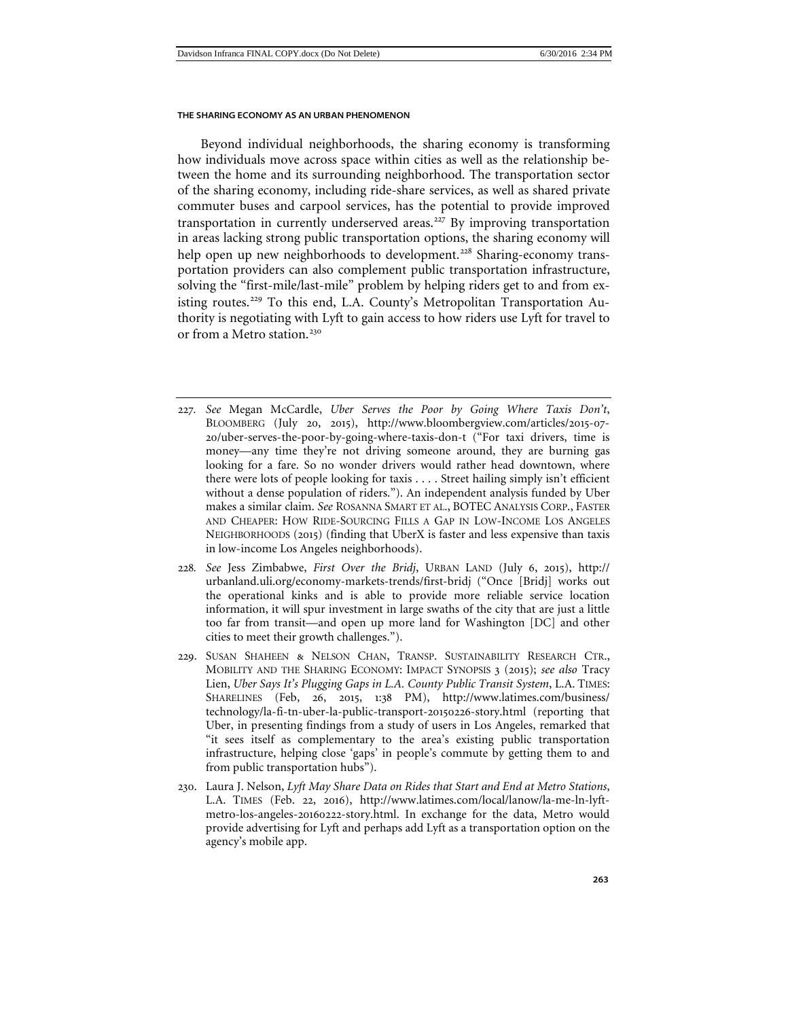<span id="page-48-4"></span>Beyond individual neighborhoods, the sharing economy is transforming how individuals move across space within cities as well as the relationship between the home and its surrounding neighborhood. The transportation sector of the sharing economy, including ride-share services, as well as shared private commuter buses and carpool services, has the potential to provide improved transportation in currently underserved areas.<sup>[227](#page-48-0)</sup> By improving transportation in areas lacking strong public transportation options, the sharing economy will help open up new neighborhoods to development.<sup>[228](#page-48-1)</sup> Sharing-economy transportation providers can also complement public transportation infrastructure, solving the "first-mile/last-mile" problem by helping riders get to and from ex-isting routes.<sup>[229](#page-48-2)</sup> To this end, L.A. County's Metropolitan Transportation Authority is negotiating with Lyft to gain access to how riders use Lyft for travel to or from a Metro station.<sup>[230](#page-48-3)</sup>

- <span id="page-48-0"></span>227*. See* Megan McCardle, *Uber Serves the Poor by Going Where Taxis Don't*, BLOOMBERG (July 20, 2015), http://www.bloombergview.com/articles/2015-07- 20/uber-serves-the-poor-by-going-where-taxis-don-t ("For taxi drivers, time is money—any time they're not driving someone around, they are burning gas looking for a fare. So no wonder drivers would rather head downtown, where there were lots of people looking for taxis . . . . Street hailing simply isn't efficient without a dense population of riders."). An independent analysis funded by Uber makes a similar claim. *See* ROSANNA SMART ET AL., BOTEC ANALYSIS CORP., FASTER AND CHEAPER: HOW RIDE-SOURCING FILLS A GAP IN LOW-INCOME LOS ANGELES NEIGHBORHOODS (2015) (finding that UberX is faster and less expensive than taxis in low-income Los Angeles neighborhoods).
- <span id="page-48-1"></span>228*. See* Jess Zimbabwe, *First Over the Bridj*, URBAN LAND (July 6, 2015), http:// urbanland.uli.org/economy-markets-trends/first-bridj ("Once [Bridj] works out the operational kinks and is able to provide more reliable service location information, it will spur investment in large swaths of the city that are just a little too far from transit—and open up more land for Washington [DC] and other cities to meet their growth challenges.").
- <span id="page-48-2"></span>229. SUSAN SHAHEEN & NELSON CHAN, TRANSP. SUSTAINABILITY RESEARCH CTR., MOBILITY AND THE SHARING ECONOMY: IMPACT SYNOPSIS 3 (2015); *see also* Tracy Lien, *Uber Says It's Plugging Gaps in L.A. County Public Transit System*, L.A. TIMES: SHARELINES (Feb, 26, 2015, 1:38 PM), http://www.latimes.com/business/ technology/la-fi-tn-uber-la-public-transport-20150226-story.html (reporting that Uber, in presenting findings from a study of users in Los Angeles, remarked that "it sees itself as complementary to the area's existing public transportation infrastructure, helping close 'gaps' in people's commute by getting them to and from public transportation hubs").
- <span id="page-48-3"></span>230. Laura J. Nelson, *Lyft May Share Data on Rides that Start and End at Metro Stations*, L.A. TIMES (Feb. 22, 2016), http://www.latimes.com/local/lanow/la-me-ln-lyftmetro-los-angeles-20160222-story.html. In exchange for the data, Metro would provide advertising for Lyft and perhaps add Lyft as a transportation option on the agency's mobile app.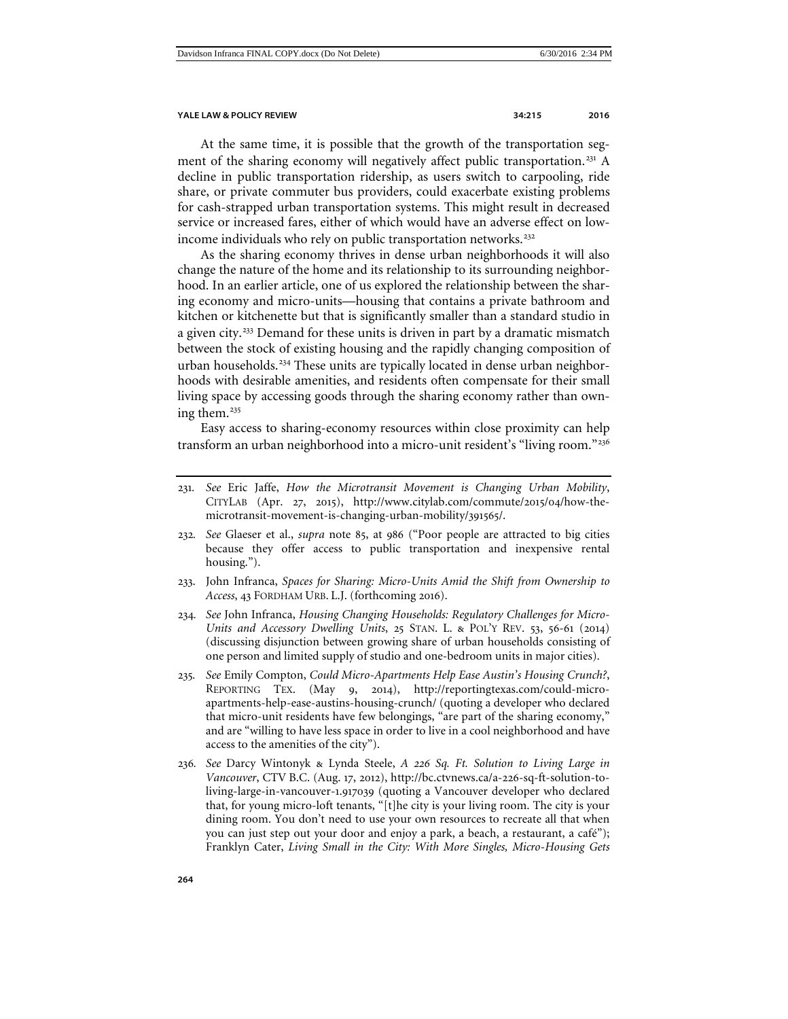At the same time, it is possible that the growth of the transportation seg-ment of the sharing economy will negatively affect public transportation.<sup>[231](#page-49-0)</sup> A decline in public transportation ridership, as users switch to carpooling, ride share, or private commuter bus providers, could exacerbate existing problems for cash-strapped urban transportation systems. This might result in decreased service or increased fares, either of which would have an adverse effect on low-income individuals who rely on public transportation networks.<sup>[232](#page-49-1)</sup>

<span id="page-49-6"></span>As the sharing economy thrives in dense urban neighborhoods it will also change the nature of the home and its relationship to its surrounding neighborhood. In an earlier article, one of us explored the relationship between the sharing economy and micro-units—housing that contains a private bathroom and kitchen or kitchenette but that is significantly smaller than a standard studio in a given city.<sup>[233](#page-49-2)</sup> Demand for these units is driven in part by a dramatic mismatch between the stock of existing housing and the rapidly changing composition of urban households.<sup>[234](#page-49-3)</sup> These units are typically located in dense urban neighborhoods with desirable amenities, and residents often compensate for their small living space by accessing goods through the sharing economy rather than own-ing them.<sup>[235](#page-49-4)</sup>

Easy access to sharing-economy resources within close proximity can help transform an urban neighborhood into a micro-unit resident's "living room."[236](#page-49-5)

- <span id="page-49-1"></span>232*. See* Glaeser et al., *supra* note 85, at 986 ("Poor people are attracted to big cities because they offer access to public transportation and inexpensive rental housing.").
- <span id="page-49-2"></span>233. John Infranca, *Spaces for Sharing: Micro-Units Amid the Shift from Ownership to Access*, 43 FORDHAM URB. L.J. (forthcoming 2016).
- <span id="page-49-3"></span>234*. See* John Infranca, *Housing Changing Households: Regulatory Challenges for Micro-Units and Accessory Dwelling Units*, 25 STAN. L. & POL'Y REV. 53, 56-61 (2014) (discussing disjunction between growing share of urban households consisting of one person and limited supply of studio and one-bedroom units in major cities).
- <span id="page-49-4"></span>235*. See* Emily Compton, *Could Micro-Apartments Help Ease Austin's Housing Crunch?*, REPORTING TEX. (May 9, 2014), http://reportingtexas.com/could-microapartments-help-ease-austins-housing-crunch/ (quoting a developer who declared that micro-unit residents have few belongings, "are part of the sharing economy," and are "willing to have less space in order to live in a cool neighborhood and have access to the amenities of the city").
- <span id="page-49-5"></span>236*. See* Darcy Wintonyk & Lynda Steele, *A 226 Sq. Ft. Solution to Living Large in Vancouver*, CTV B.C. (Aug. 17, 2012), http://bc.ctvnews.ca/a-226-sq-ft-solution-toliving-large-in-vancouver-1.917039 (quoting a Vancouver developer who declared that, for young micro-loft tenants, "[t]he city is your living room. The city is your dining room. You don't need to use your own resources to recreate all that when you can just step out your door and enjoy a park, a beach, a restaurant, a café"); Franklyn Cater, *Living Small in the City: With More Singles, Micro-Housing Gets*

<span id="page-49-0"></span><sup>231</sup>*. See* Eric Jaffe, *How the Microtransit Movement is Changing Urban Mobility*, CITYLAB (Apr. 27, 2015), http://www.citylab.com/commute/2015/04/how-themicrotransit-movement-is-changing-urban-mobility/391565/.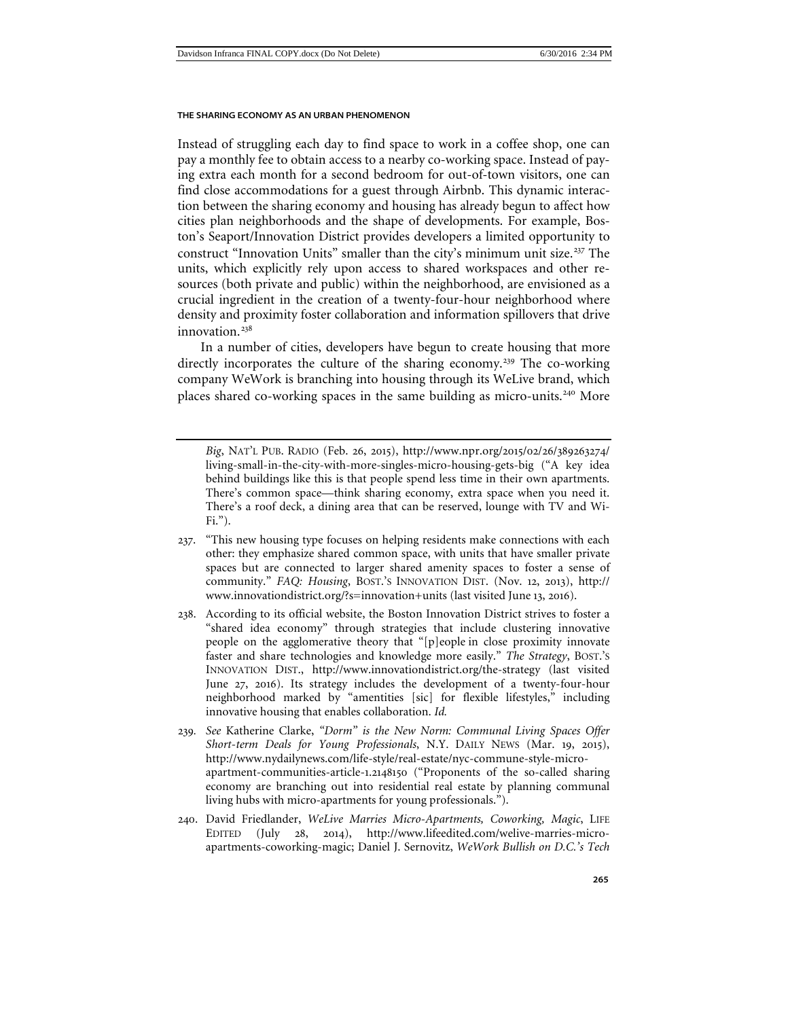Instead of struggling each day to find space to work in a coffee shop, one can pay a monthly fee to obtain access to a nearby co-working space. Instead of paying extra each month for a second bedroom for out-of-town visitors, one can find close accommodations for a guest through Airbnb. This dynamic interaction between the sharing economy and housing has already begun to affect how cities plan neighborhoods and the shape of developments. For example, Boston's Seaport/Innovation District provides developers a limited opportunity to construct "Innovation Units" smaller than the city's minimum unit size.<sup>[237](#page-50-0)</sup> The units, which explicitly rely upon access to shared workspaces and other resources (both private and public) within the neighborhood, are envisioned as a crucial ingredient in the creation of a twenty-four-hour neighborhood where density and proximity foster collaboration and information spillovers that drive innovation. $238$ 

In a number of cities, developers have begun to create housing that more directly incorporates the culture of the sharing economy.<sup>[239](#page-50-2)</sup> The co-working company WeWork is branching into housing through its WeLive brand, which places shared co-working spaces in the same building as micro-units.<sup>[240](#page-50-3)</sup> More

- <span id="page-50-0"></span>237. "This new housing type focuses on helping residents make connections with each other: they emphasize shared common space, with units that have smaller private spaces but are connected to larger shared amenity spaces to foster a sense of community." *FAQ: Housing*, BOST.'S INNOVATION DIST. (Nov. 12, 2013), http:// www.innovationdistrict.org/?s=innovation+units (last visited June 13, 2016).
- <span id="page-50-1"></span>238. According to its official website, the Boston Innovation District strives to foster a "shared idea economy" through strategies that include clustering innovative people on the agglomerative theory that "[p]eople in close proximity innovate faster and share technologies and knowledge more easily." *The Strategy*, BOST.'S INNOVATION DIST., http://www.innovationdistrict.org/the-strategy (last visited June 27, 2016). Its strategy includes the development of a twenty-four-hour neighborhood marked by "amentities [sic] for flexible lifestyles," including innovative housing that enables collaboration. *Id.*
- <span id="page-50-2"></span>239*. See* Katherine Clarke, *"Dorm" is the New Norm: Communal Living Spaces Offer Short-term Deals for Young Professionals*, N.Y. DAILY NEWS (Mar. 19, 2015), http://www.nydailynews.com/life-style/real-estate/nyc-commune-style-microapartment-communities-article-1.2148150 ("Proponents of the so-called sharing economy are branching out into residential real estate by planning communal living hubs with micro-apartments for young professionals.").
- <span id="page-50-3"></span>240. David Friedlander, *WeLive Marries Micro-Apartments, Coworking, Magic*, LIFE EDITED (July 28, 2014), http://www.lifeedited.com/welive-marries-microapartments-coworking-magic; Daniel J. Sernovitz, *WeWork Bullish on D.C.'s Tech*

*Big*, NAT'L PUB. RADIO (Feb. 26, 2015), http://www.npr.org/2015/02/26/389263274/ living-small-in-the-city-with-more-singles-micro-housing-gets-big ("A key idea behind buildings like this is that people spend less time in their own apartments. There's common space—think sharing economy, extra space when you need it. There's a roof deck, a dining area that can be reserved, lounge with TV and Wi-Fi.").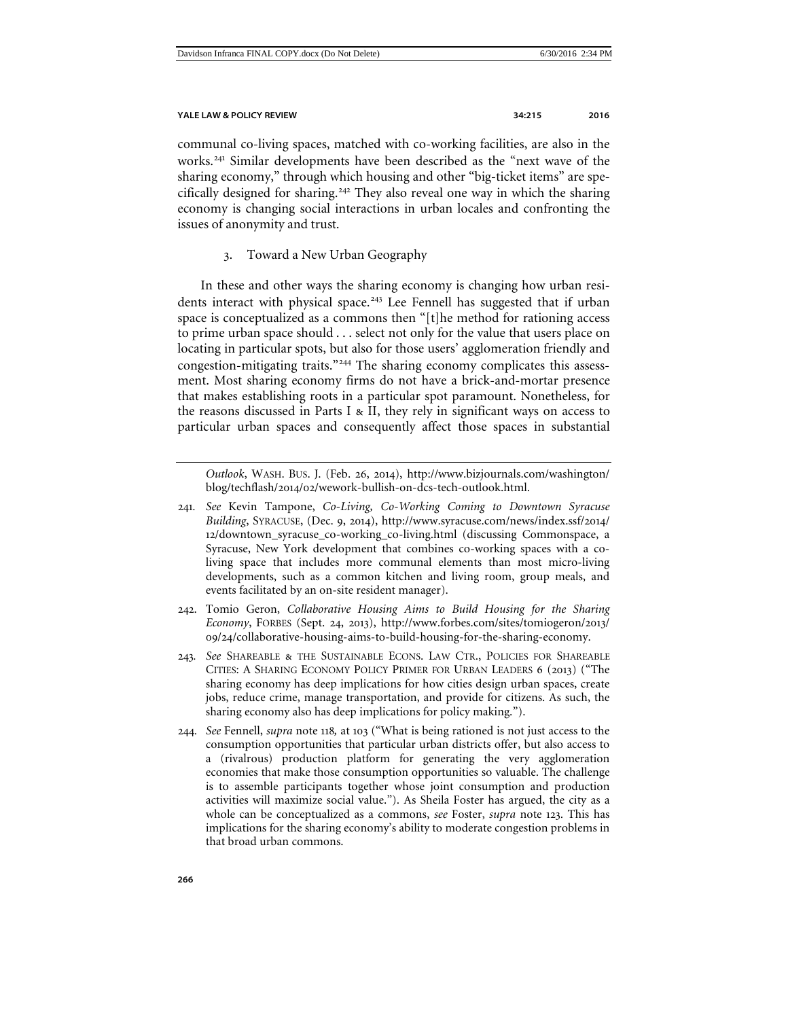communal co-living spaces, matched with co-working facilities, are also in the works.[241](#page-51-1) Similar developments have been described as the "next wave of the sharing economy," through which housing and other "big-ticket items" are spe-cifically designed for sharing.<sup>[242](#page-51-2)</sup> They also reveal one way in which the sharing economy is changing social interactions in urban locales and confronting the issues of anonymity and trust.

3. Toward a New Urban Geography

<span id="page-51-0"></span>In these and other ways the sharing economy is changing how urban resi-dents interact with physical space.<sup>[243](#page-51-3)</sup> Lee Fennell has suggested that if urban space is conceptualized as a commons then "[t]he method for rationing access to prime urban space should . . . select not only for the value that users place on locating in particular spots, but also for those users' agglomeration friendly and congestion-mitigating traits."[244](#page-51-4) The sharing economy complicates this assessment. Most sharing economy firms do not have a brick-and-mortar presence that makes establishing roots in a particular spot paramount. Nonetheless, for the reasons discussed in Parts I & II, they rely in significant ways on access to particular urban spaces and consequently affect those spaces in substantial

*Outlook*, WASH. BUS. J. (Feb. 26, 2014), http://www.bizjournals.com/washington/ blog/techflash/2014/02/wework-bullish-on-dcs-tech-outlook.html.

- <span id="page-51-1"></span>241*. See* Kevin Tampone, *Co-Living, Co-Working Coming to Downtown Syracuse Building*, SYRACUSE, (Dec. 9, 2014), http://www.syracuse.com/news/index.ssf/2014/ 12/downtown\_syracuse\_co-working\_co-living.html (discussing Commonspace, a Syracuse, New York development that combines co-working spaces with a coliving space that includes more communal elements than most micro-living developments, such as a common kitchen and living room, group meals, and events facilitated by an on-site resident manager).
- <span id="page-51-2"></span>242. Tomio Geron, *Collaborative Housing Aims to Build Housing for the Sharing Economy*, FORBES (Sept. 24, 2013), http://www.forbes.com/sites/tomiogeron/2013/ 09/24/collaborative-housing-aims-to-build-housing-for-the-sharing-economy.
- <span id="page-51-3"></span>243*. See* SHAREABLE & THE SUSTAINABLE ECONS. LAW CTR., POLICIES FOR SHAREABLE CITIES: A SHARING ECONOMY POLICY PRIMER FOR URBAN LEADERS 6 (2013) ("The sharing economy has deep implications for how cities design urban spaces, create jobs, reduce crime, manage transportation, and provide for citizens. As such, the sharing economy also has deep implications for policy making.").
- <span id="page-51-4"></span>244*. See* Fennell, *supra* note 118*,* at 103 ("What is being rationed is not just access to the consumption opportunities that particular urban districts offer, but also access to a (rivalrous) production platform for generating the very agglomeration economies that make those consumption opportunities so valuable. The challenge is to assemble participants together whose joint consumption and production activities will maximize social value."). As Sheila Foster has argued, the city as a whole can be conceptualized as a commons, *see* Foster, *supra* note 123. This has implications for the sharing economy's ability to moderate congestion problems in that broad urban commons.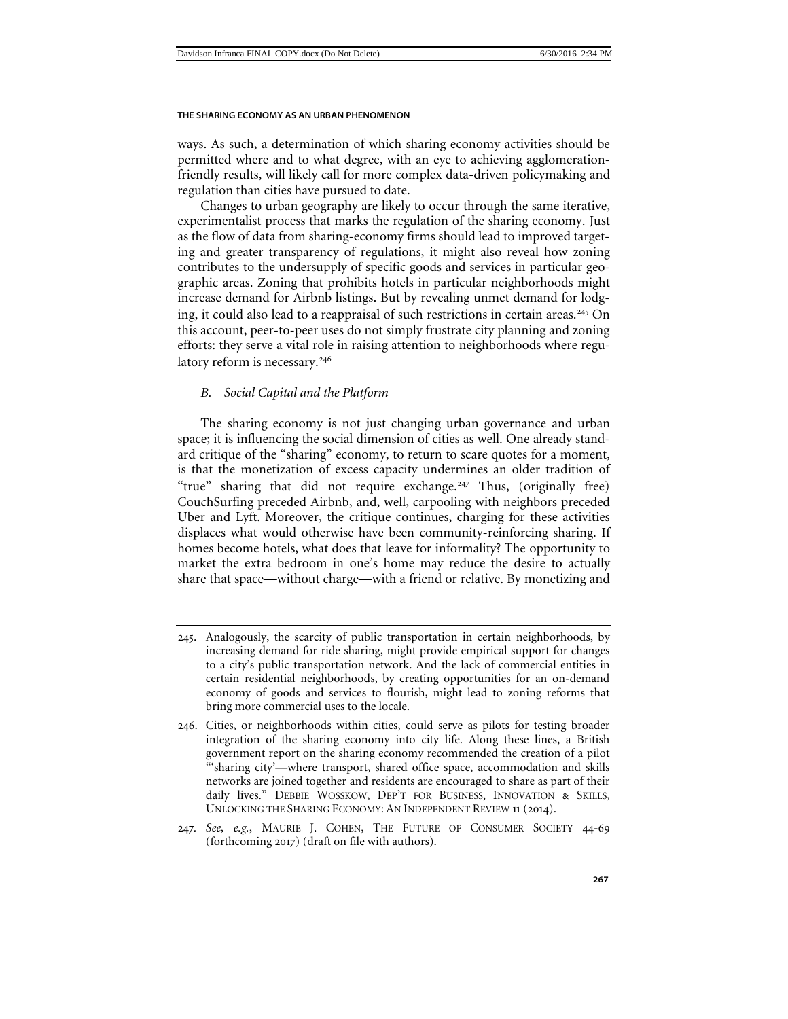ways. As such, a determination of which sharing economy activities should be permitted where and to what degree, with an eye to achieving agglomerationfriendly results, will likely call for more complex data-driven policymaking and regulation than cities have pursued to date.

Changes to urban geography are likely to occur through the same iterative, experimentalist process that marks the regulation of the sharing economy. Just as the flow of data from sharing-economy firms should lead to improved targeting and greater transparency of regulations, it might also reveal how zoning contributes to the undersupply of specific goods and services in particular geographic areas. Zoning that prohibits hotels in particular neighborhoods might increase demand for Airbnb listings. But by revealing unmet demand for lodg-ing, it could also lead to a reappraisal of such restrictions in certain areas.<sup>[245](#page-52-1)</sup> On this account, peer-to-peer uses do not simply frustrate city planning and zoning efforts: they serve a vital role in raising attention to neighborhoods where regu-latory reform is necessary.<sup>[246](#page-52-2)</sup>

# <span id="page-52-0"></span>*B. Social Capital and the Platform*

The sharing economy is not just changing urban governance and urban space; it is influencing the social dimension of cities as well. One already standard critique of the "sharing" economy, to return to scare quotes for a moment, is that the monetization of excess capacity undermines an older tradition of "true" sharing that did not require exchange.<sup>[247](#page-52-3)</sup> Thus, (originally free) CouchSurfing preceded Airbnb, and, well, carpooling with neighbors preceded Uber and Lyft. Moreover, the critique continues, charging for these activities displaces what would otherwise have been community-reinforcing sharing. If homes become hotels, what does that leave for informality? The opportunity to market the extra bedroom in one's home may reduce the desire to actually share that space—without charge—with a friend or relative. By monetizing and

<span id="page-52-3"></span>247*. See, e.g.*, MAURIE J. COHEN, THE FUTURE OF CONSUMER SOCIETY 44-69 (forthcoming 2017) (draft on file with authors).

<span id="page-52-1"></span><sup>245</sup>. Analogously, the scarcity of public transportation in certain neighborhoods, by increasing demand for ride sharing, might provide empirical support for changes to a city's public transportation network. And the lack of commercial entities in certain residential neighborhoods, by creating opportunities for an on-demand economy of goods and services to flourish, might lead to zoning reforms that bring more commercial uses to the locale.

<span id="page-52-2"></span><sup>246</sup>. Cities, or neighborhoods within cities, could serve as pilots for testing broader integration of the sharing economy into city life. Along these lines, a British government report on the sharing economy recommended the creation of a pilot "'sharing city'—where transport, shared office space, accommodation and skills networks are joined together and residents are encouraged to share as part of their daily lives." DEBBIE WOSSKOW, DEP'T FOR BUSINESS, INNOVATION & SKILLS, UNLOCKING THE SHARING ECONOMY: AN INDEPENDENT REVIEW 11 (2014).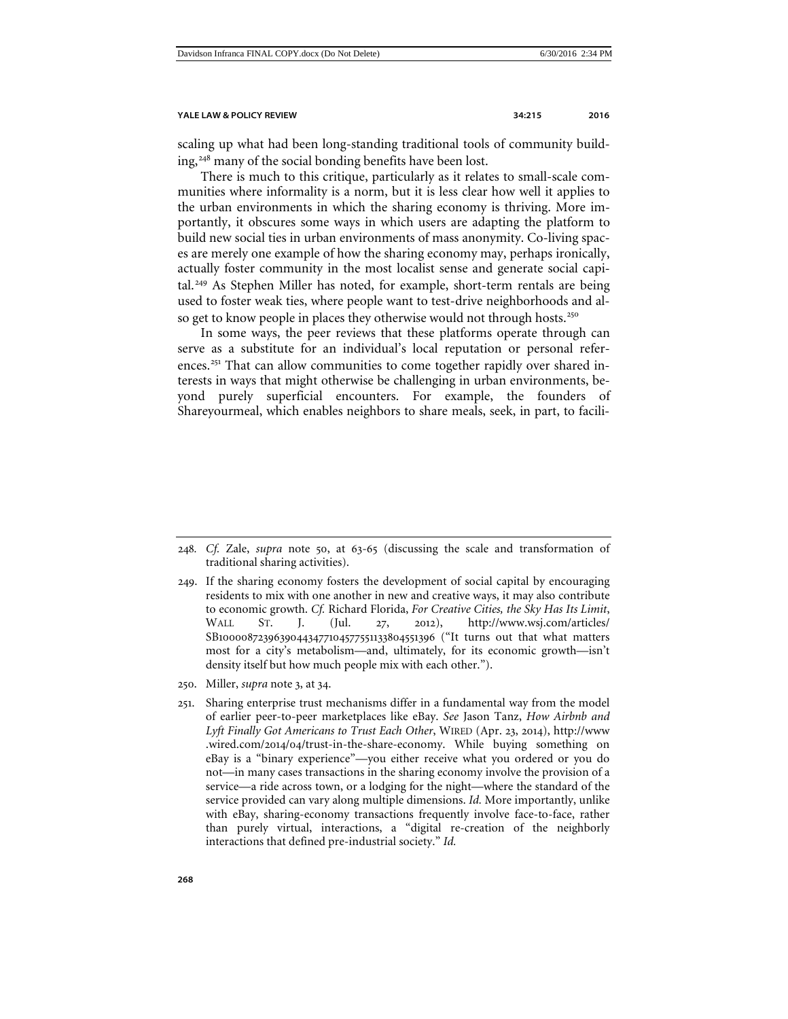scaling up what had been long-standing traditional tools of community build-ing,<sup>[248](#page-53-0)</sup> many of the social bonding benefits have been lost.

There is much to this critique, particularly as it relates to small-scale communities where informality is a norm, but it is less clear how well it applies to the urban environments in which the sharing economy is thriving. More importantly, it obscures some ways in which users are adapting the platform to build new social ties in urban environments of mass anonymity. Co-living spaces are merely one example of how the sharing economy may, perhaps ironically, actually foster community in the most localist sense and generate social capi-tal.<sup>[249](#page-53-1)</sup> As Stephen Miller has noted, for example, short-term rentals are being used to foster weak ties, where people want to test-drive neighborhoods and al-so get to know people in places they otherwise would not through hosts.<sup>[250](#page-53-2)</sup>

In some ways, the peer reviews that these platforms operate through can serve as a substitute for an individual's local reputation or personal refer-ences.<sup>[251](#page-53-3)</sup> That can allow communities to come together rapidly over shared interests in ways that might otherwise be challenging in urban environments, beyond purely superficial encounters. For example, the founders of Shareyourmeal, which enables neighbors to share meals, seek, in part, to facili-

<span id="page-53-0"></span><sup>248</sup>*. Cf.* Zale, *supra* note 50, at 63-65 (discussing the scale and transformation of traditional sharing activities).

<span id="page-53-1"></span><sup>249</sup>. If the sharing economy fosters the development of social capital by encouraging residents to mix with one another in new and creative ways, it may also contribute to economic growth. *Cf.* Richard Florida, *For Creative Cities, the Sky Has Its Limit*, WALL ST. J. (Jul. 27, 2012), http://www.wsj.com/articles/ SB10000872396390443477104577551133804551396 ("It turns out that what matters most for a city's metabolism—and, ultimately, for its economic growth—isn't density itself but how much people mix with each other.").

<span id="page-53-2"></span><sup>250</sup>. Miller, *supra* note [3](#page-1-4), at 34.

<span id="page-53-3"></span><sup>251</sup>. Sharing enterprise trust mechanisms differ in a fundamental way from the model of earlier peer-to-peer marketplaces like eBay. *See* Jason Tanz, *How Airbnb and Lyft Finally Got Americans to Trust Each Other*, WIRED (Apr. 23, 2014), http://www .wired.com/2014/04/trust-in-the-share-economy. While buying something on eBay is a "binary experience"—you either receive what you ordered or you do not—in many cases transactions in the sharing economy involve the provision of a service—a ride across town, or a lodging for the night—where the standard of the service provided can vary along multiple dimensions. *Id.* More importantly, unlike with eBay, sharing-economy transactions frequently involve face-to-face, rather than purely virtual, interactions, a "digital re-creation of the neighborly interactions that defined pre-industrial society." *Id.*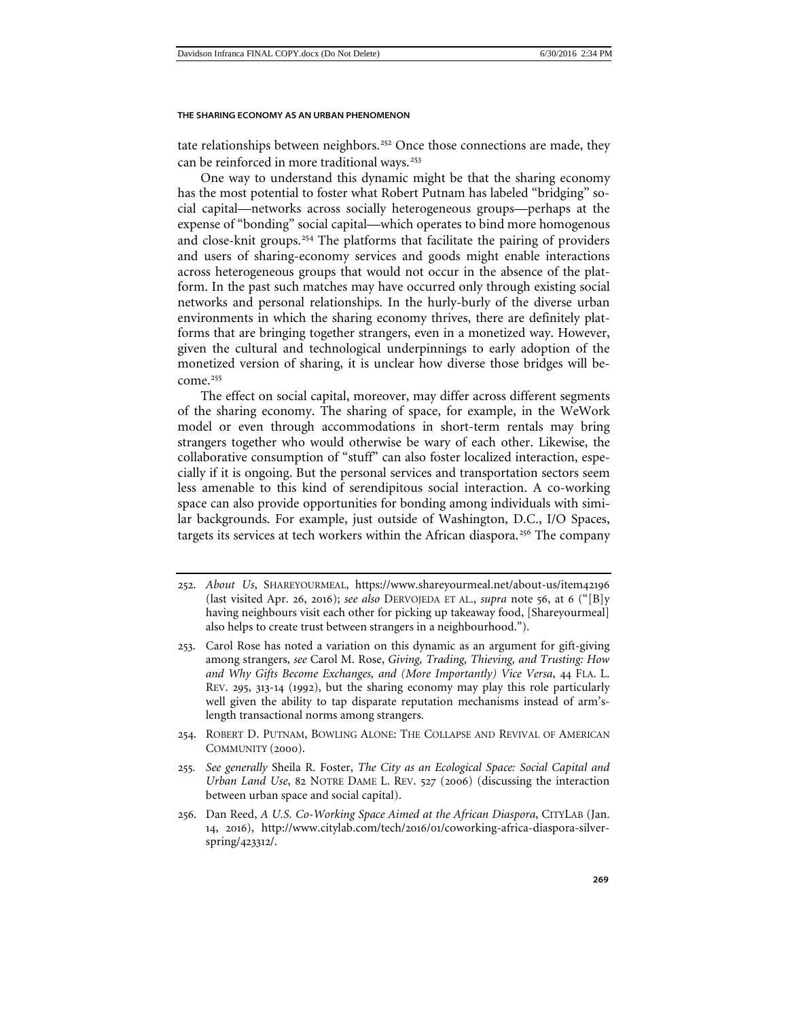tate relationships between neighbors.<sup>[252](#page-54-0)</sup> Once those connections are made, they can be reinforced in more traditional ways.<sup>[253](#page-54-1)</sup>

One way to understand this dynamic might be that the sharing economy has the most potential to foster what Robert Putnam has labeled "bridging" social capital—networks across socially heterogeneous groups—perhaps at the expense of "bonding" social capital—which operates to bind more homogenous and close-knit groups.<sup>[254](#page-54-2)</sup> The platforms that facilitate the pairing of providers and users of sharing-economy services and goods might enable interactions across heterogeneous groups that would not occur in the absence of the platform. In the past such matches may have occurred only through existing social networks and personal relationships. In the hurly-burly of the diverse urban environments in which the sharing economy thrives, there are definitely platforms that are bringing together strangers, even in a monetized way. However, given the cultural and technological underpinnings to early adoption of the monetized version of sharing, it is unclear how diverse those bridges will be-come.<sup>[255](#page-54-3)</sup>

The effect on social capital, moreover, may differ across different segments of the sharing economy. The sharing of space, for example, in the WeWork model or even through accommodations in short-term rentals may bring strangers together who would otherwise be wary of each other. Likewise, the collaborative consumption of "stuff" can also foster localized interaction, especially if it is ongoing. But the personal services and transportation sectors seem less amenable to this kind of serendipitous social interaction. A co-working space can also provide opportunities for bonding among individuals with similar backgrounds. For example, just outside of Washington, D.C., I/O Spaces, targets its services at tech workers within the African diaspora.<sup>[256](#page-54-4)</sup> The company

- <span id="page-54-2"></span>254. ROBERT D. PUTNAM, BOWLING ALONE: THE COLLAPSE AND REVIVAL OF AMERICAN COMMUNITY (2000).
- <span id="page-54-3"></span>255*. See generally* Sheila R. Foster, *The City as an Ecological Space: Social Capital and Urban Land Use*, 82 NOTRE DAME L. REV. 527 (2006) (discussing the interaction between urban space and social capital).
- <span id="page-54-4"></span>256. Dan Reed, *A U.S. Co-Working Space Aimed at the African Diaspora*, CITYLAB (Jan. 14, 2016), http://www.citylab.com/tech/2016/01/coworking-africa-diaspora-silverspring/423312/.

<span id="page-54-0"></span><sup>252</sup>. *About Us*, SHAREYOURMEAL, https://www.shareyourmeal.net/about-us/item42196 (last visited Apr. 26, 2016); *see also* DERVOJEDA ET AL., *supra* note 56, at 6 ("[B]y having neighbours visit each other for picking up takeaway food, [Shareyourmeal] also helps to create trust between strangers in a neighbourhood.").

<span id="page-54-1"></span><sup>253</sup>. Carol Rose has noted a variation on this dynamic as an argument for gift-giving among strangers, *see* Carol M. Rose, *Giving, Trading, Thieving, and Trusting: How and Why Gifts Become Exchanges, and (More Importantly) Vice Versa*, 44 FLA. L. REV. 295, 313-14 (1992), but the sharing economy may play this role particularly well given the ability to tap disparate reputation mechanisms instead of arm'slength transactional norms among strangers.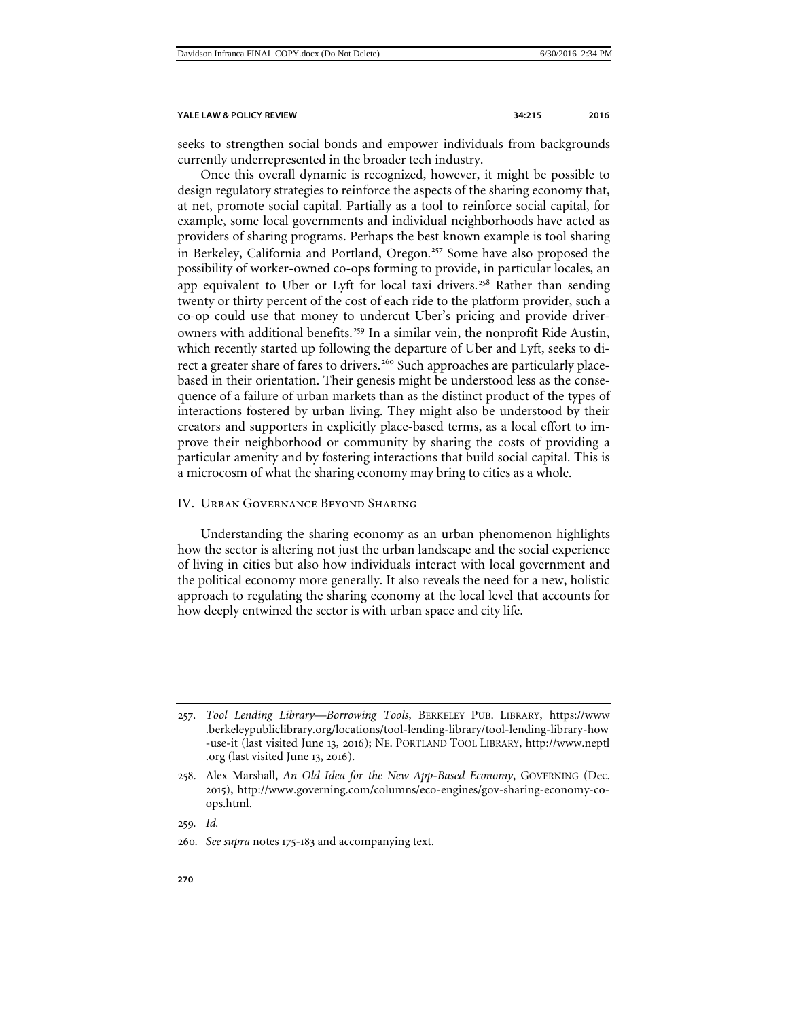seeks to strengthen social bonds and empower individuals from backgrounds currently underrepresented in the broader tech industry.

<span id="page-55-2"></span><span id="page-55-1"></span>Once this overall dynamic is recognized, however, it might be possible to design regulatory strategies to reinforce the aspects of the sharing economy that, at net, promote social capital. Partially as a tool to reinforce social capital, for example, some local governments and individual neighborhoods have acted as providers of sharing programs. Perhaps the best known example is tool sharing in Berkeley, California and Portland, Oregon.<sup>[257](#page-55-3)</sup> Some have also proposed the possibility of worker-owned co-ops forming to provide, in particular locales, an app equivalent to Uber or Lyft for local taxi drivers.<sup>[258](#page-55-4)</sup> Rather than sending twenty or thirty percent of the cost of each ride to the platform provider, such a co-op could use that money to undercut Uber's pricing and provide driver-owners with additional benefits.<sup>[259](#page-55-5)</sup> In a similar vein, the nonprofit Ride Austin, which recently started up following the departure of Uber and Lyft, seeks to di-rect a greater share of fares to drivers.<sup>[260](#page-55-6)</sup> Such approaches are particularly placebased in their orientation. Their genesis might be understood less as the consequence of a failure of urban markets than as the distinct product of the types of interactions fostered by urban living. They might also be understood by their creators and supporters in explicitly place-based terms, as a local effort to improve their neighborhood or community by sharing the costs of providing a particular amenity and by fostering interactions that build social capital. This is a microcosm of what the sharing economy may bring to cities as a whole.

# <span id="page-55-0"></span>IV. Urban Governance Beyond Sharing

Understanding the sharing economy as an urban phenomenon highlights how the sector is altering not just the urban landscape and the social experience of living in cities but also how individuals interact with local government and the political economy more generally. It also reveals the need for a new, holistic approach to regulating the sharing economy at the local level that accounts for how deeply entwined the sector is with urban space and city life.

<span id="page-55-5"></span>259*. Id.*

<span id="page-55-3"></span><sup>257</sup>. *Tool Lending Library—Borrowing Tools*, BERKELEY PUB. LIBRARY, https://www .berkeleypubliclibrary.org/locations/tool-lending-library/tool-lending-library-how -use-it (last visited June 13, 2016); NE. PORTLAND TOOL LIBRARY, http://www.neptl .org (last visited June 13, 2016).

<span id="page-55-4"></span><sup>258</sup>. Alex Marshall, *An Old Idea for the New App-Based Economy*, GOVERNING (Dec. 2015), http://www.governing.com/columns/eco-engines/gov-sharing-economy-coops.html.

<span id="page-55-6"></span><sup>260</sup>*. See supra* notes 175-183 and accompanying text.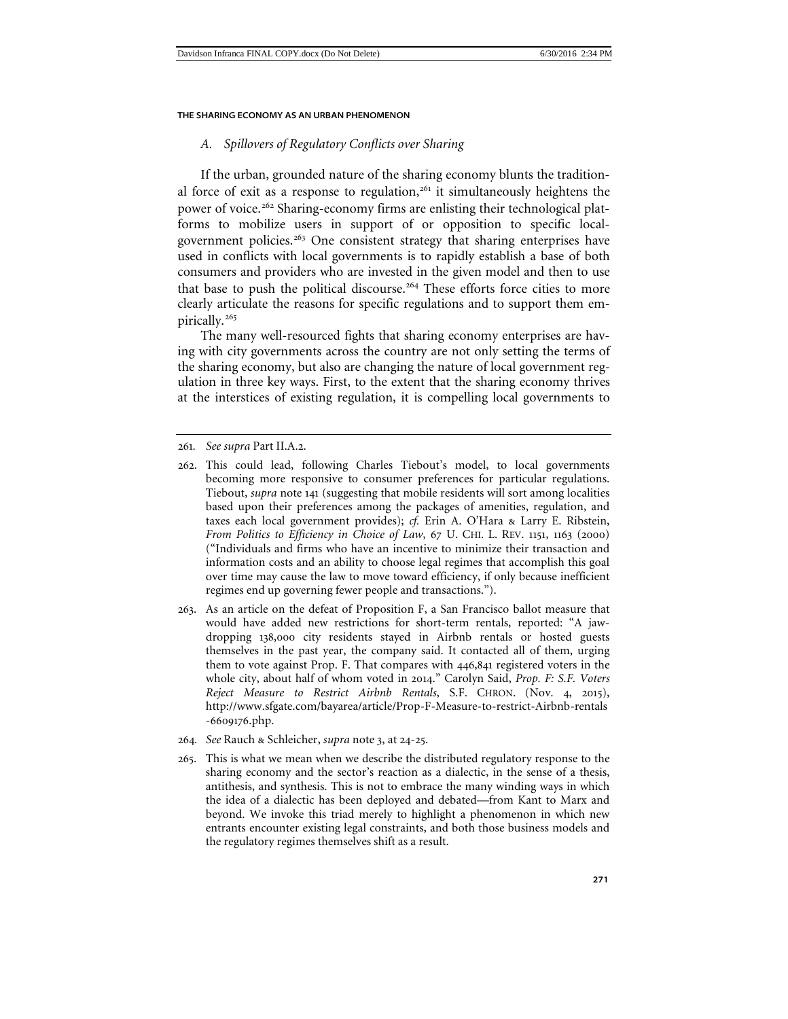# <span id="page-56-0"></span>*A. Spillovers of Regulatory Conflicts over Sharing*

If the urban, grounded nature of the sharing economy blunts the tradition-al force of exit as a response to regulation,<sup>[261](#page-56-1)</sup> it simultaneously heightens the power of voice.<sup>[262](#page-56-2)</sup> Sharing-economy firms are enlisting their technological platforms to mobilize users in support of or opposition to specific local-government policies.<sup>[263](#page-56-3)</sup> One consistent strategy that sharing enterprises have used in conflicts with local governments is to rapidly establish a base of both consumers and providers who are invested in the given model and then to use that base to push the political discourse.<sup>[264](#page-56-4)</sup> These efforts force cities to more clearly articulate the reasons for specific regulations and to support them em-pirically.<sup>[265](#page-56-5)</sup>

The many well-resourced fights that sharing economy enterprises are having with city governments across the country are not only setting the terms of the sharing economy, but also are changing the nature of local government regulation in three key ways. First, to the extent that the sharing economy thrives at the interstices of existing regulation, it is compelling local governments to

- <span id="page-56-3"></span>263. As an article on the defeat of Proposition F, a San Francisco ballot measure that would have added new restrictions for short-term rentals, reported: "A jawdropping 138,000 city residents stayed in Airbnb rentals or hosted guests themselves in the past year, the company said. It contacted all of them, urging them to vote against Prop. F. That compares with 446,841 registered voters in the whole city, about half of whom voted in 2014." Carolyn Said, *Prop. F: S.F. Voters Reject Measure to Restrict Airbnb Rentals*, S.F. CHRON. (Nov. 4, 2015), http://www.sfgate.com/bayarea/article/Prop-F-Measure-to-restrict-Airbnb-rentals -6609176.php.
- <span id="page-56-4"></span>264*. See* Rauch & Schleicher, *supra* note 3, at 24-25.
- <span id="page-56-5"></span>265. This is what we mean when we describe the distributed regulatory response to the sharing economy and the sector's reaction as a dialectic, in the sense of a thesis, antithesis, and synthesis. This is not to embrace the many winding ways in which the idea of a dialectic has been deployed and debated—from Kant to Marx and beyond. We invoke this triad merely to highlight a phenomenon in which new entrants encounter existing legal constraints, and both those business models and the regulatory regimes themselves shift as a result.

<span id="page-56-1"></span><sup>261</sup>*. See supra* Part II.A.2.

<span id="page-56-2"></span><sup>262</sup>. This could lead, following Charles Tiebout's model, to local governments becoming more responsive to consumer preferences for particular regulations. Tiebout, *supra* note 141 (suggesting that mobile residents will sort among localities based upon their preferences among the packages of amenities, regulation, and taxes each local government provides); *cf.* Erin A. O'Hara & Larry E. Ribstein, *From Politics to Efficiency in Choice of Law*, 67 U. CHI. L. REV. 1151, 1163 (2000) ("Individuals and firms who have an incentive to minimize their transaction and information costs and an ability to choose legal regimes that accomplish this goal over time may cause the law to move toward efficiency, if only because inefficient regimes end up governing fewer people and transactions.").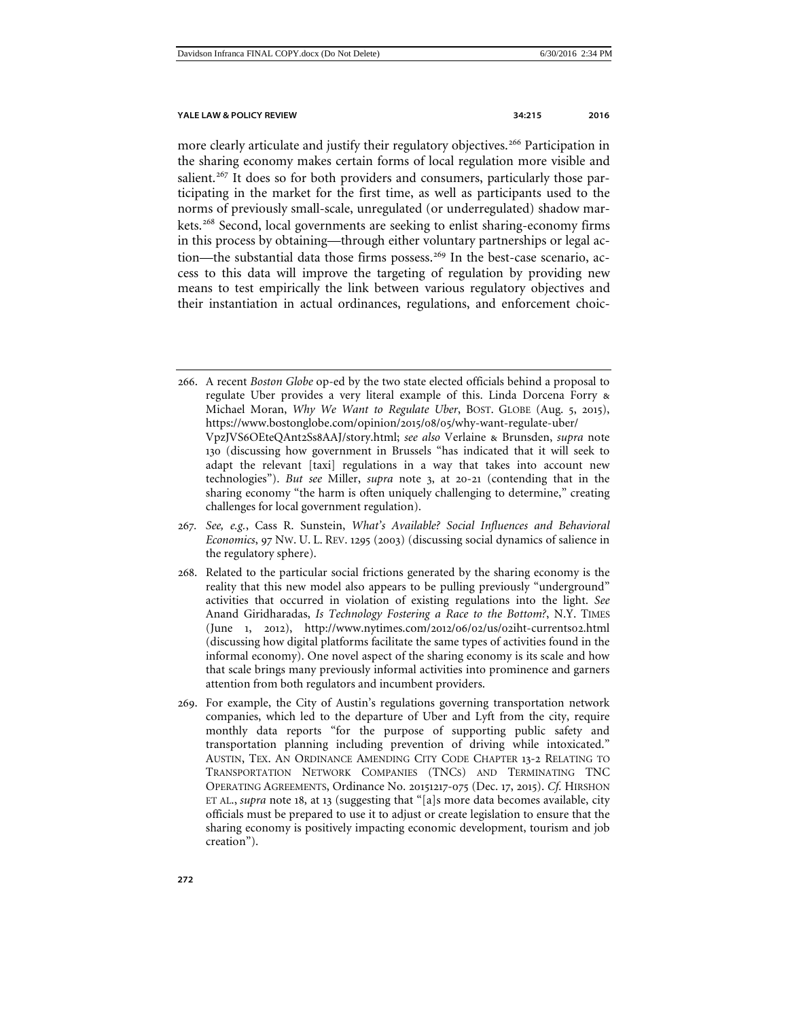more clearly articulate and justify their regulatory objectives.<sup>[266](#page-57-0)</sup> Participation in the sharing economy makes certain forms of local regulation more visible and salient.<sup>[267](#page-57-1)</sup> It does so for both providers and consumers, particularly those participating in the market for the first time, as well as participants used to the norms of previously small-scale, unregulated (or underregulated) shadow markets.[268](#page-57-2) Second, local governments are seeking to enlist sharing-economy firms in this process by obtaining—through either voluntary partnerships or legal ac-tion—the substantial data those firms possess.<sup>[269](#page-57-3)</sup> In the best-case scenario, access to this data will improve the targeting of regulation by providing new means to test empirically the link between various regulatory objectives and their instantiation in actual ordinances, regulations, and enforcement choic-

- <span id="page-57-1"></span>267*. See, e.g.*, Cass R. Sunstein, *What's Available? Social Influences and Behavioral Economics*, 97 NW. U. L. REV. 1295 (2003) (discussing social dynamics of salience in the regulatory sphere).
- <span id="page-57-2"></span>268. Related to the particular social frictions generated by the sharing economy is the reality that this new model also appears to be pulling previously "underground" activities that occurred in violation of existing regulations into the light. *See* Anand Giridharadas, *Is Technology Fostering a Race to the Bottom?*, N.Y. TIMES (June 1, 2012), http://www.nytimes.com/2012/06/02/us/02iht-currents02.html (discussing how digital platforms facilitate the same types of activities found in the informal economy). One novel aspect of the sharing economy is its scale and how that scale brings many previously informal activities into prominence and garners attention from both regulators and incumbent providers.
- <span id="page-57-3"></span>269. For example, the City of Austin's regulations governing transportation network companies, which led to the departure of Uber and Lyft from the city, require monthly data reports "for the purpose of supporting public safety and transportation planning including prevention of driving while intoxicated." AUSTIN, TEX. AN ORDINANCE AMENDING CITY CODE CHAPTER 13-2 RELATING TO TRANSPORTATION NETWORK COMPANIES (TNCS) AND TERMINATING TNC OPERATING AGREEMENTS, Ordinance No. 20151217-075 (Dec. 17, 2015). *Cf.* HIRSHON ET AL., *supra* note [18](#page-4-8), at 13 (suggesting that "[a]s more data becomes available, city officials must be prepared to use it to adjust or create legislation to ensure that the sharing economy is positively impacting economic development, tourism and job creation").

<span id="page-57-0"></span><sup>266</sup>. A recent *Boston Globe* op-ed by the two state elected officials behind a proposal to regulate Uber provides a very literal example of this. Linda Dorcena Forry & Michael Moran, *Why We Want to Regulate Uber*, BOST. GLOBE (Aug. 5, 2015), https://www.bostonglobe.com/opinion/2015/08/05/why-want-regulate-uber/ VpzJVS6OEteQAnt2Ss8AAJ/story.html; *see also* Verlaine & Brunsden, *supra* note 130 (discussing how government in Brussels "has indicated that it will seek to adapt the relevant [taxi] regulations in a way that takes into account new technologies"). *But see* Miller, *supra* note 3, at 20-21 (contending that in the sharing economy "the harm is often uniquely challenging to determine," creating challenges for local government regulation).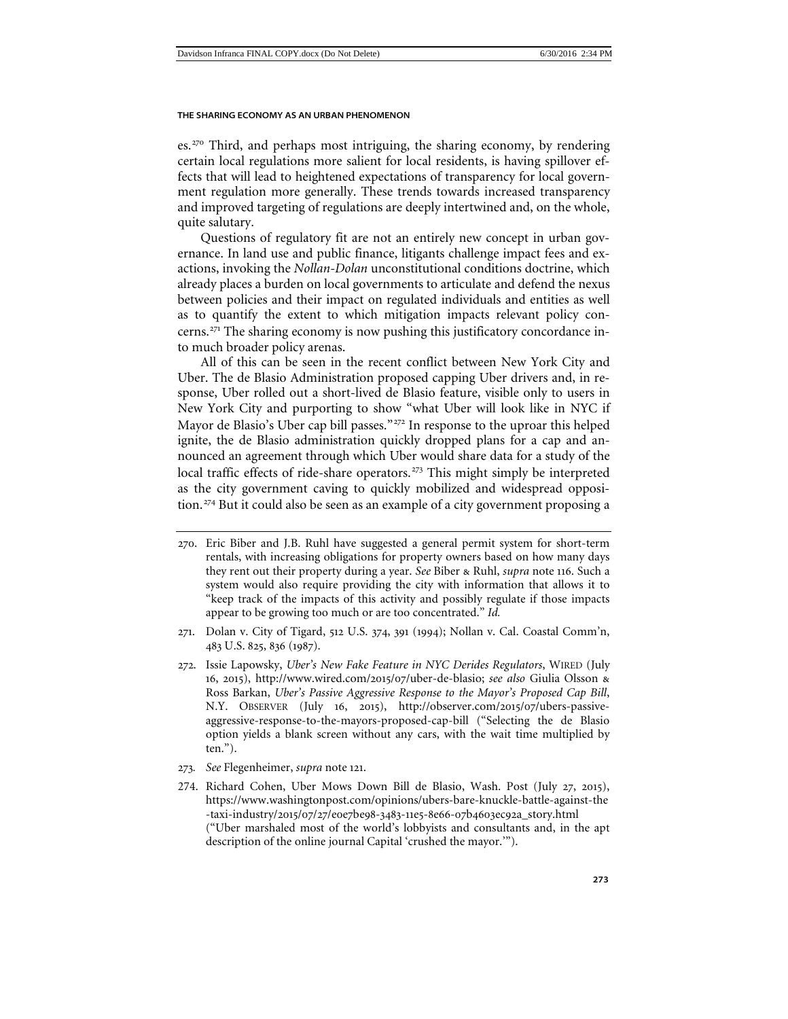es.[270](#page-58-0) Third, and perhaps most intriguing, the sharing economy, by rendering certain local regulations more salient for local residents, is having spillover effects that will lead to heightened expectations of transparency for local government regulation more generally. These trends towards increased transparency and improved targeting of regulations are deeply intertwined and, on the whole, quite salutary.

Questions of regulatory fit are not an entirely new concept in urban governance. In land use and public finance, litigants challenge impact fees and exactions, invoking the *Nollan-Dolan* unconstitutional conditions doctrine, which already places a burden on local governments to articulate and defend the nexus between policies and their impact on regulated individuals and entities as well as to quantify the extent to which mitigation impacts relevant policy concerns.[271](#page-58-1) The sharing economy is now pushing this justificatory concordance into much broader policy arenas.

All of this can be seen in the recent conflict between New York City and Uber. The de Blasio Administration proposed capping Uber drivers and, in response, Uber rolled out a short-lived de Blasio feature, visible only to users in New York City and purporting to show "what Uber will look like in NYC if Mayor de Blasio's Uber cap bill passes."<sup>[272](#page-58-2)</sup> In response to the uproar this helped ignite, the de Blasio administration quickly dropped plans for a cap and announced an agreement through which Uber would share data for a study of the local traffic effects of ride-share operators.<sup>[273](#page-58-3)</sup> This might simply be interpreted as the city government caving to quickly mobilized and widespread opposi-tion.<sup>[274](#page-58-4)</sup> But it could also be seen as an example of a city government proposing a

- <span id="page-58-1"></span>271. Dolan v. City of Tigard, 512 U.S. 374, 391 (1994); Nollan v. Cal. Coastal Comm'n, 483 U.S. 825, 836 (1987).
- <span id="page-58-2"></span>272. Issie Lapowsky, *Uber's New Fake Feature in NYC Derides Regulators*, WIRED (July 16, 2015), http://www.wired.com/2015/07/uber-de-blasio; *see also* Giulia Olsson & Ross Barkan, *Uber's Passive Aggressive Response to the Mayor's Proposed Cap Bill*, N.Y. OBSERVER (July 16, 2015), http://observer.com/2015/07/ubers-passiveaggressive-response-to-the-mayors-proposed-cap-bill ("Selecting the de Blasio option yields a blank screen without any cars, with the wait time multiplied by ten.").
- <span id="page-58-3"></span>273*. See* Flegenheimer, *supra* note [121](#page-25-6).
- <span id="page-58-4"></span>274. Richard Cohen, Uber Mows Down Bill de Blasio, Wash. Post (July 27, 2015), https://www.washingtonpost.com/opinions/ubers-bare-knuckle-battle-against-the -taxi-industry/2015/07/27/e0e7be98-3483-11e5-8e66-07b4603ec92a\_story.html ("Uber marshaled most of the world's lobbyists and consultants and, in the apt description of the online journal Capital 'crushed the mayor.'").

<span id="page-58-0"></span><sup>270</sup>. Eric Biber and J.B. Ruhl have suggested a general permit system for short-term rentals, with increasing obligations for property owners based on how many days they rent out their property during a year. *See* Biber & Ruhl, *supra* note [116](#page-24-5). Such a system would also require providing the city with information that allows it to "keep track of the impacts of this activity and possibly regulate if those impacts appear to be growing too much or are too concentrated." *Id.*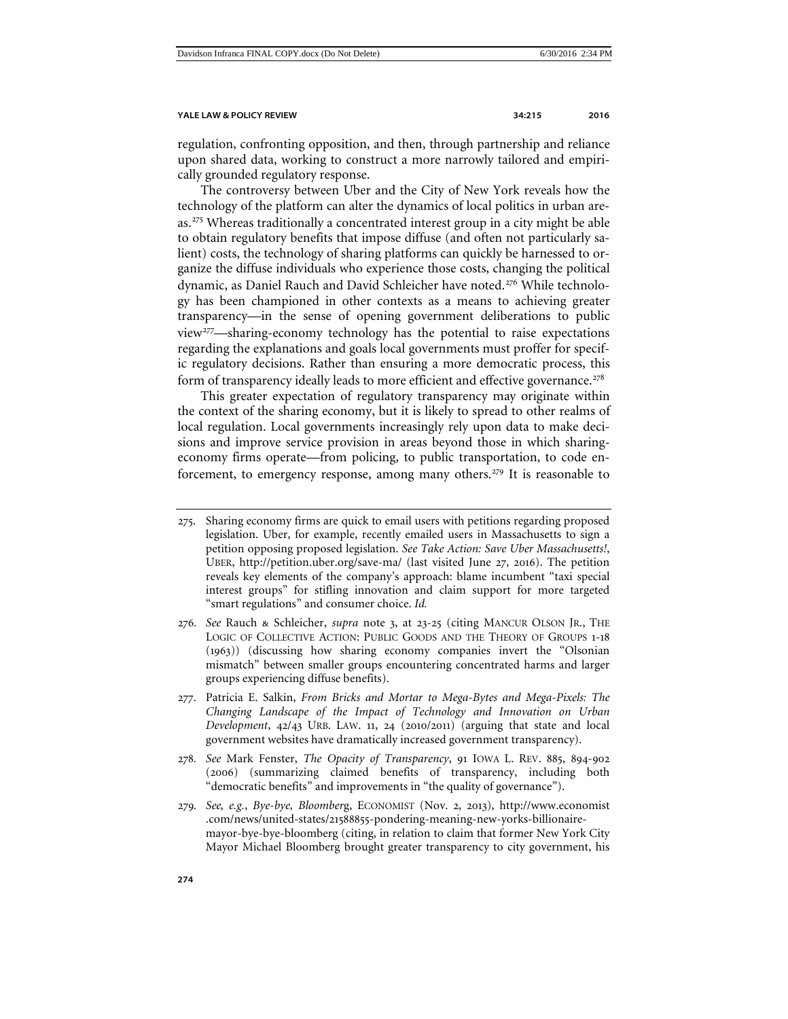regulation, confronting opposition, and then, through partnership and reliance upon shared data, working to construct a more narrowly tailored and empirically grounded regulatory response.

The controversy between Uber and the City of New York reveals how the technology of the platform can alter the dynamics of local politics in urban areas.[275](#page-59-1) Whereas traditionally a concentrated interest group in a city might be able to obtain regulatory benefits that impose diffuse (and often not particularly salient) costs, the technology of sharing platforms can quickly be harnessed to organize the diffuse individuals who experience those costs, changing the political dynamic, as Daniel Rauch and David Schleicher have noted.<sup>[276](#page-59-2)</sup> While technology has been championed in other contexts as a means to achieving greater transparency—in the sense of opening government deliberations to public view<sup>[277](#page-59-3)</sup>—sharing-economy technology has the potential to raise expectations regarding the explanations and goals local governments must proffer for specific regulatory decisions. Rather than ensuring a more democratic process, this form of transparency ideally leads to more efficient and effective governance.<sup>[278](#page-59-4)</sup>

<span id="page-59-6"></span>This greater expectation of regulatory transparency may originate within the context of the sharing economy, but it is likely to spread to other realms of local regulation. Local governments increasingly rely upon data to make decisions and improve service provision in areas beyond those in which sharingeconomy firms operate—from policing, to public transportation, to code en-forcement, to emergency response, among many others.<sup>[279](#page-59-5)</sup> It is reasonable to

- <span id="page-59-2"></span>276*. See* Rauch & Schleicher, *supra* note 3, at 23-25 (citing MANCUR OLSON JR., THE LOGIC OF COLLECTIVE ACTION: PUBLIC GOODS AND THE THEORY OF GROUPS 1-18 (1963)) (discussing how sharing economy companies invert the "Olsonian mismatch" between smaller groups encountering concentrated harms and larger groups experiencing diffuse benefits).
- <span id="page-59-3"></span>277. Patricia E. Salkin, *From Bricks and Mortar to Mega-Bytes and Mega-Pixels: The Changing Landscape of the Impact of Technology and Innovation on Urban Development*, 42/43 URB. LAW. 11, 24 (2010/2011) (arguing that state and local government websites have dramatically increased government transparency).
- <span id="page-59-4"></span>278*. See* Mark Fenster, *The Opacity of Transparency*, 91 IOWA L. REV. 885, 894-902 (2006) (summarizing claimed benefits of transparency, including both "democratic benefits" and improvements in "the quality of governance").
- <span id="page-59-5"></span>279*. See, e.g.*, *Bye-bye, Bloomber*g, ECONOMIST (Nov. 2, 2013), http://www.economist .com/news/united-states/21588855-pondering-meaning-new-yorks-billionairemayor-bye-bye-bloomberg (citing, in relation to claim that former New York City Mayor Michael Bloomberg brought greater transparency to city government, his

<span id="page-59-1"></span><span id="page-59-0"></span><sup>275</sup>. Sharing economy firms are quick to email users with petitions regarding proposed legislation. Uber, for example, recently emailed users in Massachusetts to sign a petition opposing proposed legislation. *See Take Action: Save Uber Massachusetts!*, UBER, http://petition.uber.org/save-ma/ (last visited June 27, 2016). The petition reveals key elements of the company's approach: blame incumbent "taxi special interest groups" for stifling innovation and claim support for more targeted "smart regulations" and consumer choice. *Id.*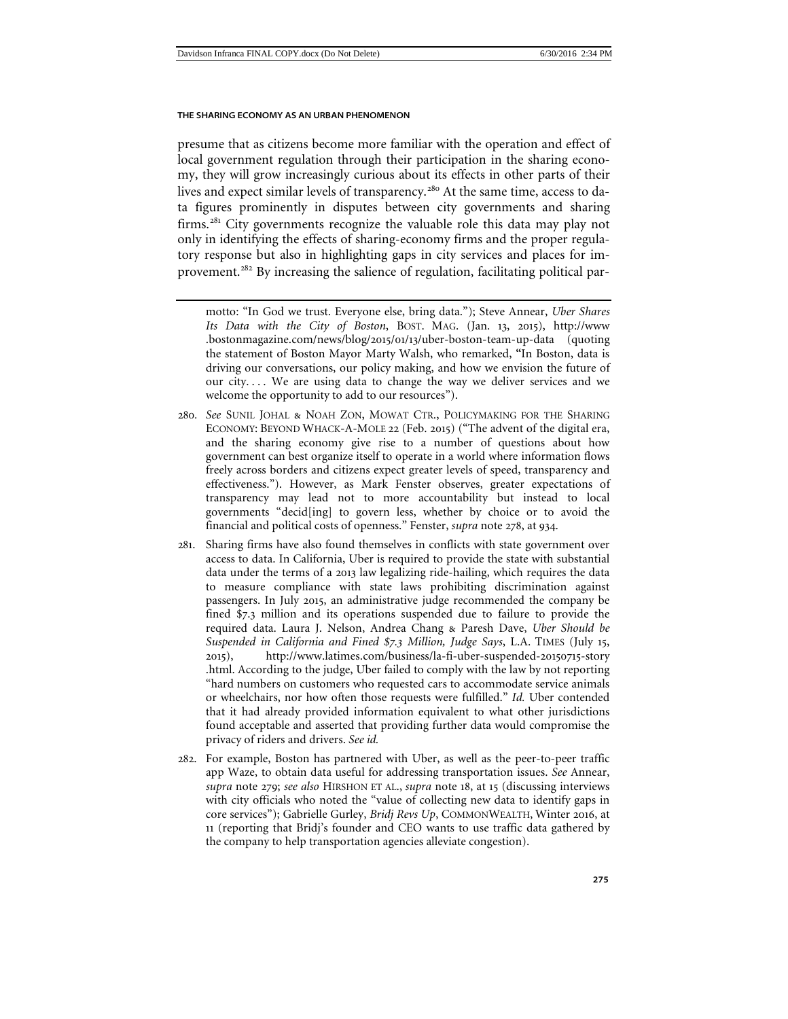presume that as citizens become more familiar with the operation and effect of local government regulation through their participation in the sharing economy, they will grow increasingly curious about its effects in other parts of their lives and expect similar levels of transparency.<sup>[280](#page-60-0)</sup> At the same time, access to data figures prominently in disputes between city governments and sharing firms.[281](#page-60-1) City governments recognize the valuable role this data may play not only in identifying the effects of sharing-economy firms and the proper regulatory response but also in highlighting gaps in city services and places for improvement.[282](#page-60-2) By increasing the salience of regulation, facilitating political par-

- <span id="page-60-0"></span>280*. See* SUNIL JOHAL & NOAH ZON, MOWAT CTR., POLICYMAKING FOR THE SHARING ECONOMY: BEYOND WHACK-A-MOLE 22 (Feb. 2015) ("The advent of the digital era, and the sharing economy give rise to a number of questions about how government can best organize itself to operate in a world where information flows freely across borders and citizens expect greater levels of speed, transparency and effectiveness."). However, as Mark Fenster observes, greater expectations of transparency may lead not to more accountability but instead to local governments "decid[ing] to govern less, whether by choice or to avoid the financial and political costs of openness." Fenster, *supra* note [278](#page-59-6), at 934.
- <span id="page-60-1"></span>281. Sharing firms have also found themselves in conflicts with state government over access to data. In California, Uber is required to provide the state with substantial data under the terms of a 2013 law legalizing ride-hailing, which requires the data to measure compliance with state laws prohibiting discrimination against passengers. In July 2015, an administrative judge recommended the company be fined \$7.3 million and its operations suspended due to failure to provide the required data. Laura J. Nelson, Andrea Chang & Paresh Dave, *Uber Should be Suspended in California and Fined \$7.3 Million, Judge Says*, L.A. TIMES (July 15, 2015), http://www.latimes.com/business/la-fi-uber-suspended-20150715-story .html. According to the judge, Uber failed to comply with the law by not reporting "hard numbers on customers who requested cars to accommodate service animals or wheelchairs, nor how often those requests were fulfilled." *Id.* Uber contended that it had already provided information equivalent to what other jurisdictions found acceptable and asserted that providing further data would compromise the privacy of riders and drivers. *See id.*
- <span id="page-60-2"></span>282. For example, Boston has partnered with Uber, as well as the peer-to-peer traffic app Waze, to obtain data useful for addressing transportation issues. *See* Annear, *supra* note [279](#page-59-0); *see also* HIRSHON ET AL., *supra* note [18](#page-4-8), at 15 (discussing interviews with city officials who noted the "value of collecting new data to identify gaps in core services"); Gabrielle Gurley, *Bridj Revs Up*, COMMONWEALTH, Winter 2016, at 11 (reporting that Bridj's founder and CEO wants to use traffic data gathered by the company to help transportation agencies alleviate congestion).

motto: "In God we trust. Everyone else, bring data."); Steve Annear, *Uber Shares Its Data with the City of Boston*, BOST. MAG. (Jan. 13, 2015), http://www .bostonmagazine.com/news/blog/2015/01/13/uber-boston-team-up-data (quoting the statement of Boston Mayor Marty Walsh, who remarked, **"**In Boston, data is driving our conversations, our policy making, and how we envision the future of our city.... We are using data to change the way we deliver services and we welcome the opportunity to add to our resources").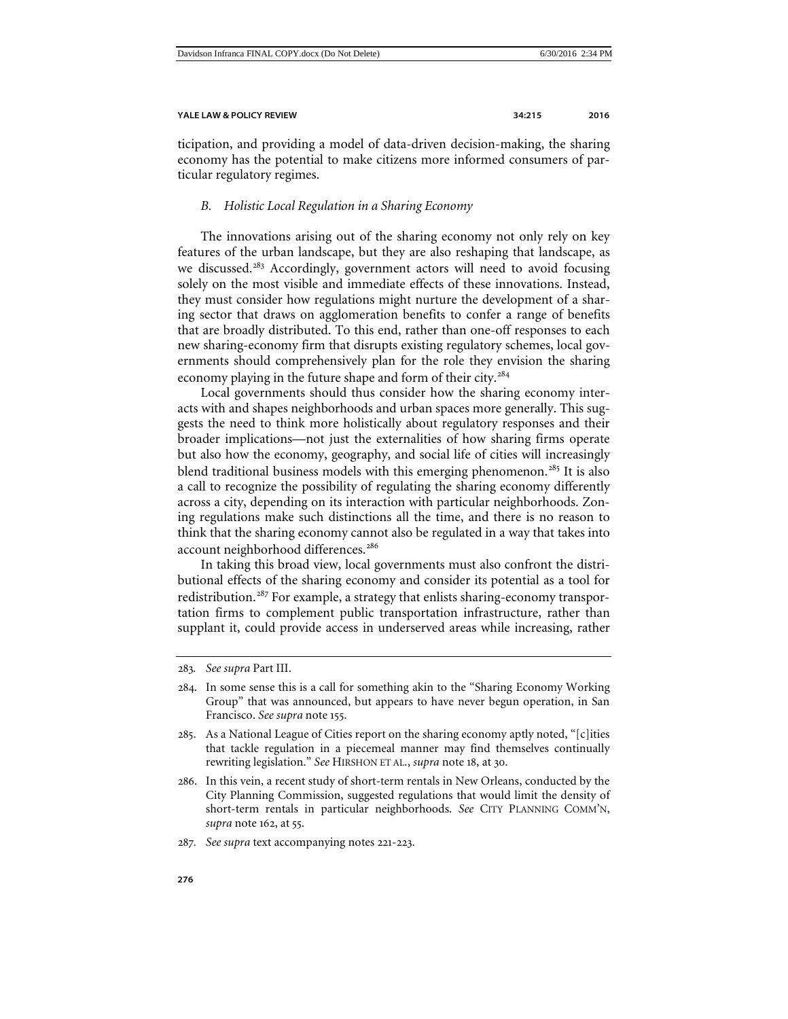ticipation, and providing a model of data-driven decision-making, the sharing economy has the potential to make citizens more informed consumers of particular regulatory regimes.

# <span id="page-61-0"></span>*B. Holistic Local Regulation in a Sharing Economy*

The innovations arising out of the sharing economy not only rely on key features of the urban landscape, but they are also reshaping that landscape, as we discussed.<sup>[283](#page-61-1)</sup> Accordingly, government actors will need to avoid focusing solely on the most visible and immediate effects of these innovations. Instead, they must consider how regulations might nurture the development of a sharing sector that draws on agglomeration benefits to confer a range of benefits that are broadly distributed. To this end, rather than one-off responses to each new sharing-economy firm that disrupts existing regulatory schemes, local governments should comprehensively plan for the role they envision the sharing economy playing in the future shape and form of their city.<sup>[284](#page-61-2)</sup>

Local governments should thus consider how the sharing economy interacts with and shapes neighborhoods and urban spaces more generally. This suggests the need to think more holistically about regulatory responses and their broader implications—not just the externalities of how sharing firms operate but also how the economy, geography, and social life of cities will increasingly blend traditional business models with this emerging phenomenon.<sup>[285](#page-61-3)</sup> It is also a call to recognize the possibility of regulating the sharing economy differently across a city, depending on its interaction with particular neighborhoods. Zoning regulations make such distinctions all the time, and there is no reason to think that the sharing economy cannot also be regulated in a way that takes into account neighborhood differences.<sup>[286](#page-61-4)</sup>

In taking this broad view, local governments must also confront the distributional effects of the sharing economy and consider its potential as a tool for redistribution.[287](#page-61-5) For example, a strategy that enlists sharing-economy transportation firms to complement public transportation infrastructure, rather than supplant it, could provide access in underserved areas while increasing, rather

<span id="page-61-1"></span><sup>283</sup>*. See supra* Part III.

<span id="page-61-2"></span><sup>284</sup>. In some sense this is a call for something akin to the "Sharing Economy Working Group" that was announced, but appears to have never begun operation, in San Francisco. *See supra* note [155](#page-33-5).

<span id="page-61-3"></span><sup>285</sup>. As a National League of Cities report on the sharing economy aptly noted, "[c]ities that tackle regulation in a piecemeal manner may find themselves continually rewriting legislation." *See* HIRSHON ET AL., *supra* note [18](#page-4-8), at 30.

<span id="page-61-4"></span><sup>286</sup>. In this vein, a recent study of short-term rentals in New Orleans, conducted by the City Planning Commission, suggested regulations that would limit the density of short-term rentals in particular neighborhoods. *See* CITY PLANNING COMM'N, *supra* note [162](#page-34-6), at 55.

<span id="page-61-5"></span><sup>287</sup>*. See supra* text accompanying notes 221-223.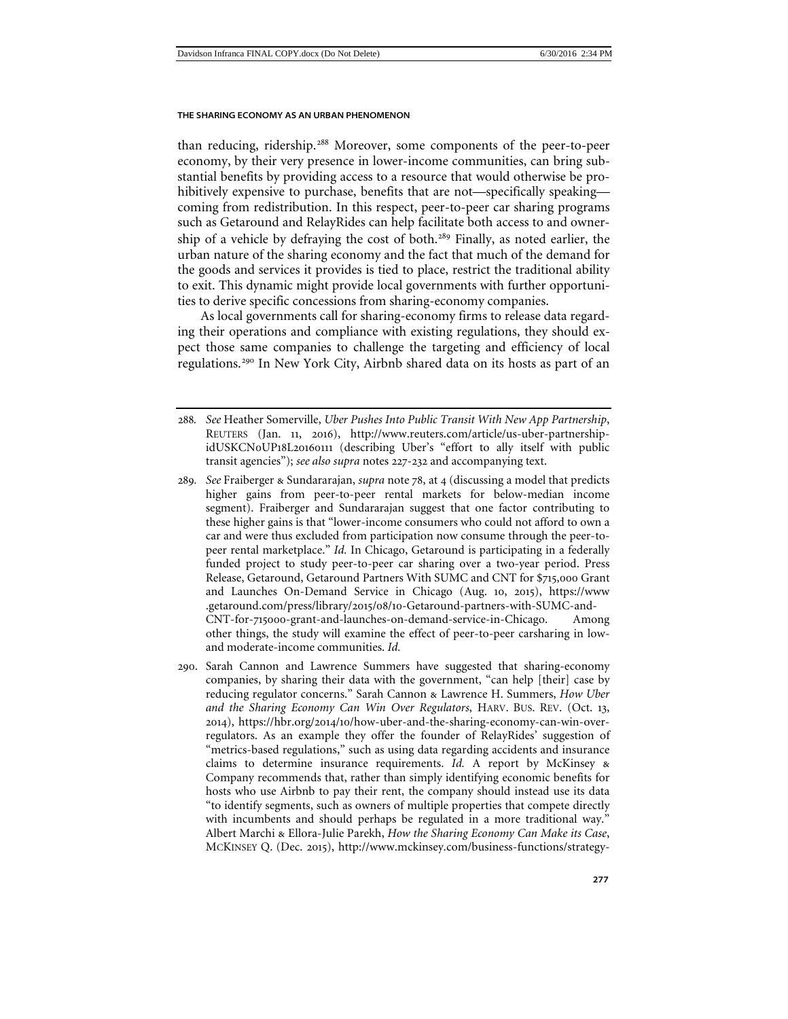than reducing, ridership.<sup>[288](#page-62-0)</sup> Moreover, some components of the peer-to-peer economy, by their very presence in lower-income communities, can bring substantial benefits by providing access to a resource that would otherwise be prohibitively expensive to purchase, benefits that are not—specifically speaking coming from redistribution. In this respect, peer-to-peer car sharing programs such as Getaround and RelayRides can help facilitate both access to and owner-ship of a vehicle by defraying the cost of both.<sup>[289](#page-62-1)</sup> Finally, as noted earlier, the urban nature of the sharing economy and the fact that much of the demand for the goods and services it provides is tied to place, restrict the traditional ability to exit. This dynamic might provide local governments with further opportunities to derive specific concessions from sharing-economy companies.

As local governments call for sharing-economy firms to release data regarding their operations and compliance with existing regulations, they should expect those same companies to challenge the targeting and efficiency of local regulations.[290](#page-62-2) In New York City, Airbnb shared data on its hosts as part of an

- <span id="page-62-1"></span>289*. See* Fraiberger & Sundararajan, *supra* note 78, at 4 (discussing a model that predicts higher gains from peer-to-peer rental markets for below-median income segment). Fraiberger and Sundararajan suggest that one factor contributing to these higher gains is that "lower-income consumers who could not afford to own a car and were thus excluded from participation now consume through the peer-topeer rental marketplace." *Id.* In Chicago, Getaround is participating in a federally funded project to study peer-to-peer car sharing over a two-year period. Press Release, Getaround, Getaround Partners With SUMC and CNT for \$715,000 Grant and Launches On-Demand Service in Chicago (Aug. 10, 2015), https://www .getaround.com/press/library/2015/08/10-Getaround-partners-with-SUMC-and-CNT-for-715000-grant-and-launches-on-demand-service-in-Chicago. Among other things, the study will examine the effect of peer-to-peer carsharing in lowand moderate-income communities. *Id.*
- <span id="page-62-2"></span>290. Sarah Cannon and Lawrence Summers have suggested that sharing-economy companies, by sharing their data with the government, "can help [their] case by reducing regulator concerns." Sarah Cannon & Lawrence H. Summers, *How Uber and the Sharing Economy Can Win Over Regulators*, HARV. BUS. REV. (Oct. 13, 2014), https://hbr.org/2014/10/how-uber-and-the-sharing-economy-can-win-overregulators. As an example they offer the founder of RelayRides' suggestion of "metrics-based regulations," such as using data regarding accidents and insurance claims to determine insurance requirements. *Id.* A report by McKinsey & Company recommends that, rather than simply identifying economic benefits for hosts who use Airbnb to pay their rent, the company should instead use its data "to identify segments, such as owners of multiple properties that compete directly with incumbents and should perhaps be regulated in a more traditional way." Albert Marchi & Ellora-Julie Parekh, *How the Sharing Economy Can Make its Case*, MCKINSEY Q. (Dec. 2015), http://www.mckinsey.com/business-functions/strategy-

<span id="page-62-0"></span><sup>288</sup>*. See* Heather Somerville, *Uber Pushes Into Public Transit With New App Partnership*, REUTERS (Jan. 11, 2016), http://www.reuters.com/article/us-uber-partnershipidUSKCN0UP18L20160111 (describing Uber's "effort to ally itself with public transit agencies"); *see also supra* notes [227](#page-48-4)-[232](#page-49-6) and accompanying text.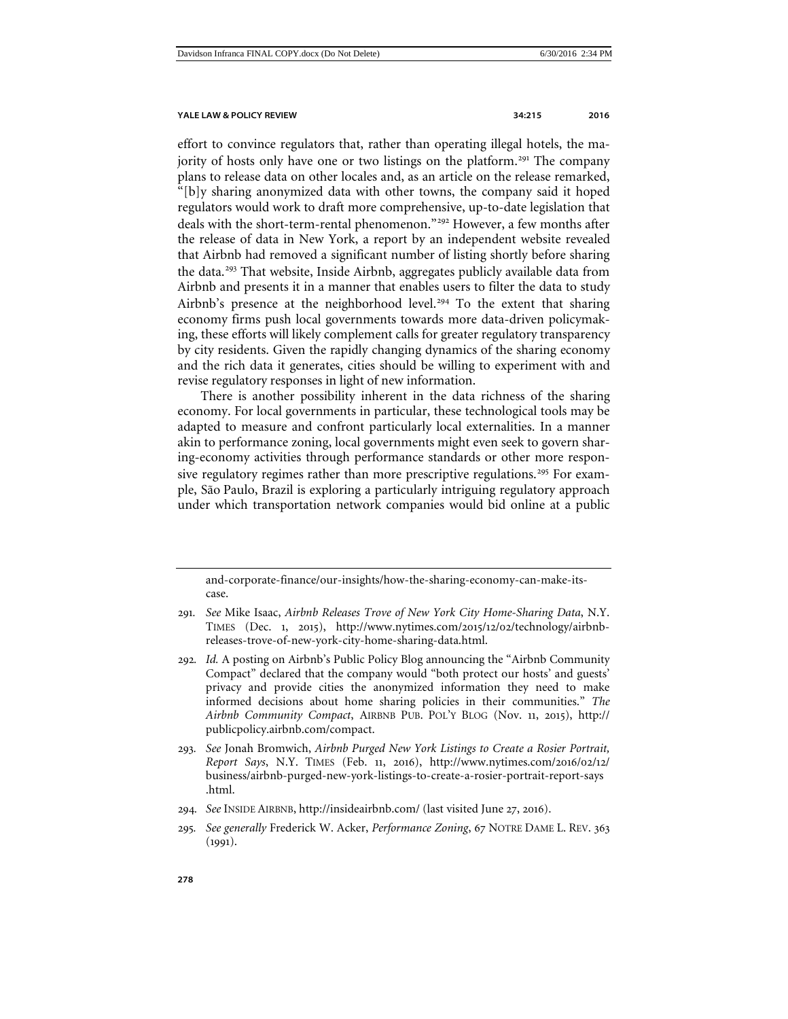effort to convince regulators that, rather than operating illegal hotels, the ma-jority of hosts only have one or two listings on the platform.<sup>[291](#page-63-0)</sup> The company plans to release data on other locales and, as an article on the release remarked, "[b]y sharing anonymized data with other towns, the company said it hoped regulators would work to draft more comprehensive, up-to-date legislation that deals with the short-term-rental phenomenon."<sup>[292](#page-63-1)</sup> However, a few months after the release of data in New York, a report by an independent website revealed that Airbnb had removed a significant number of listing shortly before sharing the data.<sup>[293](#page-63-2)</sup> That website, Inside Airbnb, aggregates publicly available data from Airbnb and presents it in a manner that enables users to filter the data to study Airbnb's presence at the neighborhood level.<sup>[294](#page-63-3)</sup> To the extent that sharing economy firms push local governments towards more data-driven policymaking, these efforts will likely complement calls for greater regulatory transparency by city residents. Given the rapidly changing dynamics of the sharing economy and the rich data it generates, cities should be willing to experiment with and revise regulatory responses in light of new information.

There is another possibility inherent in the data richness of the sharing economy. For local governments in particular, these technological tools may be adapted to measure and confront particularly local externalities. In a manner akin to performance zoning, local governments might even seek to govern sharing-economy activities through performance standards or other more respon-sive regulatory regimes rather than more prescriptive regulations.<sup>[295](#page-63-4)</sup> For example, São Paulo, Brazil is exploring a particularly intriguing regulatory approach under which transportation network companies would bid online at a public

and-corporate-finance/our-insights/how-the-sharing-economy-can-make-itscase.

- <span id="page-63-0"></span>291*. See* Mike Isaac, *Airbnb Releases Trove of New York City Home-Sharing Data*, N.Y. TIMES (Dec. 1, 2015), http://www.nytimes.com/2015/12/02/technology/airbnbreleases-trove-of-new-york-city-home-sharing-data.html.
- <span id="page-63-1"></span>292*. Id.* A posting on Airbnb's Public Policy Blog announcing the "Airbnb Community Compact" declared that the company would "both protect our hosts' and guests' privacy and provide cities the anonymized information they need to make informed decisions about home sharing policies in their communities." *The Airbnb Community Compact*, AIRBNB PUB. POL'Y BLOG (Nov. 11, 2015), http:// publicpolicy.airbnb.com/compact.
- <span id="page-63-2"></span>293*. See* Jonah Bromwich, *Airbnb Purged New York Listings to Create a Rosier Portrait, Report Says*, N.Y. TIMES (Feb. 11, 2016), http://www.nytimes.com/2016/02/12/ business/airbnb-purged-new-york-listings-to-create-a-rosier-portrait-report-says .html.
- <span id="page-63-3"></span>294*. See* INSIDE AIRBNB, http://insideairbnb.com/ (last visited June 27, 2016).
- <span id="page-63-4"></span>295*. See generally* Frederick W. Acker, *Performance Zoning*, 67 NOTRE DAME L. REV. 363 (1991).